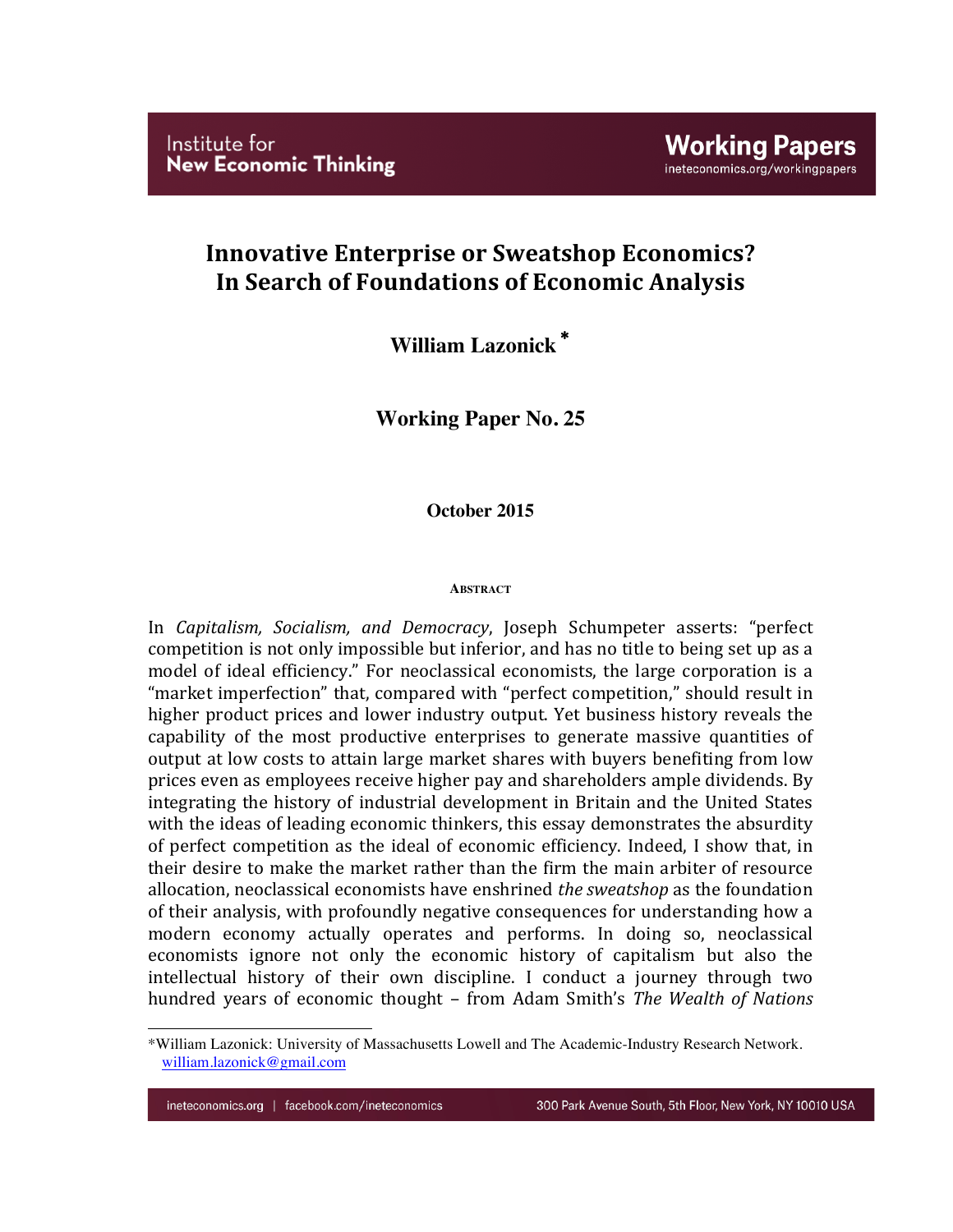# **Innovative Enterprise or Sweatshop Economics? In Search of Foundations of Economic Analysis**

**William Lazonick** <sup>∗</sup>

**Working Paper No. 25**

**October 2015**

### **ABSTRACT**

In *Capitalism, Socialism, and Democracy*, Joseph Schumpeter asserts: "perfect competition is not only impossible but inferior, and has no title to being set up as a model of ideal efficiency." For neoclassical economists, the large corporation is a "market imperfection" that, compared with "perfect competition," should result in higher product prices and lower industry output. Yet business history reveals the capability of the most productive enterprises to generate massive quantities of output at low costs to attain large market shares with buyers benefiting from low prices even as employees receive higher pay and shareholders ample dividends. By integrating the history of industrial development in Britain and the United States with the ideas of leading economic thinkers, this essay demonstrates the absurdity of perfect competition as the ideal of economic efficiency. Indeed, I show that, in their desire to make the market rather than the firm the main arbiter of resource allocation, neoclassical economists have enshrined *the sweatshop* as the foundation of their analysis, with profoundly negative consequences for understanding how a modern economy actually operates and performs. In doing so, neoclassical economists ignore not only the economic history of capitalism but also the intellectual history of their own discipline. I conduct a journey through two hundred years of economic thought – from Adam Smith's *The Wealth of Nations* 

ineteconomics.org | facebook.com/ineteconomics

<sup>\*</sup>William Lazonick: University of Massachusetts Lowell and The Academic-Industry Research Network. william.lazonick@gmail.com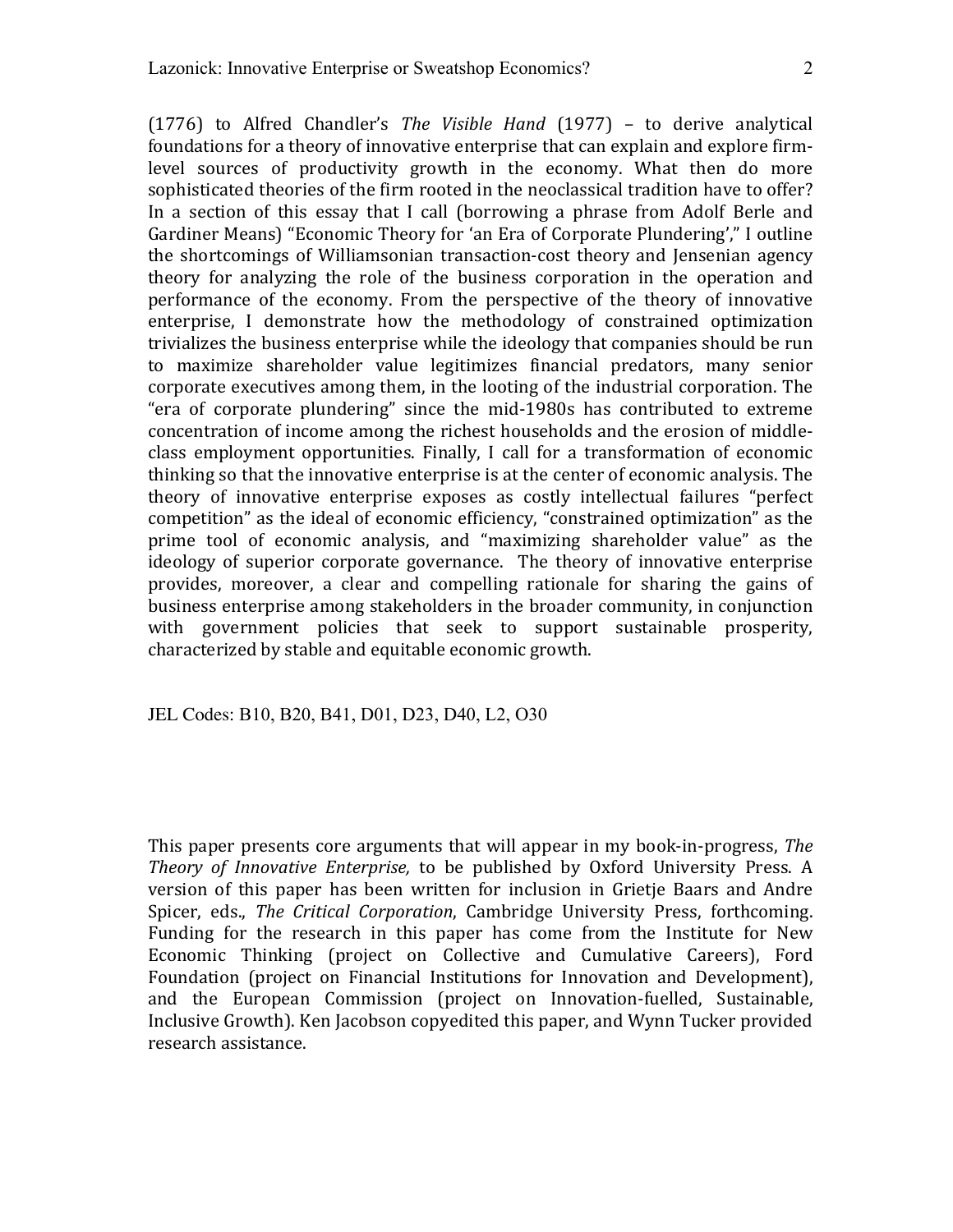(1776) to Alfred Chandler's *The Visible Hand* (1977) – to derive analytical foundations for a theory of innovative enterprise that can explain and explore firmlevel sources of productivity growth in the economy. What then do more sophisticated theories of the firm rooted in the neoclassical tradition have to offer? In a section of this essay that I call (borrowing a phrase from Adolf Berle and Gardiner Means) "Economic Theory for 'an Era of Corporate Plundering'," I outline the shortcomings of Williamsonian transaction-cost theory and Jensenian agency theory for analyzing the role of the business corporation in the operation and performance of the economy. From the perspective of the theory of innovative enterprise, I demonstrate how the methodology of constrained optimization trivializes the business enterprise while the ideology that companies should be run to maximize shareholder value legitimizes financial predators, many senior corporate executives among them, in the looting of the industrial corporation. The "era of corporate plundering" since the mid-1980s has contributed to extreme concentration of income among the richest households and the erosion of middleclass employment opportunities. Finally, I call for a transformation of economic thinking so that the innovative enterprise is at the center of economic analysis. The theory of innovative enterprise exposes as costly intellectual failures "perfect competition" as the ideal of economic efficiency, "constrained optimization" as the prime tool of economic analysis, and "maximizing shareholder value" as the ideology of superior corporate governance. The theory of innovative enterprise provides, moreover, a clear and compelling rationale for sharing the gains of business enterprise among stakeholders in the broader community, in conjunction with government policies that seek to support sustainable prosperity, characterized by stable and equitable economic growth.

JEL Codes: B10, B20, B41, D01, D23, D40, L2, O30

This paper presents core arguments that will appear in my book-in-progress, *The* Theory of Innovative Enterprise, to be published by Oxford University Press. A version of this paper has been written for inclusion in Grietje Baars and Andre Spicer, eds., *The Critical Corporation*, Cambridge University Press, forthcoming. Funding for the research in this paper has come from the Institute for New Economic Thinking (project on Collective and Cumulative Careers), Ford Foundation (project on Financial Institutions for Innovation and Development), and the European Commission (project on Innovation-fuelled, Sustainable, Inclusive Growth). Ken Jacobson copyedited this paper, and Wynn Tucker provided research assistance.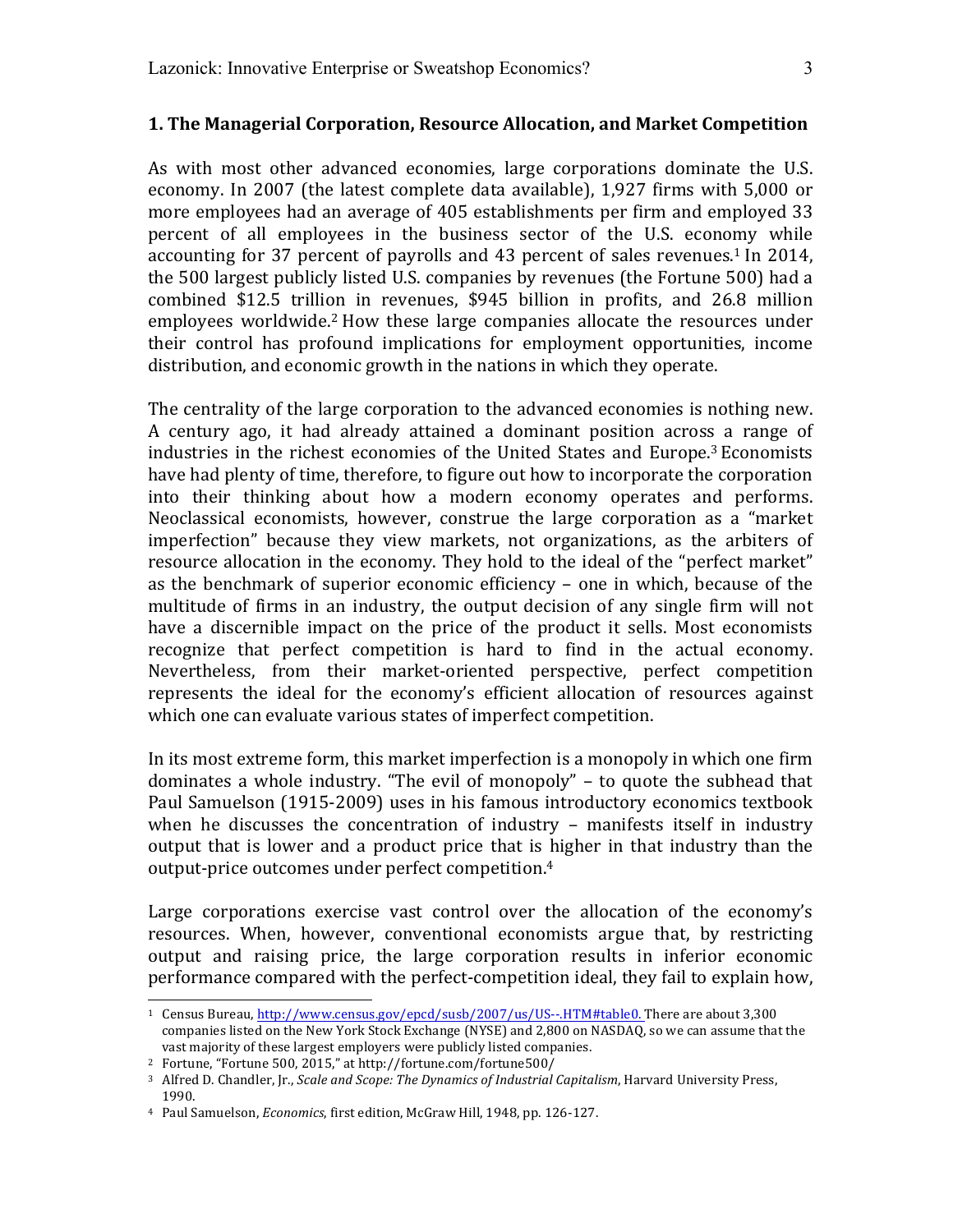#### **1. The Managerial Corporation, Resource Allocation, and Market Competition**

As with most other advanced economies, large corporations dominate the U.S. economy. In 2007 (the latest complete data available), 1,927 firms with 5,000 or more employees had an average of 405 establishments per firm and employed 33 percent of all employees in the business sector of the U.S. economy while accounting for 37 percent of payrolls and 43 percent of sales revenues.<sup>1</sup> In 2014, the 500 largest publicly listed U.S. companies by revenues (the Fortune 500) had a combined \$12.5 trillion in revenues, \$945 billion in profits, and 26.8 million employees worldwide.<sup>2</sup> How these large companies allocate the resources under their control has profound implications for employment opportunities, income distribution, and economic growth in the nations in which they operate.

The centrality of the large corporation to the advanced economies is nothing new. A century ago, it had already attained a dominant position across a range of industries in the richest economies of the United States and Europe.<sup>3</sup> Economists have had plenty of time, therefore, to figure out how to incorporate the corporation into their thinking about how a modern economy operates and performs. Neoclassical economists, however, construe the large corporation as a "market imperfection" because they view markets, not organizations, as the arbiters of resource allocation in the economy. They hold to the ideal of the "perfect market" as the benchmark of superior economic efficiency - one in which, because of the multitude of firms in an industry, the output decision of any single firm will not have a discernible impact on the price of the product it sells. Most economists recognize that perfect competition is hard to find in the actual economy. Nevertheless, from their market-oriented perspective, perfect competition represents the ideal for the economy's efficient allocation of resources against which one can evaluate various states of imperfect competition.

In its most extreme form, this market imperfection is a monopoly in which one firm dominates a whole industry. "The evil of monopoly"  $-$  to quote the subhead that Paul Samuelson (1915-2009) uses in his famous introductory economics textbook when he discusses the concentration of industry  $-$  manifests itself in industry output that is lower and a product price that is higher in that industry than the output-price outcomes under perfect competition.<sup>4</sup>

Large corporations exercise vast control over the allocation of the economy's resources. When, however, conventional economists argue that, by restricting output and raising price, the large corporation results in inferior economic performance compared with the perfect-competition ideal, they fail to explain how,

<sup>&</sup>lt;sup>1</sup> Census Bureau, http://www.census.gov/epcd/susb/2007/us/US--.HTM#table0. There are about 3,300 companies listed on the New York Stock Exchange (NYSE) and 2,800 on NASDAQ, so we can assume that the vast majority of these largest employers were publicly listed companies.

<sup>&</sup>lt;sup>2</sup> Fortune, "Fortune 500, 2015," at http://fortune.com/fortune500/

<sup>&</sup>lt;sup>3</sup> Alfred D. Chandler, Jr., *Scale and Scope: The Dynamics of Industrial Capitalism*, Harvard University Press, 1990.

<sup>&</sup>lt;sup>4</sup> Paul Samuelson, *Economics*, first edition, McGraw Hill, 1948, pp. 126-127.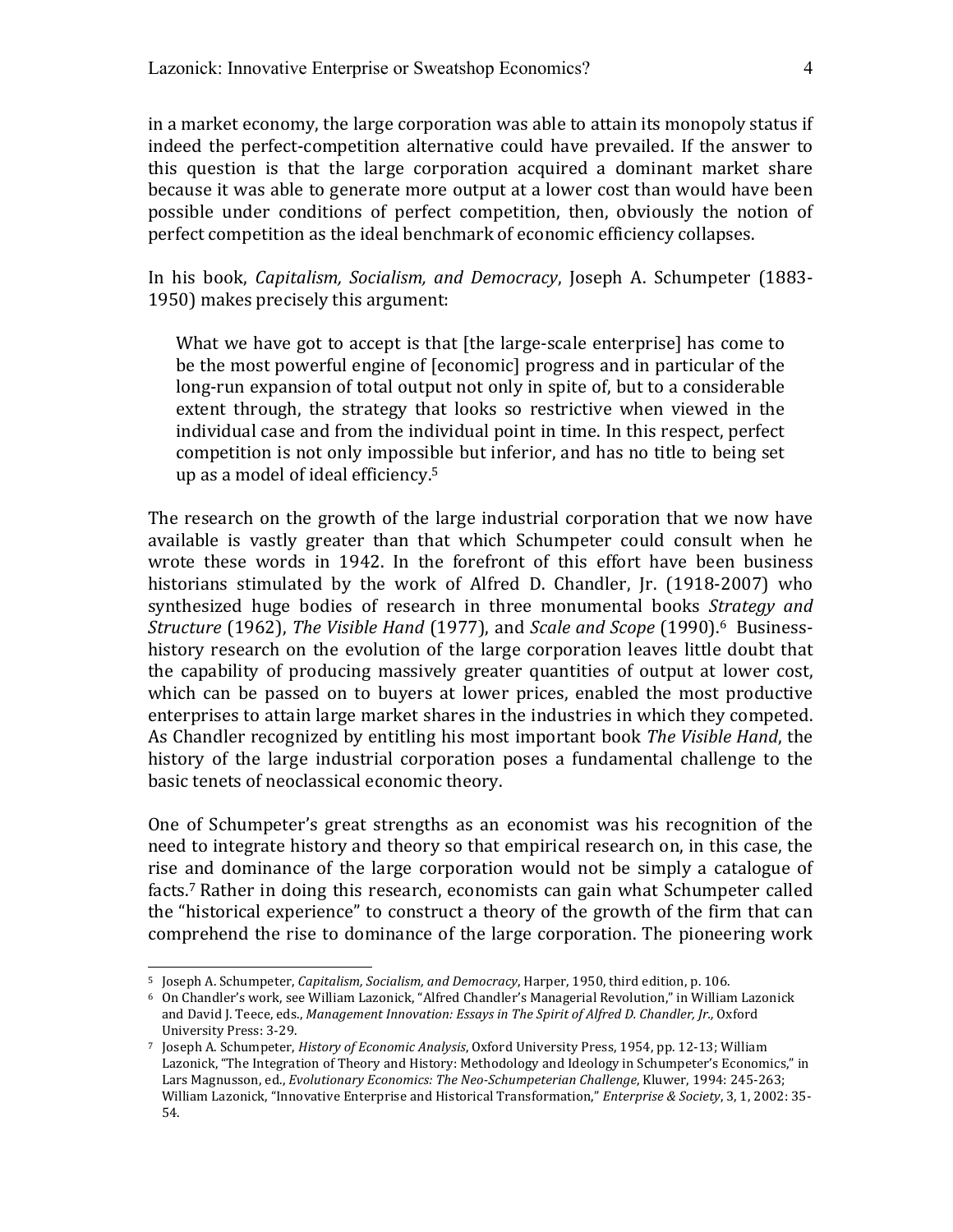in a market economy, the large corporation was able to attain its monopoly status if indeed the perfect-competition alternative could have prevailed. If the answer to this question is that the large corporation acquired a dominant market share because it was able to generate more output at a lower cost than would have been possible under conditions of perfect competition, then, obviously the notion of perfect competition as the ideal benchmark of economic efficiency collapses.

In his book, *Capitalism, Socialism, and Democracy*, Joseph A. Schumpeter (1883-1950) makes precisely this argument:

What we have got to accept is that [the large-scale enterprise] has come to be the most powerful engine of [economic] progress and in particular of the long-run expansion of total output not only in spite of, but to a considerable extent through, the strategy that looks so restrictive when viewed in the individual case and from the individual point in time. In this respect, perfect competition is not only impossible but inferior, and has no title to being set up as a model of ideal efficiency. $5<sup>5</sup>$ 

The research on the growth of the large industrial corporation that we now have available is vastly greater than that which Schumpeter could consult when he wrote these words in  $1942$ . In the forefront of this effort have been business historians stimulated by the work of Alfred D. Chandler, Jr. (1918-2007) who synthesized huge bodies of research in three monumental books *Strategy and Structure* (1962), *The Visible Hand* (1977), and *Scale and Scope* (1990).<sup>6</sup> Businesshistory research on the evolution of the large corporation leaves little doubt that the capability of producing massively greater quantities of output at lower cost, which can be passed on to buyers at lower prices, enabled the most productive enterprises to attain large market shares in the industries in which they competed. As Chandler recognized by entitling his most important book *The Visible Hand*, the history of the large industrial corporation poses a fundamental challenge to the basic tenets of neoclassical economic theory.

One of Schumpeter's great strengths as an economist was his recognition of the need to integrate history and theory so that empirical research on, in this case, the rise and dominance of the large corporation would not be simply a catalogue of facts.<sup>7</sup> Rather in doing this research, economists can gain what Schumpeter called the "historical experience" to construct a theory of the growth of the firm that can comprehend the rise to dominance of the large corporation. The pioneering work

 5 Joseph A. Schumpeter, *Capitalism, Socialism, and Democracy*, Harper, 1950, third edition, p. 106.

<sup>&</sup>lt;sup>6</sup> On Chandler's work, see William Lazonick, "Alfred Chandler's Managerial Revolution," in William Lazonick and David J. Teece, eds., *Management Innovation: Essays in The Spirit of Alfred D. Chandler, Jr., Oxford* University Press: 3-29.

<sup>7</sup> Joseph A. Schumpeter, *History of Economic Analysis*, Oxford University Press, 1954, pp. 12-13; William Lazonick, "The Integration of Theory and History: Methodology and Ideology in Schumpeter's Economics," in Lars Magnusson, ed., *Evolutionary Economics: The Neo-Schumpeterian Challenge*, Kluwer, 1994: 245-263; William Lazonick, "Innovative Enterprise and Historical Transformation," *Enterprise & Society*, 3, 1, 2002: 35-54.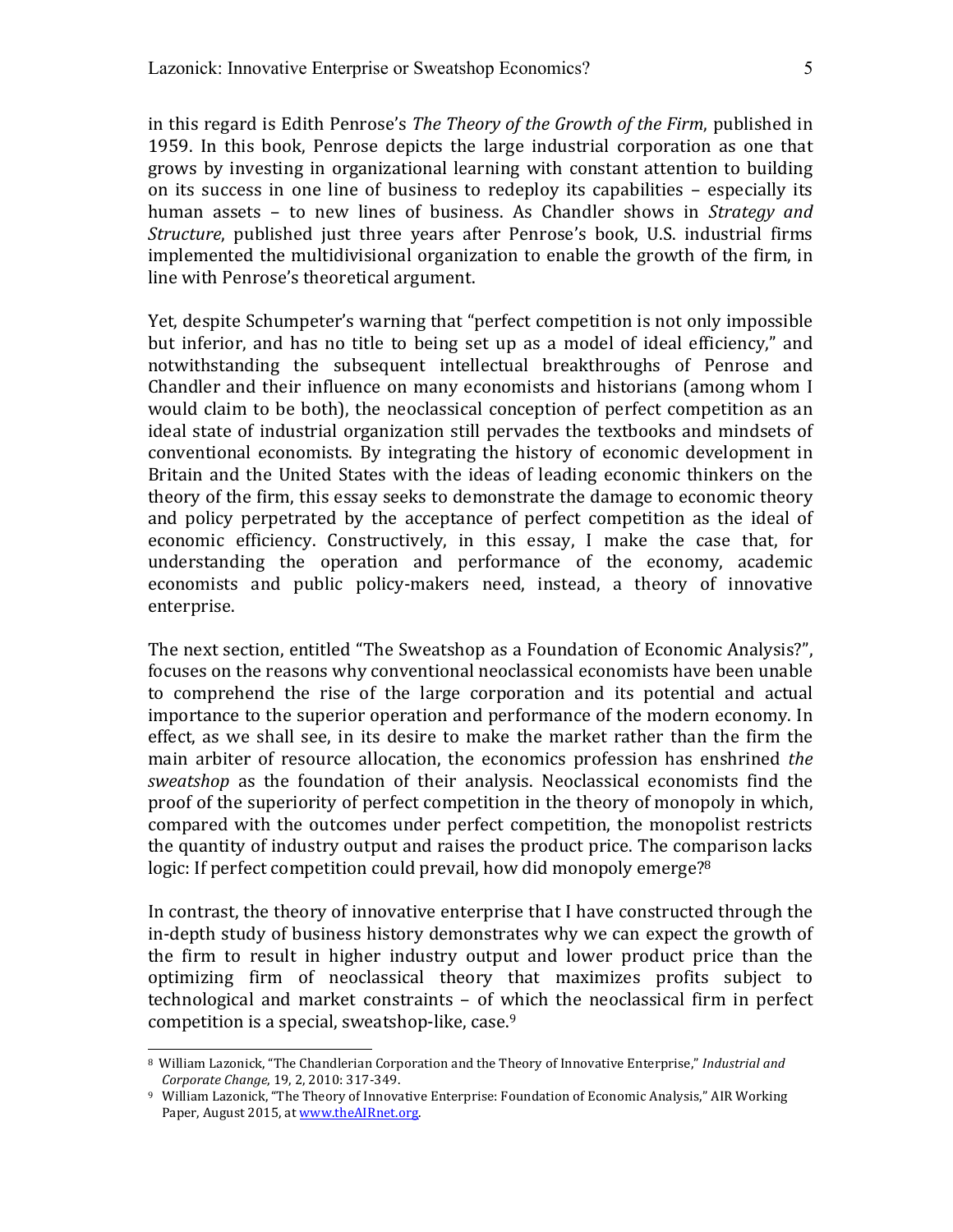in this regard is Edith Penrose's *The Theory of the Growth of the Firm*, published in 1959. In this book, Penrose depicts the large industrial corporation as one that grows by investing in organizational learning with constant attention to building on its success in one line of business to redeploy its capabilities – especially its human assets – to new lines of business. As Chandler shows in *Strategy and Structure*, published just three years after Penrose's book, U.S. industrial firms implemented the multidivisional organization to enable the growth of the firm, in line with Penrose's theoretical argument.

Yet, despite Schumpeter's warning that "perfect competition is not only impossible but inferior, and has no title to being set up as a model of ideal efficiency," and notwithstanding the subsequent intellectual breakthroughs of Penrose and Chandler and their influence on many economists and historians (among whom I) would claim to be both), the neoclassical conception of perfect competition as an ideal state of industrial organization still pervades the textbooks and mindsets of conventional economists. By integrating the history of economic development in Britain and the United States with the ideas of leading economic thinkers on the theory of the firm, this essay seeks to demonstrate the damage to economic theory and policy perpetrated by the acceptance of perfect competition as the ideal of economic efficiency. Constructively, in this essay, I make the case that, for understanding the operation and performance of the economy, academic economists and public policy-makers need, instead, a theory of innovative enterprise.

The next section, entitled "The Sweatshop as a Foundation of Economic Analysis?", focuses on the reasons why conventional neoclassical economists have been unable to comprehend the rise of the large corporation and its potential and actual importance to the superior operation and performance of the modern economy. In effect, as we shall see, in its desire to make the market rather than the firm the main arbiter of resource allocation, the economics profession has enshrined *the sweatshop* as the foundation of their analysis. Neoclassical economists find the proof of the superiority of perfect competition in the theory of monopoly in which, compared with the outcomes under perfect competition, the monopolist restricts the quantity of industry output and raises the product price. The comparison lacks logic: If perfect competition could prevail, how did monopoly emerge?<sup>8</sup>

In contrast, the theory of innovative enterprise that I have constructed through the in-depth study of business history demonstrates why we can expect the growth of the firm to result in higher industry output and lower product price than the optimizing firm of neoclassical theory that maximizes profits subject to technological and market constraints – of which the neoclassical firm in perfect competition is a special, sweatshop-like, case. $9$ 

<sup>&</sup>lt;sup>8</sup> William Lazonick, "The Chandlerian Corporation and the Theory of Innovative Enterprise," *Industrial and Corporate Change*, 19, 2, 2010: 317-349.

<sup>&</sup>lt;sup>9</sup> William Lazonick, "The Theory of Innovative Enterprise: Foundation of Economic Analysis," AIR Working Paper, August 2015, at www.theAIRnet.org.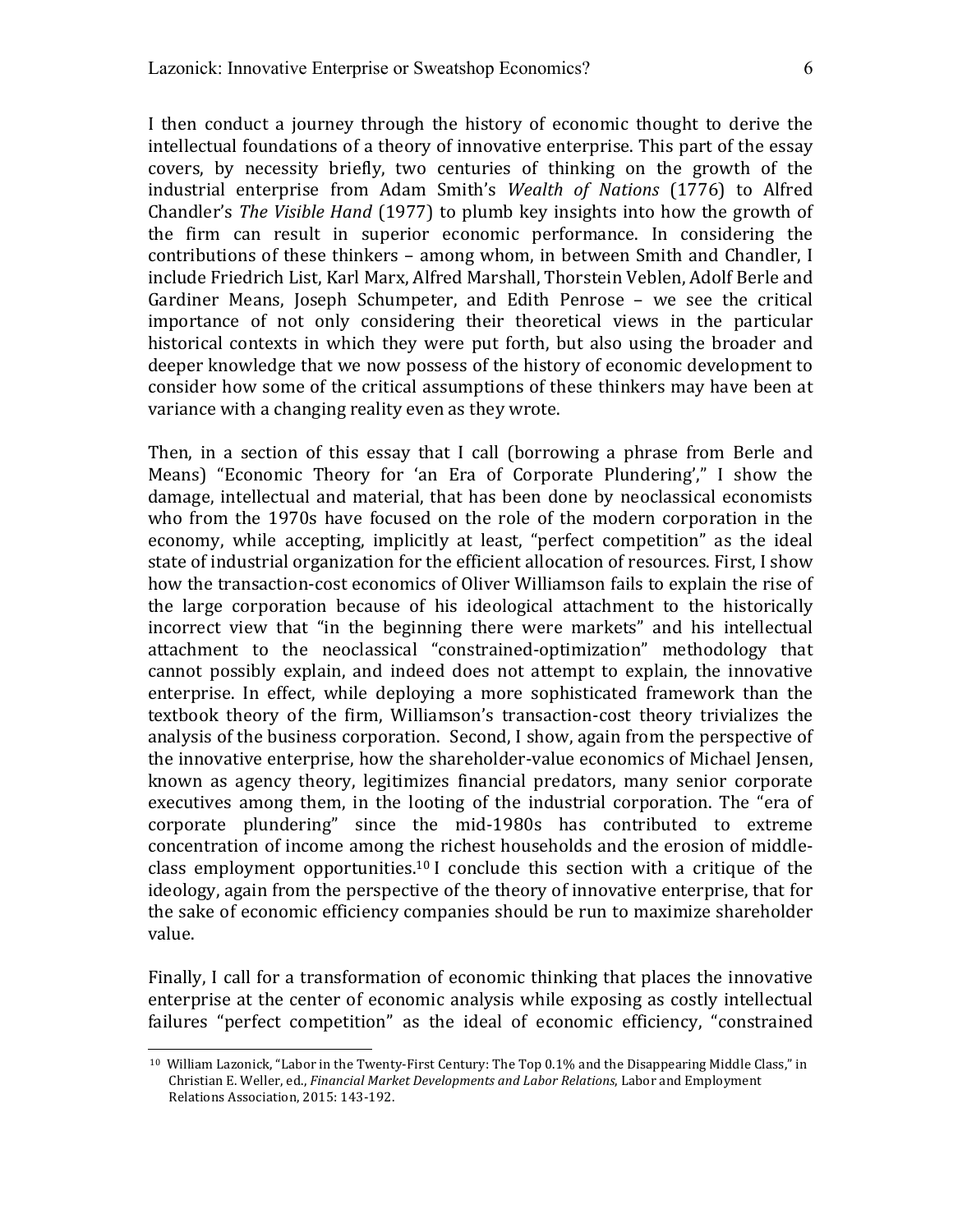I then conduct a journey through the history of economic thought to derive the intellectual foundations of a theory of innovative enterprise. This part of the essay covers, by necessity briefly, two centuries of thinking on the growth of the industrial enterprise from Adam Smith's *Wealth of Nations* (1776) to Alfred Chandler's *The Visible Hand* (1977) to plumb key insights into how the growth of the firm can result in superior economic performance. In considering the contributions of these thinkers – among whom, in between Smith and Chandler, I include Friedrich List, Karl Marx, Alfred Marshall, Thorstein Veblen, Adolf Berle and Gardiner Means, Joseph Schumpeter, and Edith Penrose – we see the critical importance of not only considering their theoretical views in the particular historical contexts in which they were put forth, but also using the broader and deeper knowledge that we now possess of the history of economic development to consider how some of the critical assumptions of these thinkers may have been at variance with a changing reality even as they wrote.

Then, in a section of this essay that I call (borrowing a phrase from Berle and Means) "Economic Theory for 'an Era of Corporate Plundering'," I show the damage, intellectual and material, that has been done by neoclassical economists who from the 1970s have focused on the role of the modern corporation in the economy, while accepting, implicitly at least, "perfect competition" as the ideal state of industrial organization for the efficient allocation of resources. First, I show how the transaction-cost economics of Oliver Williamson fails to explain the rise of the large corporation because of his ideological attachment to the historically incorrect view that "in the beginning there were markets" and his intellectual attachment to the neoclassical "constrained-optimization" methodology that cannot possibly explain, and indeed does not attempt to explain, the innovative enterprise. In effect, while deploying a more sophisticated framework than the textbook theory of the firm, Williamson's transaction-cost theory trivializes the analysis of the business corporation. Second, I show, again from the perspective of the innovative enterprise, how the shareholder-value economics of Michael Jensen, known as agency theory, legitimizes financial predators, many senior corporate executives among them, in the looting of the industrial corporation. The "era of corporate plundering" since the mid-1980s has contributed to extreme concentration of income among the richest households and the erosion of middleclass employment opportunities.<sup>10</sup> I conclude this section with a critique of the ideology, again from the perspective of the theory of innovative enterprise, that for the sake of economic efficiency companies should be run to maximize shareholder value.

Finally, I call for a transformation of economic thinking that places the innovative enterprise at the center of economic analysis while exposing as costly intellectual failures "perfect competition" as the ideal of economic efficiency, "constrained

<sup>&</sup>lt;sup>10</sup> William Lazonick, "Labor in the Twenty-First Century: The Top 0.1% and the Disappearing Middle Class," in Christian E. Weller, ed., *Financial Market Developments and Labor Relations*, Labor and Employment Relations Association, 2015: 143-192.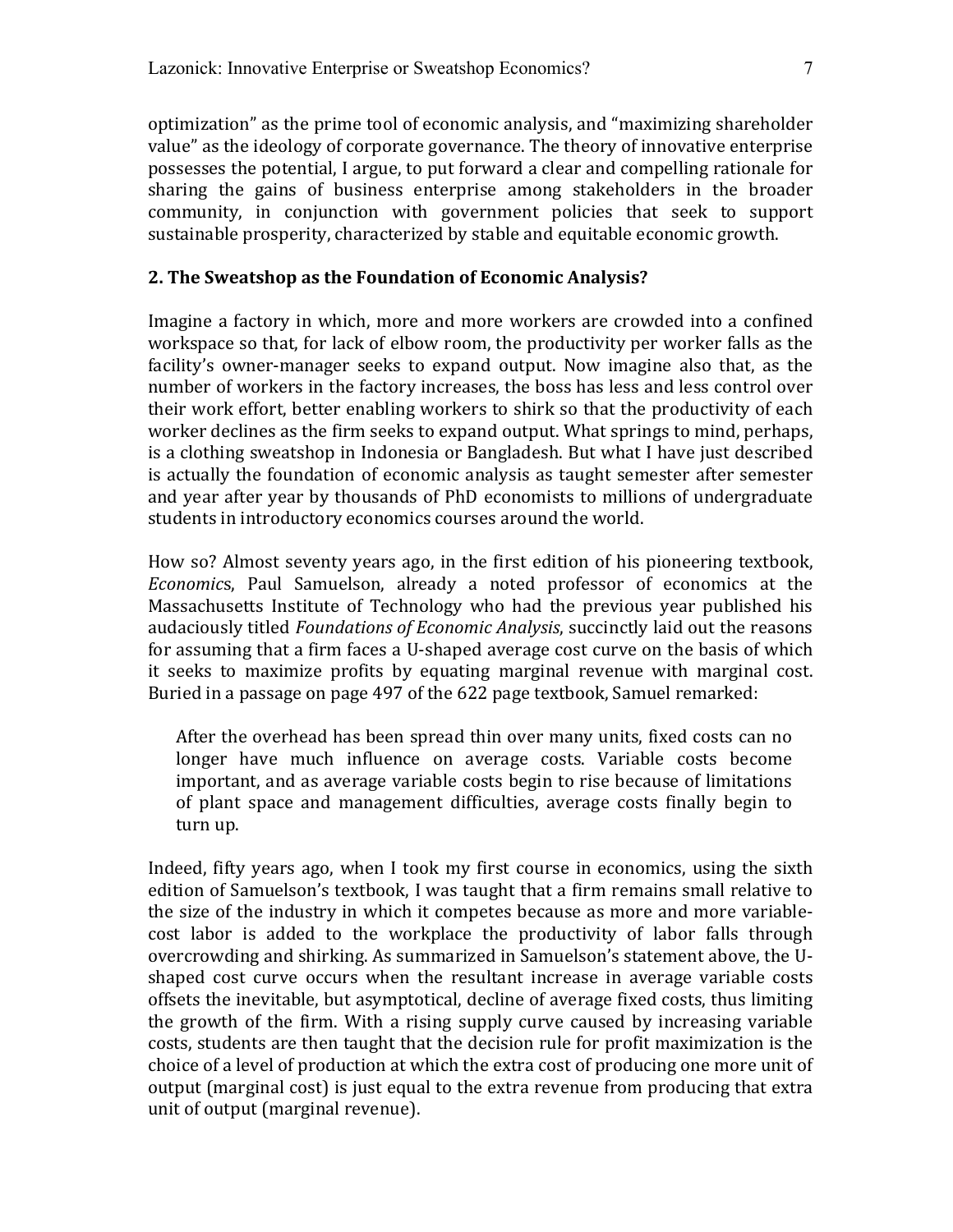optimization" as the prime tool of economic analysis, and "maximizing shareholder value" as the ideology of corporate governance. The theory of innovative enterprise possesses the potential, I argue, to put forward a clear and compelling rationale for sharing the gains of business enterprise among stakeholders in the broader community, in conjunction with government policies that seek to support sustainable prosperity, characterized by stable and equitable economic growth.

### **2. The Sweatshop as the Foundation of Economic Analysis?**

Imagine a factory in which, more and more workers are crowded into a confined workspace so that, for lack of elbow room, the productivity per worker falls as the facility's owner-manager seeks to expand output. Now imagine also that, as the number of workers in the factory increases, the boss has less and less control over their work effort, better enabling workers to shirk so that the productivity of each worker declines as the firm seeks to expand output. What springs to mind, perhaps, is a clothing sweatshop in Indonesia or Bangladesh. But what I have just described is actually the foundation of economic analysis as taught semester after semester and year after year by thousands of PhD economists to millions of undergraduate students in introductory economics courses around the world.

How so? Almost seventy years ago, in the first edition of his pioneering textbook, *Economics*, Paul Samuelson, already a noted professor of economics at the Massachusetts Institute of Technology who had the previous year published his audaciously titled *Foundations of Economic Analysis*, succinctly laid out the reasons for assuming that a firm faces a U-shaped average cost curve on the basis of which it seeks to maximize profits by equating marginal revenue with marginal cost. Buried in a passage on page 497 of the 622 page textbook, Samuel remarked:

After the overhead has been spread thin over many units, fixed costs can no longer have much influence on average costs. Variable costs become important, and as average variable costs begin to rise because of limitations of plant space and management difficulties, average costs finally begin to turn up.

Indeed, fifty years ago, when I took my first course in economics, using the sixth edition of Samuelson's textbook, I was taught that a firm remains small relative to the size of the industry in which it competes because as more and more variablecost labor is added to the workplace the productivity of labor falls through overcrowding and shirking. As summarized in Samuelson's statement above, the Ushaped cost curve occurs when the resultant increase in average variable costs offsets the inevitable, but asymptotical, decline of average fixed costs, thus limiting the growth of the firm. With a rising supply curve caused by increasing variable costs, students are then taught that the decision rule for profit maximization is the choice of a level of production at which the extra cost of producing one more unit of output (marginal cost) is just equal to the extra revenue from producing that extra unit of output (marginal revenue).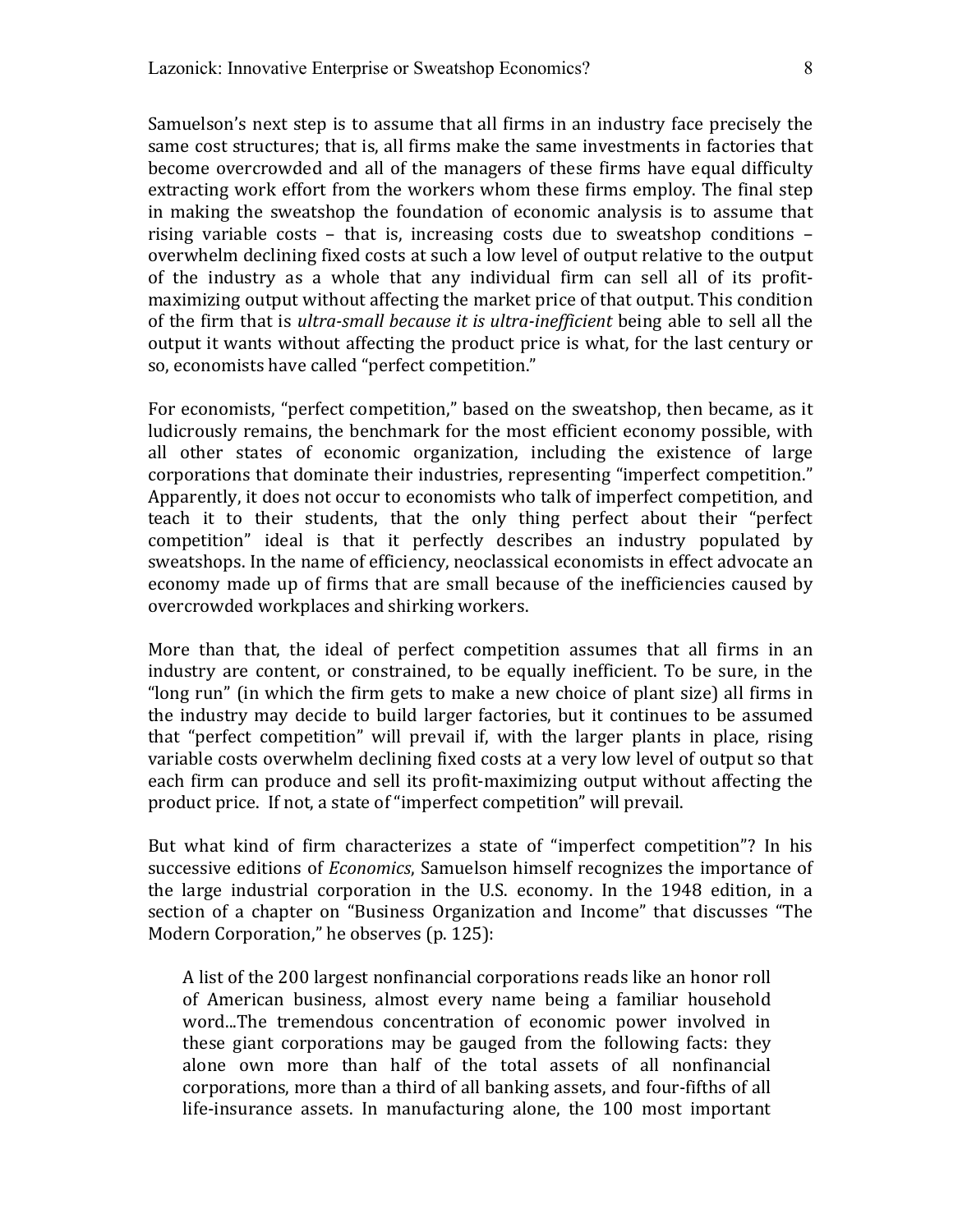Samuelson's next step is to assume that all firms in an industry face precisely the same cost structures; that is, all firms make the same investments in factories that become overcrowded and all of the managers of these firms have equal difficulty extracting work effort from the workers whom these firms employ. The final step in making the sweatshop the foundation of economic analysis is to assume that rising variable costs – that is, increasing costs due to sweatshop conditions – overwhelm declining fixed costs at such a low level of output relative to the output of the industry as a whole that any individual firm can sell all of its profitmaximizing output without affecting the market price of that output. This condition of the firm that is *ultra-small because it is ultra-inefficient* being able to sell all the output it wants without affecting the product price is what, for the last century or so, economists have called "perfect competition."

For economists, "perfect competition," based on the sweatshop, then became, as it ludicrously remains, the benchmark for the most efficient economy possible, with all other states of economic organization, including the existence of large corporations that dominate their industries, representing "imperfect competition." Apparently, it does not occur to economists who talk of imperfect competition, and teach it to their students, that the only thing perfect about their "perfect competition" ideal is that it perfectly describes an industry populated by sweatshops. In the name of efficiency, neoclassical economists in effect advocate an economy made up of firms that are small because of the inefficiencies caused by overcrowded workplaces and shirking workers.

More than that, the ideal of perfect competition assumes that all firms in an industry are content, or constrained, to be equally inefficient. To be sure, in the "long run" (in which the firm gets to make a new choice of plant size) all firms in the industry may decide to build larger factories, but it continues to be assumed that "perfect competition" will prevail if, with the larger plants in place, rising variable costs overwhelm declining fixed costs at a very low level of output so that each firm can produce and sell its profit-maximizing output without affecting the product price. If not, a state of "imperfect competition" will prevail.

But what kind of firm characterizes a state of "imperfect competition"? In his successive editions of *Economics*, Samuelson himself recognizes the importance of the large industrial corporation in the U.S. economy. In the 1948 edition, in a section of a chapter on "Business Organization and Income" that discusses "The Modern Corporation," he observes (p. 125):

A list of the 200 largest nonfinancial corporations reads like an honor roll of American business, almost every name being a familiar household word...The tremendous concentration of economic power involved in these giant corporations may be gauged from the following facts: they alone own more than half of the total assets of all nonfinancial corporations, more than a third of all banking assets, and four-fifths of all life-insurance assets. In manufacturing alone, the 100 most important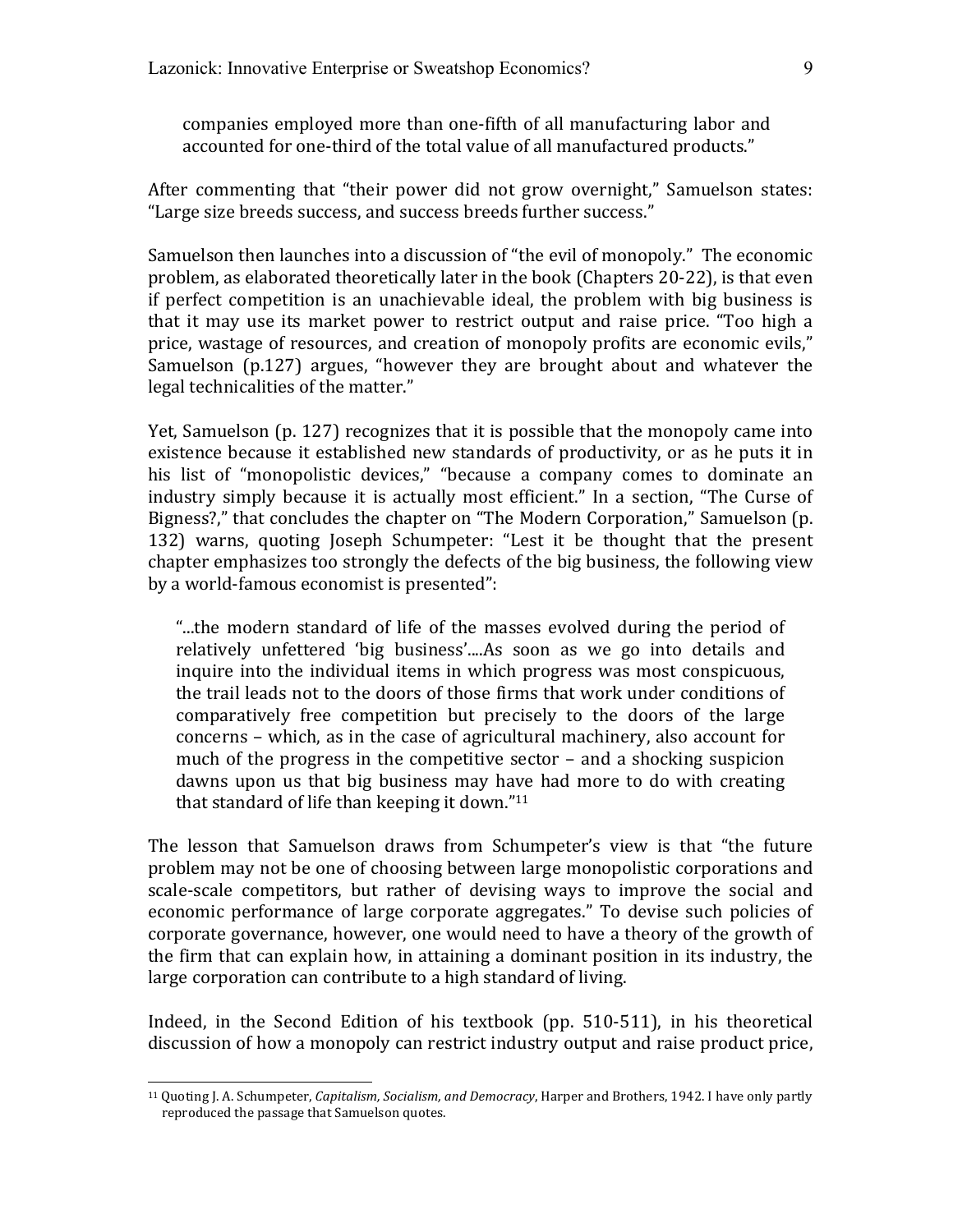companies employed more than one-fifth of all manufacturing labor and accounted for one-third of the total value of all manufactured products."

After commenting that "their power did not grow overnight," Samuelson states: "Large size breeds success, and success breeds further success."

Samuelson then launches into a discussion of "the evil of monopoly." The economic problem, as elaborated theoretically later in the book (Chapters 20-22), is that even if perfect competition is an unachievable ideal, the problem with big business is that it may use its market power to restrict output and raise price. "Too high a price, wastage of resources, and creation of monopoly profits are economic evils," Samuelson  $(p.127)$  argues, "however they are brought about and whatever the legal technicalities of the matter."

Yet, Samuelson (p. 127) recognizes that it is possible that the monopoly came into existence because it established new standards of productivity, or as he puts it in his list of "monopolistic devices," "because a company comes to dominate an industry simply because it is actually most efficient." In a section, "The Curse of Bigness?," that concludes the chapter on "The Modern Corporation," Samuelson (p. 132) warns, quoting Joseph Schumpeter: "Lest it be thought that the present chapter emphasizes too strongly the defects of the big business, the following view by a world-famous economist is presented":

"...the modern standard of life of the masses evolved during the period of relatively unfettered 'big business'....As soon as we go into details and inquire into the individual items in which progress was most conspicuous, the trail leads not to the doors of those firms that work under conditions of comparatively free competition but precisely to the doors of the large concerns – which, as in the case of agricultural machinery, also account for much of the progress in the competitive sector  $-$  and a shocking suspicion dawns upon us that big business may have had more to do with creating that standard of life than keeping it down." $11$ 

The lesson that Samuelson draws from Schumpeter's view is that "the future problem may not be one of choosing between large monopolistic corporations and scale-scale competitors, but rather of devising ways to improve the social and economic performance of large corporate aggregates." To devise such policies of corporate governance, however, one would need to have a theory of the growth of the firm that can explain how, in attaining a dominant position in its industry, the large corporation can contribute to a high standard of living.

Indeed, in the Second Edition of his textbook (pp.  $510-511$ ), in his theoretical discussion of how a monopoly can restrict industry output and raise product price,

<sup>&</sup>lt;sup>11</sup> Quoting J. A. Schumpeter, *Capitalism, Socialism, and Democracy*, Harper and Brothers, 1942. I have only partly reproduced the passage that Samuelson quotes.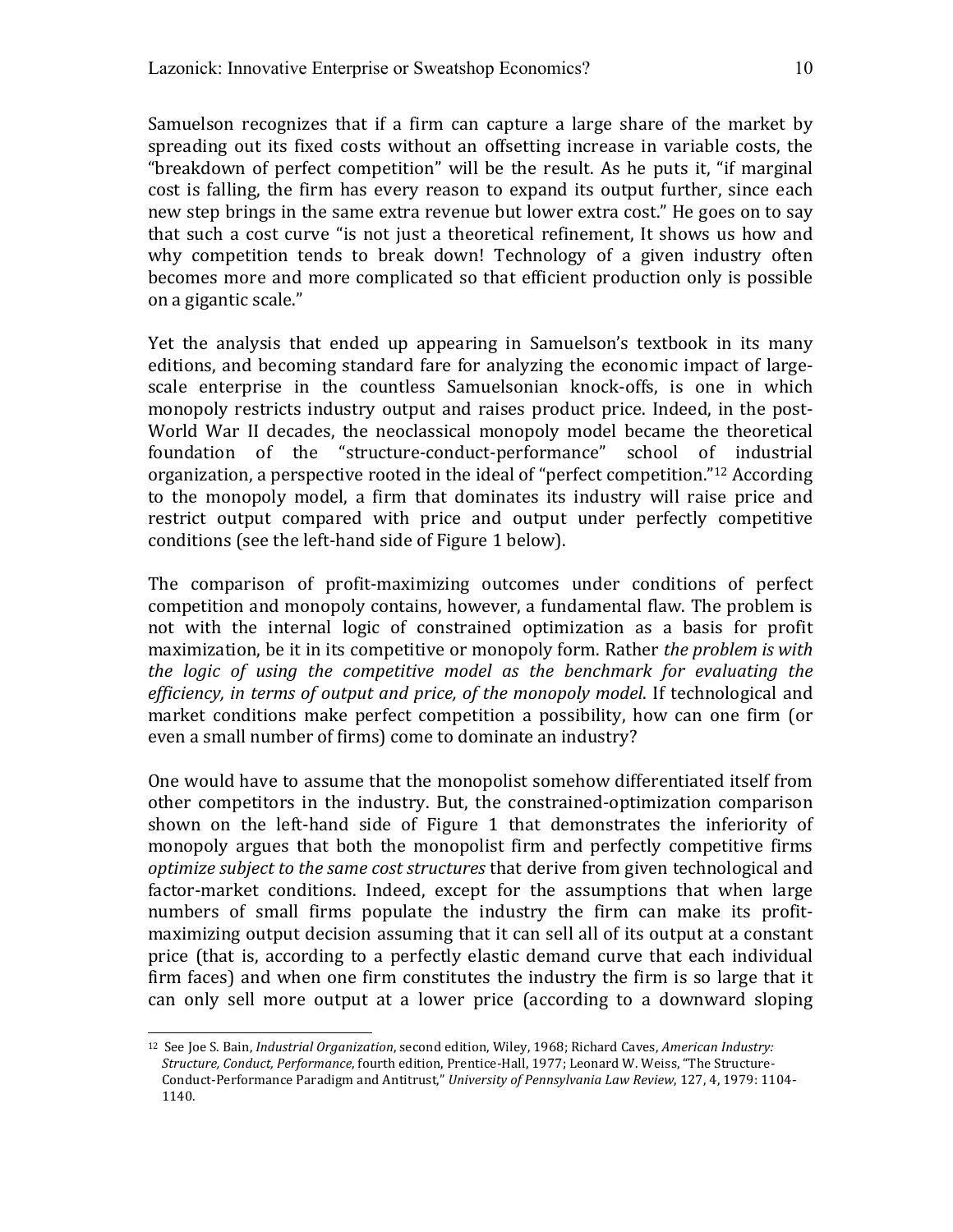Samuelson recognizes that if a firm can capture a large share of the market by spreading out its fixed costs without an offsetting increase in variable costs, the "breakdown of perfect competition" will be the result. As he puts it, "if marginal cost is falling, the firm has every reason to expand its output further, since each new step brings in the same extra revenue but lower extra cost." He goes on to say that such a cost curve "is not just a theoretical refinement, It shows us how and why competition tends to break down! Technology of a given industry often becomes more and more complicated so that efficient production only is possible on a gigantic scale."

Yet the analysis that ended up appearing in Samuelson's textbook in its many editions, and becoming standard fare for analyzing the economic impact of largescale enterprise in the countless Samuelsonian knock-offs, is one in which monopoly restricts industry output and raises product price. Indeed, in the post-World War II decades, the neoclassical monopoly model became the theoretical foundation of the "structure-conduct-performance" school of industrial organization, a perspective rooted in the ideal of "perfect competition."<sup>12</sup> According to the monopoly model, a firm that dominates its industry will raise price and restrict output compared with price and output under perfectly competitive conditions (see the left-hand side of Figure 1 below).

The comparison of profit-maximizing outcomes under conditions of perfect competition and monopoly contains, however, a fundamental flaw. The problem is not with the internal logic of constrained optimization as a basis for profit maximization, be it in its competitive or monopoly form. Rather *the problem* is with *the logic of using the competitive model as the benchmark for evaluating the* efficiency, in terms of output and price, of the monopoly model. If technological and market conditions make perfect competition a possibility, how can one firm (or even a small number of firms) come to dominate an industry?

One would have to assume that the monopolist somehow differentiated itself from other competitors in the industry. But, the constrained-optimization comparison shown on the left-hand side of Figure 1 that demonstrates the inferiority of monopoly argues that both the monopolist firm and perfectly competitive firms *optimize subject to the same cost structures* that derive from given technological and factor-market conditions. Indeed, except for the assumptions that when large numbers of small firms populate the industry the firm can make its profitmaximizing output decision assuming that it can sell all of its output at a constant price (that is, according to a perfectly elastic demand curve that each individual firm faces) and when one firm constitutes the industry the firm is so large that it can only sell more output at a lower price (according to a downward sloping

<sup>12</sup> See Joe S. Bain, *Industrial Organization*, second edition, Wiley, 1968; Richard Caves, American Industry: *Structure, Conduct, Performance, fourth edition, Prentice-Hall, 1977; Leonard W. Weiss, "The Structure-*Conduct-Performance Paradigm and Antitrust," University of Pennsylvania Law Review, 127, 4, 1979: 1104-1140.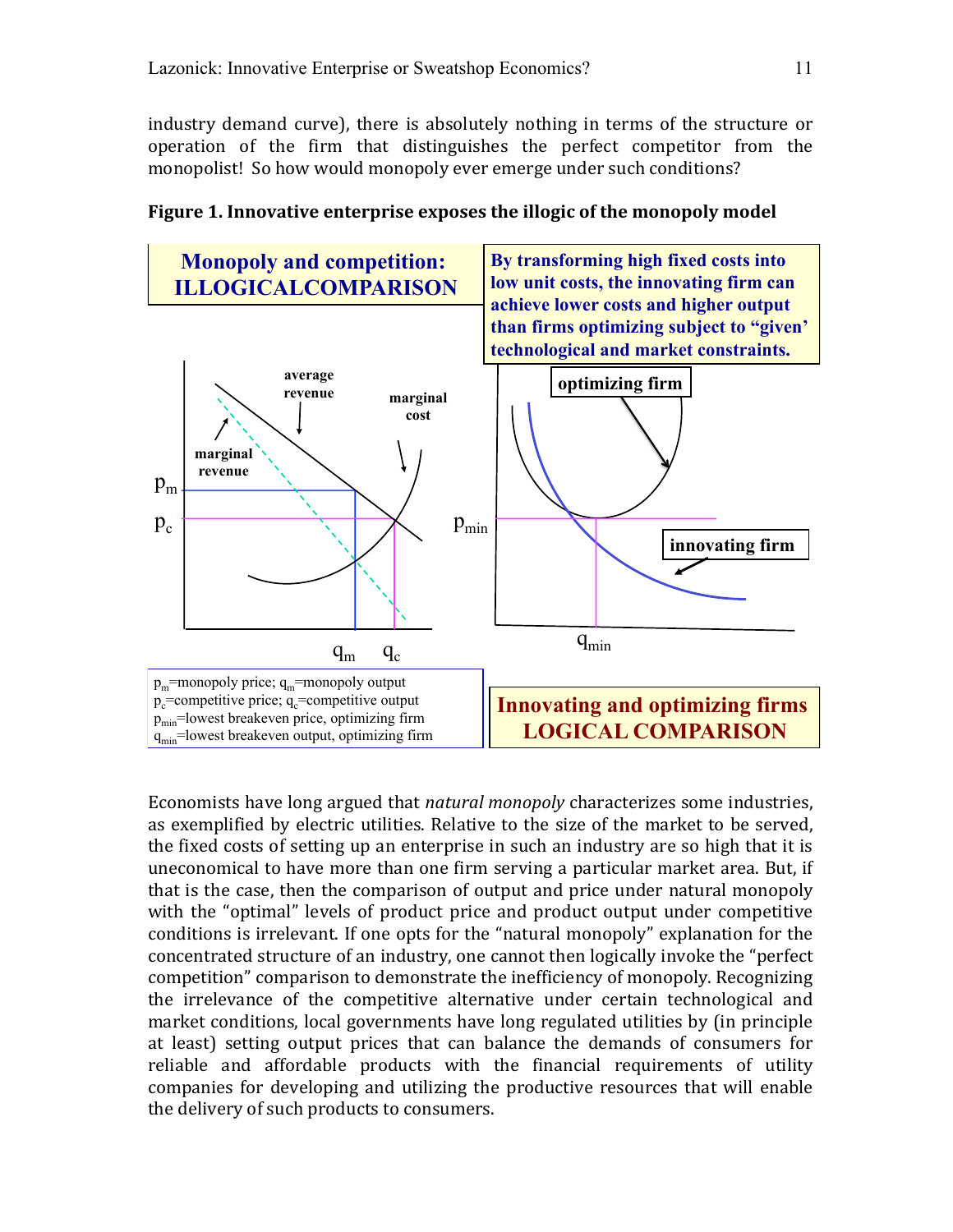industry demand curve), there is absolutely nothing in terms of the structure or operation of the firm that distinguishes the perfect competitor from the monopolist! So how would monopoly ever emerge under such conditions?





Economists have long argued that *natural monopoly* characterizes some industries, as exemplified by electric utilities. Relative to the size of the market to be served, the fixed costs of setting up an enterprise in such an industry are so high that it is uneconomical to have more than one firm serving a particular market area. But, if that is the case, then the comparison of output and price under natural monopoly with the "optimal" levels of product price and product output under competitive conditions is irrelevant. If one opts for the "natural monopoly" explanation for the concentrated structure of an industry, one cannot then logically invoke the "perfect" competition" comparison to demonstrate the inefficiency of monopoly. Recognizing the irrelevance of the competitive alternative under certain technological and market conditions, local governments have long regulated utilities by (in principle at least) setting output prices that can balance the demands of consumers for reliable and affordable products with the financial requirements of utility companies for developing and utilizing the productive resources that will enable the delivery of such products to consumers.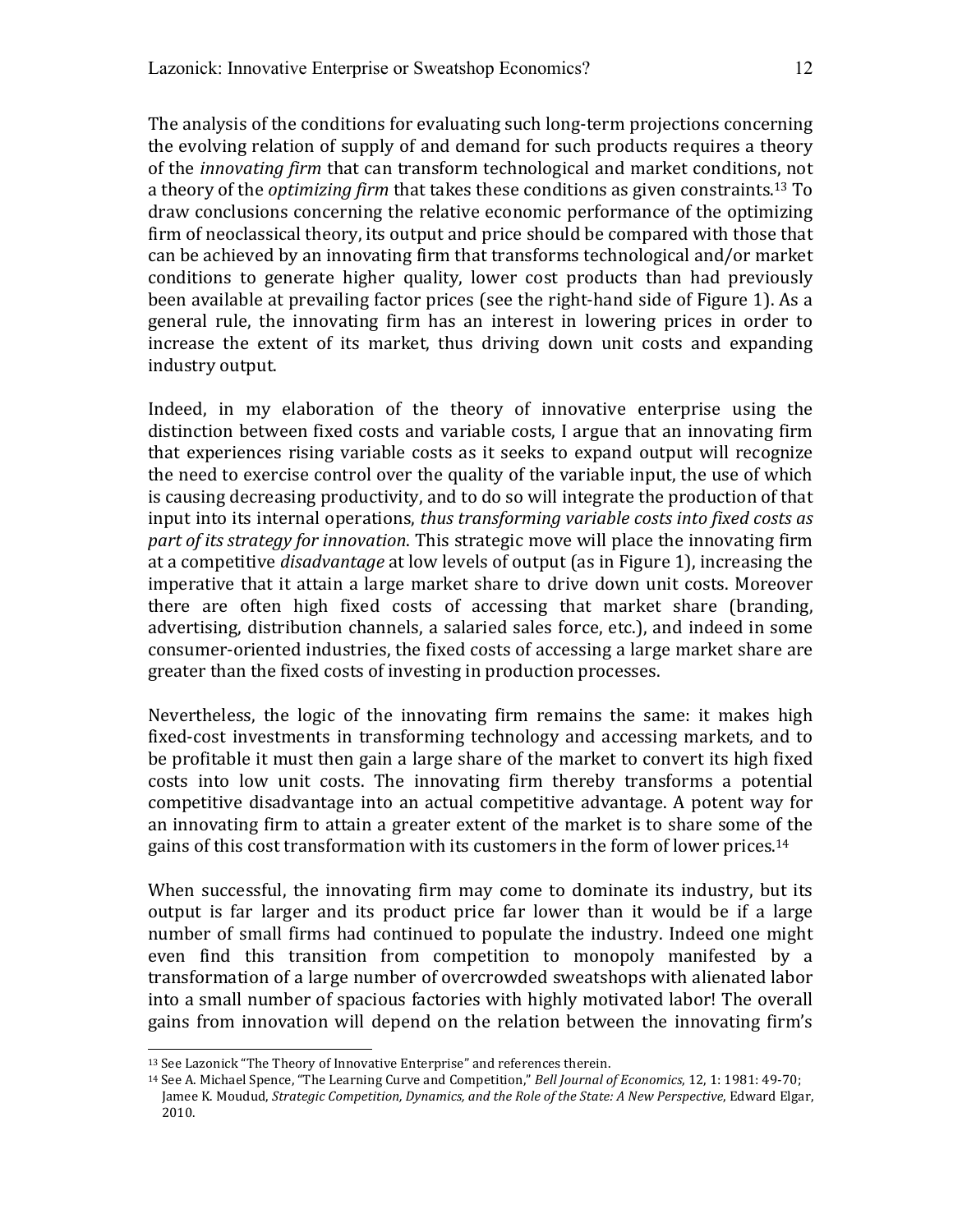The analysis of the conditions for evaluating such long-term projections concerning the evolving relation of supply of and demand for such products requires a theory of the *innovating firm* that can transform technological and market conditions, not a theory of the *optimizing firm* that takes these conditions as given constraints.<sup>13</sup> To draw conclusions concerning the relative economic performance of the optimizing firm of neoclassical theory, its output and price should be compared with those that can be achieved by an innovating firm that transforms technological and/or market conditions to generate higher quality, lower cost products than had previously been available at prevailing factor prices (see the right-hand side of Figure 1). As a general rule, the innovating firm has an interest in lowering prices in order to increase the extent of its market, thus driving down unit costs and expanding industry output.

Indeed, in my elaboration of the theory of innovative enterprise using the distinction between fixed costs and variable costs, I argue that an innovating firm that experiences rising variable costs as it seeks to expand output will recognize the need to exercise control over the quality of the variable input, the use of which is causing decreasing productivity, and to do so will integrate the production of that input into its internal operations, *thus transforming variable costs into fixed costs as part of its strategy for innovation*. This strategic move will place the innovating firm at a competitive *disadvantage* at low levels of output (as in Figure 1), increasing the imperative that it attain a large market share to drive down unit costs. Moreover there are often high fixed costs of accessing that market share (branding, advertising, distribution channels, a salaried sales force, etc.), and indeed in some consumer-oriented industries, the fixed costs of accessing a large market share are greater than the fixed costs of investing in production processes.

Nevertheless, the logic of the innovating firm remains the same: it makes high fixed-cost investments in transforming technology and accessing markets, and to be profitable it must then gain a large share of the market to convert its high fixed costs into low unit costs. The innovating firm thereby transforms a potential competitive disadvantage into an actual competitive advantage. A potent way for an innovating firm to attain a greater extent of the market is to share some of the gains of this cost transformation with its customers in the form of lower prices.<sup>14</sup>

When successful, the innovating firm may come to dominate its industry, but its output is far larger and its product price far lower than it would be if a large number of small firms had continued to populate the industry. Indeed one might even find this transition from competition to monopoly manifested by a transformation of a large number of overcrowded sweatshops with alienated labor into a small number of spacious factories with highly motivated labor! The overall gains from innovation will depend on the relation between the innovating firm's

<sup>&</sup>lt;sup>13</sup> See Lazonick "The Theory of Innovative Enterprise" and references therein.

<sup>&</sup>lt;sup>14</sup> See A. Michael Spence, "The Learning Curve and Competition," *Bell Journal of Economics*, 12, 1: 1981: 49-70; Jamee K. Moudud, *Strategic Competition, Dynamics, and the Role of the State: A New Perspective*, Edward Elgar, 2010.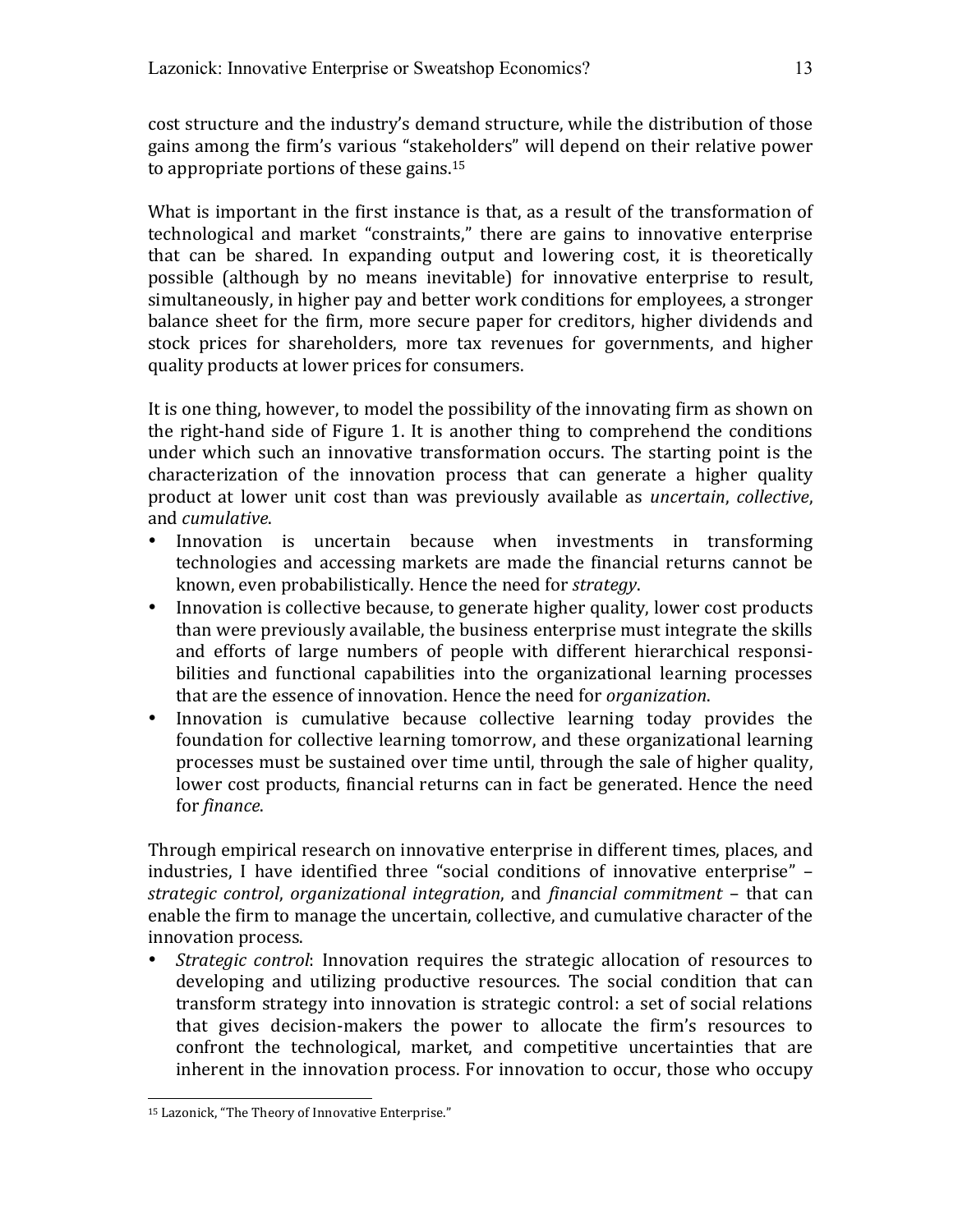cost structure and the industry's demand structure, while the distribution of those gains among the firm's various "stakeholders" will depend on their relative power to appropriate portions of these gains.<sup>15</sup>

What is important in the first instance is that, as a result of the transformation of technological and market "constraints," there are gains to innovative enterprise that can be shared. In expanding output and lowering cost, it is theoretically possible (although by no means inevitable) for innovative enterprise to result, simultaneously, in higher pay and better work conditions for employees, a stronger balance sheet for the firm, more secure paper for creditors, higher dividends and stock prices for shareholders, more tax revenues for governments, and higher quality products at lower prices for consumers.

It is one thing, however, to model the possibility of the innovating firm as shown on the right-hand side of Figure 1. It is another thing to comprehend the conditions under which such an innovative transformation occurs. The starting point is the characterization of the innovation process that can generate a higher quality product at lower unit cost than was previously available as *uncertain*, *collective*, and *cumulative*. 

- Innovation is uncertain because when investments in transforming technologies and accessing markets are made the financial returns cannot be known, even probabilistically. Hence the need for *strategy*.
- Innovation is collective because, to generate higher quality, lower cost products than were previously available, the business enterprise must integrate the skills and efforts of large numbers of people with different hierarchical responsibilities and functional capabilities into the organizational learning processes that are the essence of innovation. Hence the need for *organization*.
- Innovation is cumulative because collective learning today provides the foundation for collective learning tomorrow, and these organizational learning processes must be sustained over time until, through the sale of higher quality, lower cost products, financial returns can in fact be generated. Hence the need for *finance*.

Through empirical research on innovative enterprise in different times, places, and industries, I have identified three "social conditions of innovative enterprise" *strategic control*, *organizational integration*, and *financial commitment* – that can enable the firm to manage the uncertain, collective, and cumulative character of the innovation process.

• *Strategic control:* Innovation requires the strategic allocation of resources to developing and utilizing productive resources. The social condition that can transform strategy into innovation is strategic control: a set of social relations that gives decision-makers the power to allocate the firm's resources to confront the technological, market, and competitive uncertainties that are inherent in the innovation process. For innovation to occur, those who occupy

<sup>15</sup> Lazonick, "The Theory of Innovative Enterprise."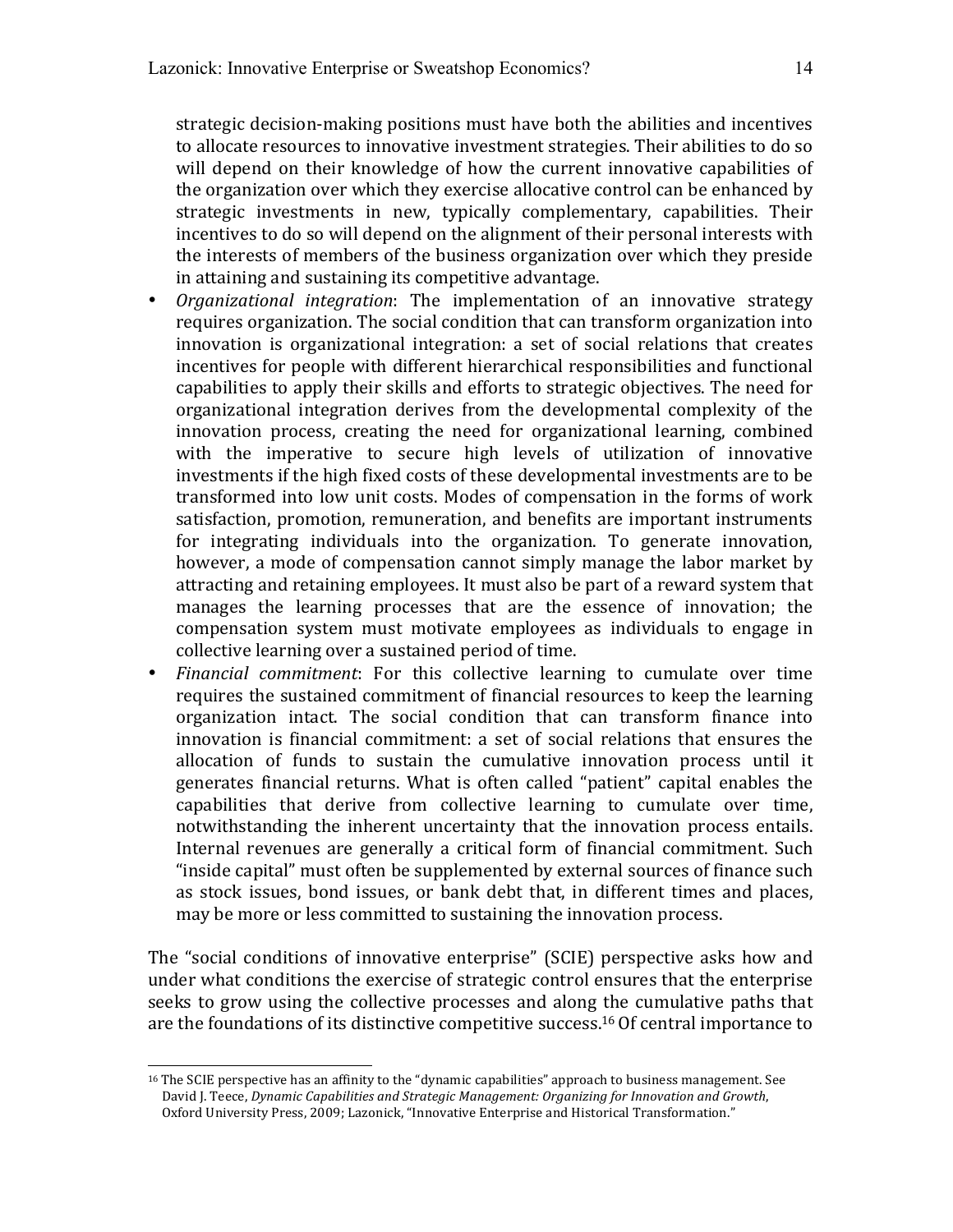strategic decision-making positions must have both the abilities and incentives to allocate resources to innovative investment strategies. Their abilities to do so will depend on their knowledge of how the current innovative capabilities of the organization over which they exercise allocative control can be enhanced by strategic investments in new, typically complementary, capabilities. Their incentives to do so will depend on the alignment of their personal interests with the interests of members of the business organization over which they preside in attaining and sustaining its competitive advantage.

- *Organizational integration*: The implementation of an innovative strategy requires organization. The social condition that can transform organization into innovation is organizational integration: a set of social relations that creates incentives for people with different hierarchical responsibilities and functional capabilities to apply their skills and efforts to strategic objectives. The need for organizational integration derives from the developmental complexity of the innovation process, creating the need for organizational learning, combined with the imperative to secure high levels of utilization of innovative investments if the high fixed costs of these developmental investments are to be transformed into low unit costs. Modes of compensation in the forms of work satisfaction, promotion, remuneration, and benefits are important instruments for integrating individuals into the organization. To generate innovation, however, a mode of compensation cannot simply manage the labor market by attracting and retaining employees. It must also be part of a reward system that manages the learning processes that are the essence of innovation; the compensation system must motivate employees as individuals to engage in collective learning over a sustained period of time.
- *Financial commitment*: For this collective learning to cumulate over time requires the sustained commitment of financial resources to keep the learning organization intact. The social condition that can transform finance into innovation is financial commitment: a set of social relations that ensures the allocation of funds to sustain the cumulative innovation process until it generates financial returns. What is often called "patient" capital enables the capabilities that derive from collective learning to cumulate over time, notwithstanding the inherent uncertainty that the innovation process entails. Internal revenues are generally a critical form of financial commitment. Such "inside capital" must often be supplemented by external sources of finance such as stock issues, bond issues, or bank debt that, in different times and places, may be more or less committed to sustaining the innovation process.

The "social conditions of innovative enterprise" (SCIE) perspective asks how and under what conditions the exercise of strategic control ensures that the enterprise seeks to grow using the collective processes and along the cumulative paths that are the foundations of its distinctive competitive success.<sup>16</sup> Of central importance to

<sup>&</sup>lt;sup>16</sup> The SCIE perspective has an affinity to the "dynamic capabilities" approach to business management. See David J. Teece, *Dynamic Capabilities and Strategic Management: Organizing for Innovation and Growth*, Oxford University Press, 2009; Lazonick, "Innovative Enterprise and Historical Transformation."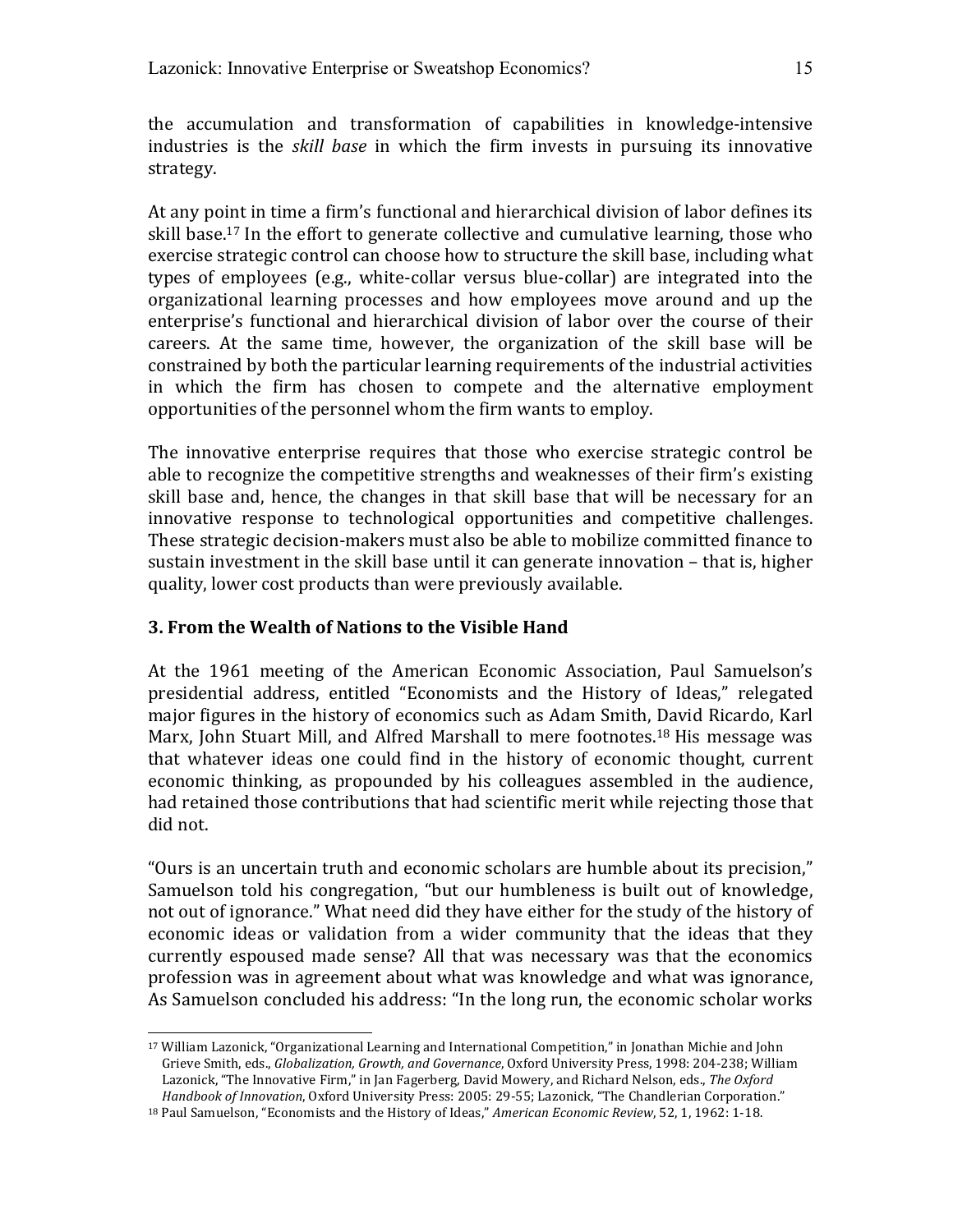the accumulation and transformation of capabilities in knowledge-intensive industries is the *skill base* in which the firm invests in pursuing its innovative strategy. 

At any point in time a firm's functional and hierarchical division of labor defines its skill base.<sup>17</sup> In the effort to generate collective and cumulative learning, those who exercise strategic control can choose how to structure the skill base, including what types of employees (e.g., white-collar versus blue-collar) are integrated into the organizational learning processes and how employees move around and up the enterprise's functional and hierarchical division of labor over the course of their careers. At the same time, however, the organization of the skill base will be constrained by both the particular learning requirements of the industrial activities in which the firm has chosen to compete and the alternative employment opportunities of the personnel whom the firm wants to employ.

The innovative enterprise requires that those who exercise strategic control be able to recognize the competitive strengths and weaknesses of their firm's existing skill base and, hence, the changes in that skill base that will be necessary for an innovative response to technological opportunities and competitive challenges. These strategic decision-makers must also be able to mobilize committed finance to sustain investment in the skill base until it can generate innovation – that is, higher quality, lower cost products than were previously available.

# **3. From the Wealth of Nations to the Visible Hand**

 

At the 1961 meeting of the American Economic Association, Paul Samuelson's presidential address, entitled "Economists and the History of Ideas," relegated major figures in the history of economics such as Adam Smith, David Ricardo, Karl Marx, John Stuart Mill, and Alfred Marshall to mere footnotes.<sup>18</sup> His message was that whatever ideas one could find in the history of economic thought, current economic thinking, as propounded by his colleagues assembled in the audience, had retained those contributions that had scientific merit while rejecting those that did not.

"Ours is an uncertain truth and economic scholars are humble about its precision," Samuelson told his congregation, "but our humbleness is built out of knowledge, not out of ignorance." What need did they have either for the study of the history of economic ideas or validation from a wider community that the ideas that they currently espoused made sense? All that was necessary was that the economics profession was in agreement about what was knowledge and what was ignorance, As Samuelson concluded his address: "In the long run, the economic scholar works

<sup>&</sup>lt;sup>17</sup> William Lazonick, "Organizational Learning and International Competition," in Jonathan Michie and John Grieve Smith, eds., *Globalization, Growth, and Governance*, Oxford University Press, 1998: 204-238; William Lazonick, "The Innovative Firm," in Jan Fagerberg, David Mowery, and Richard Nelson, eds., *The Oxford* Handbook of Innovation, Oxford University Press: 2005: 29-55; Lazonick, "The Chandlerian Corporation."

<sup>&</sup>lt;sup>18</sup> Paul Samuelson, "Economists and the History of Ideas," *American Economic Review*, 52, 1, 1962: 1-18.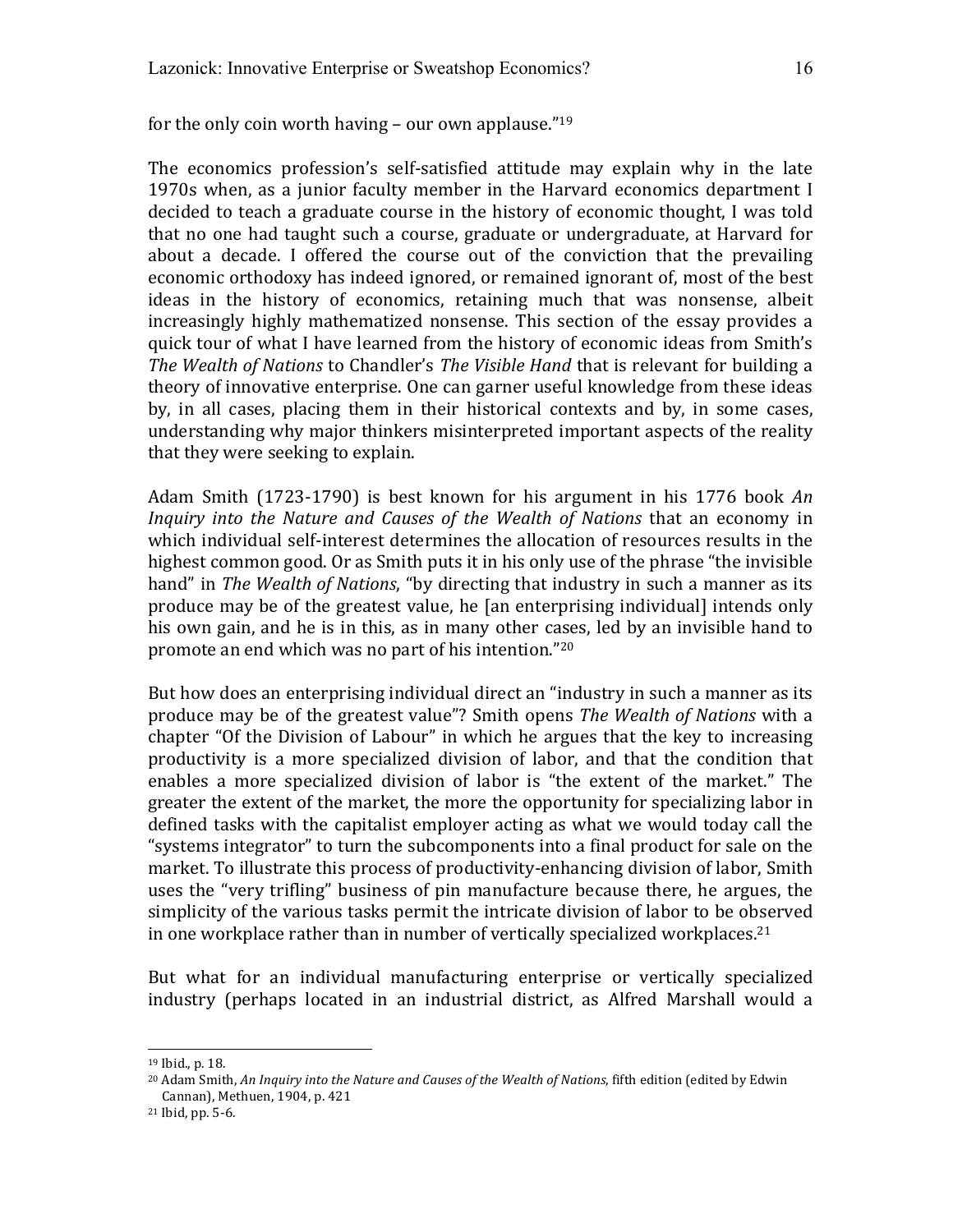for the only coin worth having – our own applause."<sup>19</sup>

The economics profession's self-satisfied attitude may explain why in the late 1970s when, as a junior faculty member in the Harvard economics department I decided to teach a graduate course in the history of economic thought, I was told that no one had taught such a course, graduate or undergraduate, at Harvard for about a decade. I offered the course out of the conviction that the prevailing economic orthodoxy has indeed ignored, or remained ignorant of, most of the best ideas in the history of economics, retaining much that was nonsense, albeit increasingly highly mathematized nonsense. This section of the essay provides a quick tour of what I have learned from the history of economic ideas from Smith's *The Wealth of Nations* to Chandler's *The Visible Hand* that is relevant for building a theory of innovative enterprise. One can garner useful knowledge from these ideas by, in all cases, placing them in their historical contexts and by, in some cases, understanding why major thinkers misinterpreted important aspects of the reality that they were seeking to explain.

Adam Smith (1723-1790) is best known for his argument in his 1776 book *An Inquiry into the Nature and Causes of the Wealth of Nations* that an economy in which individual self-interest determines the allocation of resources results in the highest common good. Or as Smith puts it in his only use of the phrase "the invisible hand" in *The Wealth of Nations*, "by directing that industry in such a manner as its produce may be of the greatest value, he [an enterprising individual] intends only his own gain, and he is in this, as in many other cases, led by an invisible hand to promote an end which was no part of his intention."<sup>20</sup>

But how does an enterprising individual direct an "industry in such a manner as its produce may be of the greatest value"? Smith opens *The Wealth of Nations* with a chapter "Of the Division of Labour" in which he argues that the key to increasing productivity is a more specialized division of labor, and that the condition that enables a more specialized division of labor is "the extent of the market." The greater the extent of the market, the more the opportunity for specializing labor in defined tasks with the capitalist employer acting as what we would today call the "systems integrator" to turn the subcomponents into a final product for sale on the market. To illustrate this process of productivity-enhancing division of labor, Smith uses the "very trifling" business of pin manufacture because there, he argues, the simplicity of the various tasks permit the intricate division of labor to be observed in one workplace rather than in number of vertically specialized workplaces.<sup>21</sup>

But what for an individual manufacturing enterprise or vertically specialized industry (perhaps located in an industrial district, as Alfred Marshall would a

<sup>19</sup> Ibid., p. 18.

<sup>&</sup>lt;sup>20</sup> Adam Smith, An Inquiry into the Nature and Causes of the Wealth of Nations, fifth edition (edited by Edwin Cannan), Methuen, 1904, p. 421

<sup>21</sup> Ibid, pp. 5-6.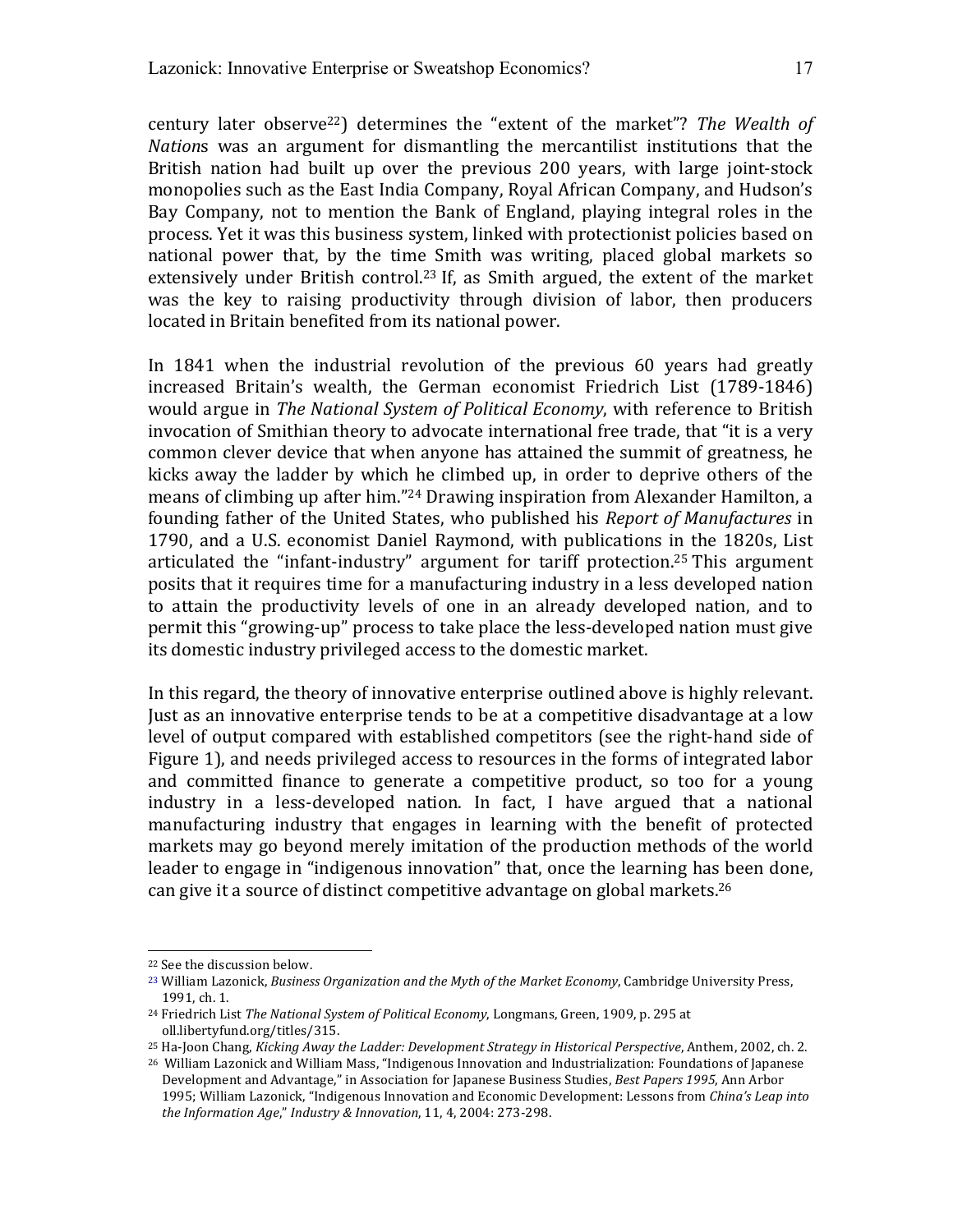century later observe<sup>22</sup>) determines the "extent of the market"? The Wealth of *Nations* was an argument for dismantling the mercantilist institutions that the British nation had built up over the previous 200 years, with large joint-stock monopolies such as the East India Company, Royal African Company, and Hudson's Bay Company, not to mention the Bank of England, playing integral roles in the process. Yet it was this business system, linked with protectionist policies based on national power that, by the time Smith was writing, placed global markets so extensively under British control.<sup>23</sup> If, as Smith argued, the extent of the market was the key to raising productivity through division of labor, then producers located in Britain benefited from its national power.

In 1841 when the industrial revolution of the previous 60 years had greatly increased Britain's wealth, the German economist Friedrich List (1789-1846) would argue in *The National System of Political Economy*, with reference to British invocation of Smithian theory to advocate international free trade, that "it is a very common clever device that when anyone has attained the summit of greatness, he kicks away the ladder by which he climbed up, in order to deprive others of the means of climbing up after him."<sup>24</sup> Drawing inspiration from Alexander Hamilton, a founding father of the United States, who published his *Report of Manufactures* in 1790, and a U.S. economist Daniel Raymond, with publications in the 1820s, List articulated the "infant-industry" argument for tariff protection.<sup>25</sup> This argument posits that it requires time for a manufacturing industry in a less developed nation to attain the productivity levels of one in an already developed nation, and to permit this "growing-up" process to take place the less-developed nation must give its domestic industry privileged access to the domestic market.

In this regard, the theory of innovative enterprise outlined above is highly relevant. Just as an innovative enterprise tends to be at a competitive disadvantage at a low level of output compared with established competitors (see the right-hand side of Figure 1), and needs privileged access to resources in the forms of integrated labor and committed finance to generate a competitive product, so too for a young industry in a less-developed nation. In fact, I have argued that a national manufacturing industry that engages in learning with the benefit of protected markets may go beyond merely imitation of the production methods of the world leader to engage in "indigenous innovation" that, once the learning has been done, can give it a source of distinct competitive advantage on global markets.<sup>26</sup>

<sup>&</sup>lt;sup>22</sup> See the discussion below.

<sup>&</sup>lt;sup>23</sup> William Lazonick, *Business Organization and the Myth of the Market Economy*, Cambridge University Press, 1991, ch. 1.

<sup>&</sup>lt;sup>24</sup> Friedrich List *The National System of Political Economy*, Longmans, Green, 1909, p. 295 at oll.libertyfund.org/titles/315.

<sup>&</sup>lt;sup>25</sup> Ha-Joon Chang, *Kicking Away the Ladder: Development Strategy in Historical Perspective*, Anthem, 2002, ch. 2.

<sup>&</sup>lt;sup>26</sup> William Lazonick and William Mass, "Indigenous Innovation and Industrialization: Foundations of Japanese Development and Advantage," in Association for Japanese Business Studies, *Best Papers 1995*, Ann Arbor 1995; William Lazonick, "Indigenous Innovation and Economic Development: Lessons from *China's Leap into* the Information Age," Industry & Innovation, 11, 4, 2004: 273-298.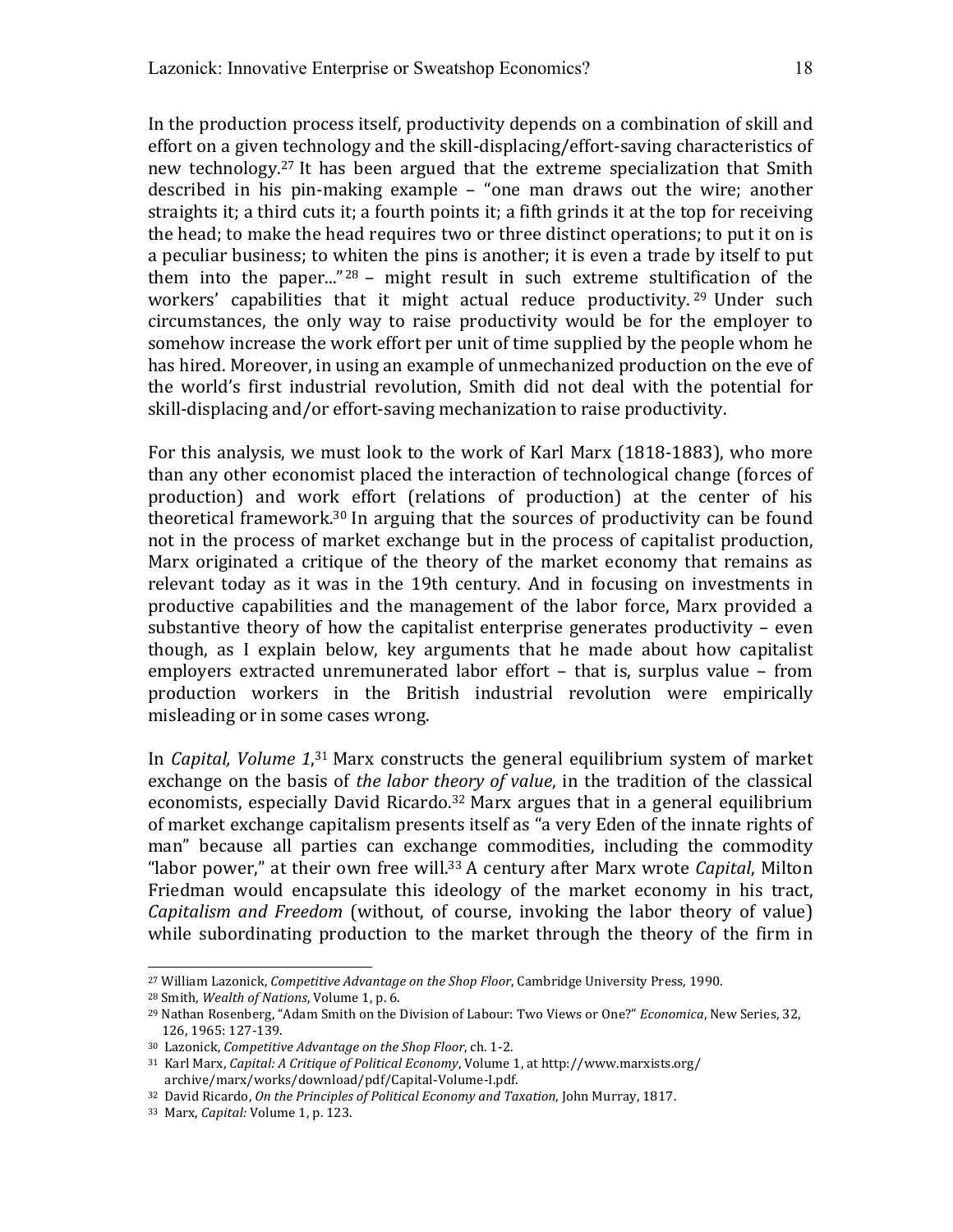In the production process itself, productivity depends on a combination of skill and effort on a given technology and the skill-displacing/effort-saving characteristics of new technology.<sup>27</sup> It has been argued that the extreme specialization that Smith described in his pin-making example  $-$  "one man draws out the wire; another straights it; a third cuts it; a fourth points it; a fifth grinds it at the top for receiving the head; to make the head requires two or three distinct operations; to put it on is a peculiar business; to whiten the pins is another; it is even a trade by itself to put them into the paper..."<sup>28</sup> – might result in such extreme stultification of the workers' capabilities that it might actual reduce productivity. <sup>29</sup> Under such circumstances, the only way to raise productivity would be for the employer to somehow increase the work effort per unit of time supplied by the people whom he has hired. Moreover, in using an example of unmechanized production on the eve of the world's first industrial revolution, Smith did not deal with the potential for skill-displacing and/or effort-saving mechanization to raise productivity.

For this analysis, we must look to the work of Karl Marx (1818-1883), who more than any other economist placed the interaction of technological change (forces of production) and work effort (relations of production) at the center of his theoretical framework.<sup>30</sup> In arguing that the sources of productivity can be found not in the process of market exchange but in the process of capitalist production, Marx originated a critique of the theory of the market economy that remains as relevant today as it was in the 19th century. And in focusing on investments in productive capabilities and the management of the labor force, Marx provided a substantive theory of how the capitalist enterprise generates productivity  $-$  even though, as I explain below, key arguments that he made about how capitalist employers extracted unremunerated labor effort  $-$  that is, surplus value  $-$  from production workers in the British industrial revolution were empirically misleading or in some cases wrong.

In *Capital, Volume* 1,<sup>31</sup> Marx constructs the general equilibrium system of market exchange on the basis of *the labor theory of value*, in the tradition of the classical economists, especially David Ricardo.<sup>32</sup> Marx argues that in a general equilibrium of market exchange capitalism presents itself as "a very Eden of the innate rights of man" because all parties can exchange commodities, including the commodity "labor power," at their own free will.<sup>33</sup> A century after Marx wrote *Capital*, Milton Friedman would encapsulate this ideology of the market economy in his tract, *Capitalism and Freedom* (without, of course, invoking the labor theory of value) while subordinating production to the market through the theory of the firm in

<sup>&</sup>lt;sup>27</sup> William Lazonick, *Competitive Advantage on the Shop Floor*, Cambridge University Press, 1990.

<sup>&</sup>lt;sup>28</sup> Smith, *Wealth of Nations*, Volume 1, p. 6.

<sup>&</sup>lt;sup>29</sup> Nathan Rosenberg, "Adam Smith on the Division of Labour: Two Views or One?" *Economica*, New Series, 32, 126, 1965: 127-139.

<sup>&</sup>lt;sup>30</sup> Lazonick, *Competitive Advantage on the Shop Floor*, ch. 1-2.

<sup>&</sup>lt;sup>31</sup> Karl Marx, *Capital: A Critique of Political Economy*, Volume 1, at http://www.marxists.org/ archive/marx/works/download/pdf/Capital-Volume-I.pdf.

<sup>&</sup>lt;sup>32</sup> David Ricardo, *On the Principles of Political Economy and Taxation*, John Murray, 1817.

<sup>33</sup> Marx, *Capital:* Volume 1, p. 123.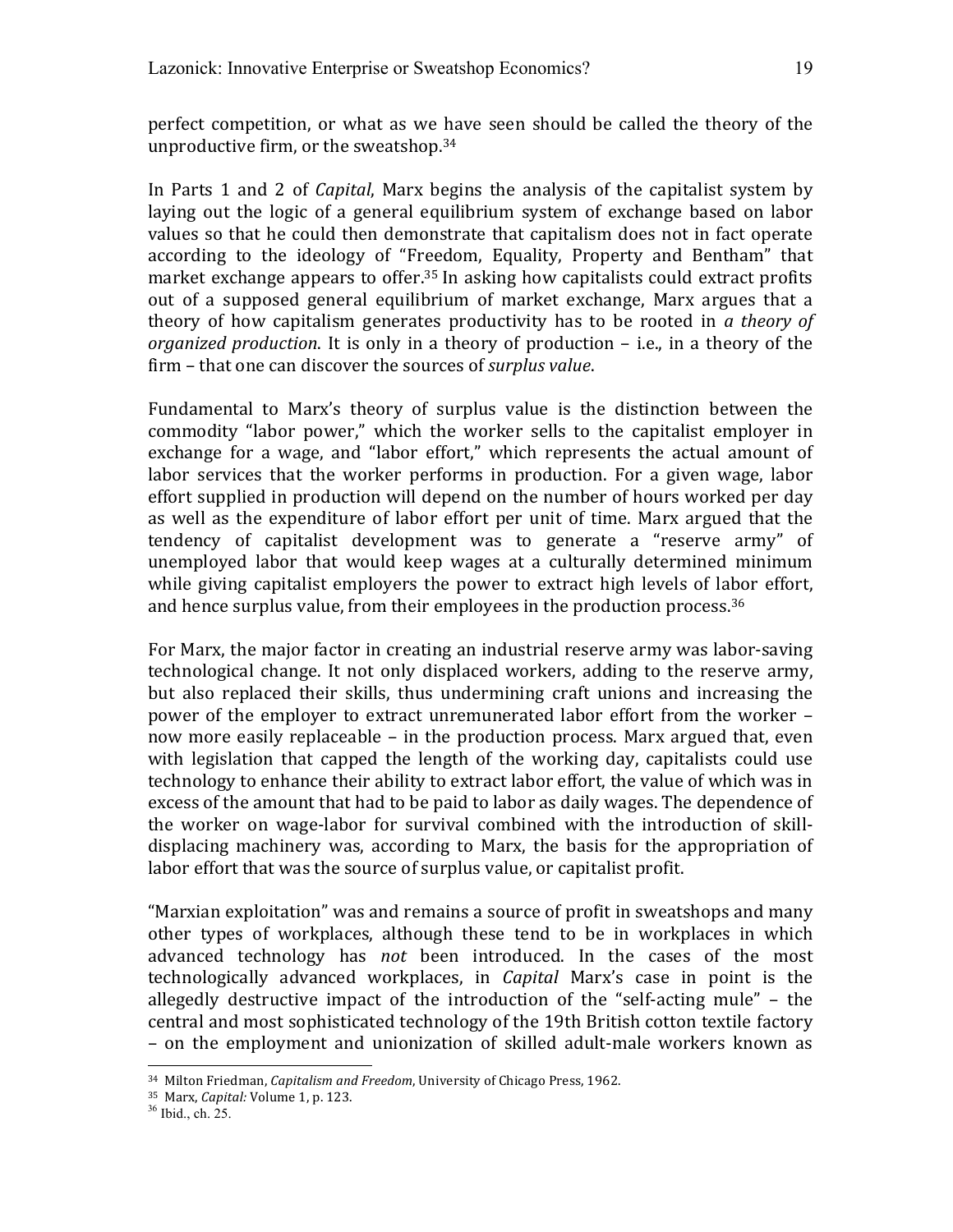perfect competition, or what as we have seen should be called the theory of the unproductive firm, or the sweatshop. $34$ 

In Parts 1 and 2 of *Capital*, Marx begins the analysis of the capitalist system by laying out the logic of a general equilibrium system of exchange based on labor values so that he could then demonstrate that capitalism does not in fact operate according to the ideology of "Freedom, Equality, Property and Bentham" that market exchange appears to offer.<sup>35</sup> In asking how capitalists could extract profits out of a supposed general equilibrium of market exchange, Marx argues that a theory of how capitalism generates productivity has to be rooted in *a* theory of *organized production*. It is only in a theory of production – i.e., in a theory of the firm – that one can discover the sources of *surplus value*.

Fundamental to Marx's theory of surplus value is the distinction between the commodity "labor power," which the worker sells to the capitalist employer in exchange for a wage, and "labor effort," which represents the actual amount of labor services that the worker performs in production. For a given wage, labor effort supplied in production will depend on the number of hours worked per day as well as the expenditure of labor effort per unit of time. Marx argued that the tendency of capitalist development was to generate a "reserve army" of unemployed labor that would keep wages at a culturally determined minimum while giving capitalist employers the power to extract high levels of labor effort, and hence surplus value, from their employees in the production process.<sup>36</sup>

For Marx, the major factor in creating an industrial reserve army was labor-saving technological change. It not only displaced workers, adding to the reserve army, but also replaced their skills, thus undermining craft unions and increasing the power of the employer to extract unremunerated labor effort from the worker now more easily replaceable – in the production process. Marx argued that, even with legislation that capped the length of the working day, capitalists could use technology to enhance their ability to extract labor effort, the value of which was in excess of the amount that had to be paid to labor as daily wages. The dependence of the worker on wage-labor for survival combined with the introduction of skilldisplacing machinery was, according to Marx, the basis for the appropriation of labor effort that was the source of surplus value, or capitalist profit.

"Marxian exploitation" was and remains a source of profit in sweatshops and many other types of workplaces, although these tend to be in workplaces in which advanced technology has *not* been introduced. In the cases of the most technologically advanced workplaces, in *Capital* Marx's case in point is the allegedly destructive impact of the introduction of the "self-acting mule"  $-$  the central and most sophisticated technology of the 19th British cotton textile factory – on the employment and unionization of skilled adult-male workers known as

<sup>&</sup>lt;sup>34</sup> Milton Friedman, *Capitalism and Freedom*, University of Chicago Press, 1962.

<sup>&</sup>lt;sup>35</sup> Marx, *Capital:* Volume 1, p. 123.<br><sup>36</sup> Ibid., ch. 25.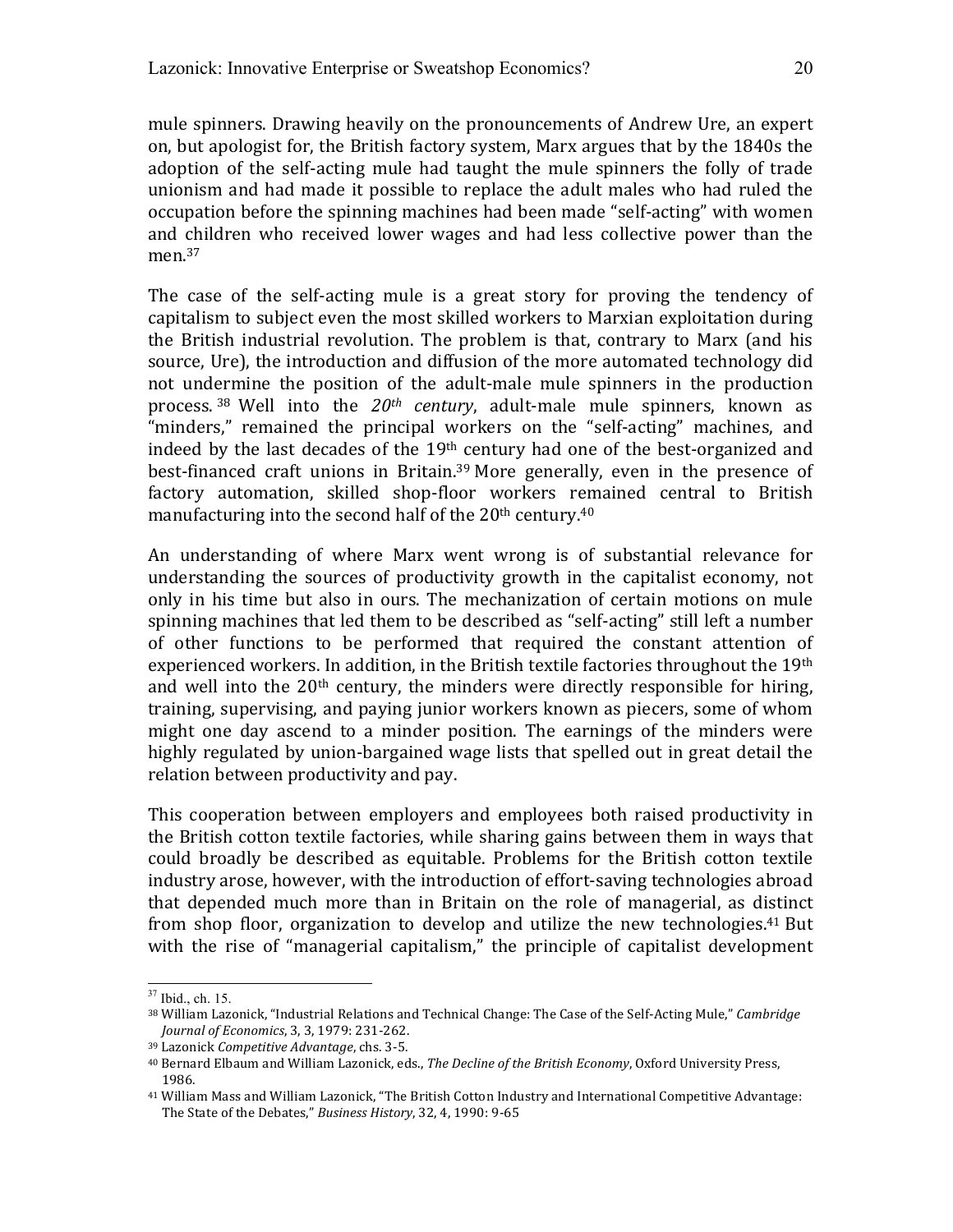mule spinners. Drawing heavily on the pronouncements of Andrew Ure, an expert on, but apologist for, the British factory system, Marx argues that by the 1840s the adoption of the self-acting mule had taught the mule spinners the folly of trade unionism and had made it possible to replace the adult males who had ruled the occupation before the spinning machines had been made "self-acting" with women and children who received lower wages and had less collective power than the men<sub>.37</sub>

The case of the self-acting mule is a great story for proving the tendency of capitalism to subject even the most skilled workers to Marxian exploitation during the British industrial revolution. The problem is that, contrary to Marx (and his source, Ure), the introduction and diffusion of the more automated technology did not undermine the position of the adult-male mule spinners in the production process.  $38$  Well into the  $20<sup>th</sup>$  *century*, adult-male mule spinners, known as "minders," remained the principal workers on the "self-acting" machines, and indeed by the last decades of the  $19<sup>th</sup>$  century had one of the best-organized and best-financed craft unions in Britain.<sup>39</sup> More generally, even in the presence of factory automation, skilled shop-floor workers remained central to British manufacturing into the second half of the  $20<sup>th</sup>$  century.<sup>40</sup>

An understanding of where Marx went wrong is of substantial relevance for understanding the sources of productivity growth in the capitalist economy, not only in his time but also in ours. The mechanization of certain motions on mule spinning machines that led them to be described as "self-acting" still left a number of other functions to be performed that required the constant attention of experienced workers. In addition, in the British textile factories throughout the  $19<sup>th</sup>$ and well into the  $20<sup>th</sup>$  century, the minders were directly responsible for hiring, training, supervising, and paying junior workers known as piecers, some of whom might one day ascend to a minder position. The earnings of the minders were highly regulated by union-bargained wage lists that spelled out in great detail the relation between productivity and pay.

This cooperation between employers and employees both raised productivity in the British cotton textile factories, while sharing gains between them in ways that could broadly be described as equitable. Problems for the British cotton textile industry arose, however, with the introduction of effort-saving technologies abroad that depended much more than in Britain on the role of managerial, as distinct from shop floor, organization to develop and utilize the new technologies.<sup>41</sup> But with the rise of "managerial capitalism," the principle of capitalist development

 <sup>37</sup> Ibid., ch. 15.

<sup>&</sup>lt;sup>38</sup> William Lazonick, "Industrial Relations and Technical Change: The Case of the Self-Acting Mule," *Cambridge Journal of Economics*, 3, 3, 1979: 231-262. 

<sup>&</sup>lt;sup>39</sup> Lazonick *Competitive Advantage*, chs. 3-5.

<sup>&</sup>lt;sup>40</sup> Bernard Elbaum and William Lazonick, eds., *The Decline of the British Economy*, Oxford University Press, 1986.

<sup>&</sup>lt;sup>41</sup> William Mass and William Lazonick, "The British Cotton Industry and International Competitive Advantage: The State of the Debates," Business History, 32, 4, 1990: 9-65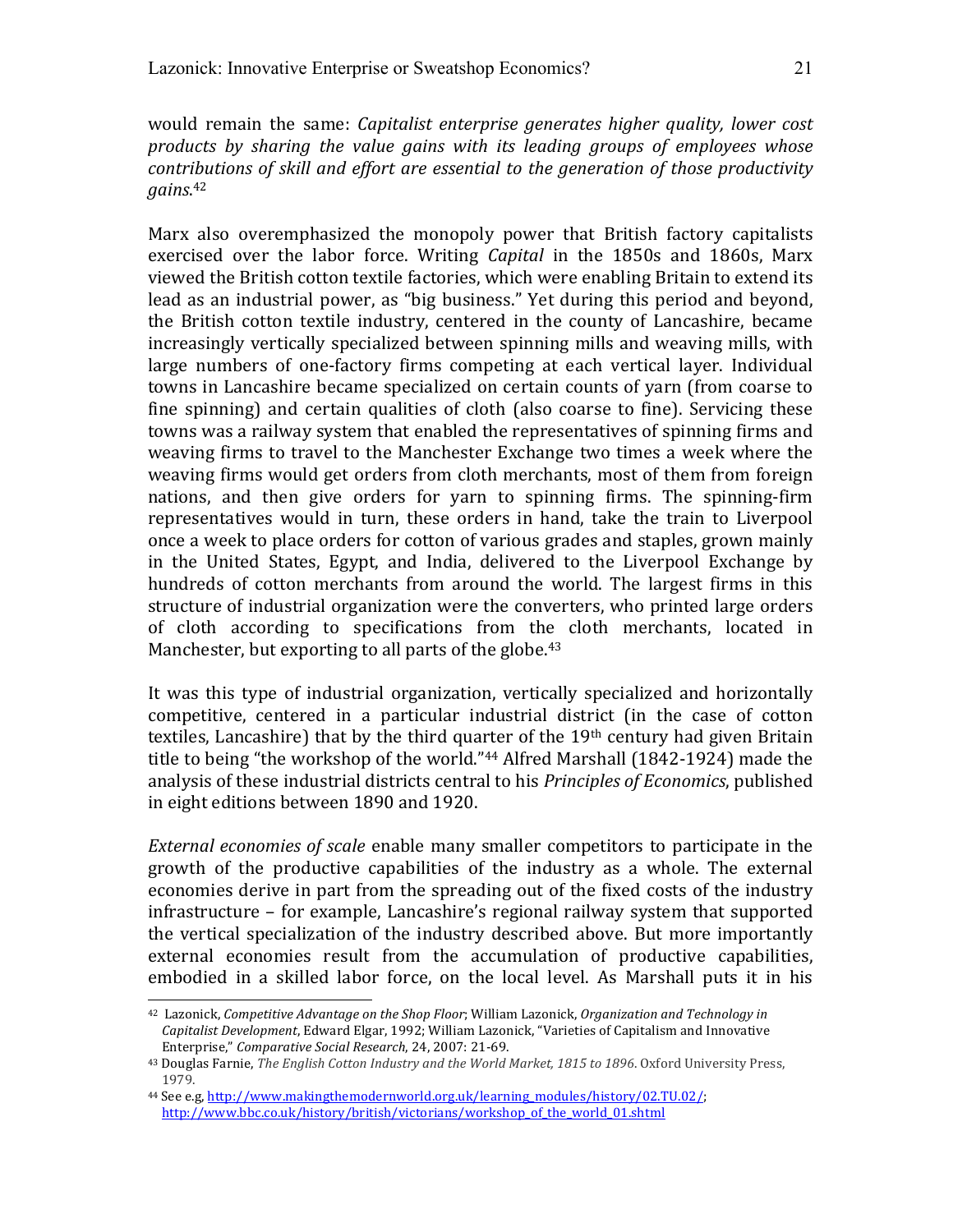would remain the same: *Capitalist enterprise generates higher quality, lower cost products* by sharing the value gains with its leading groups of employees whose *contributions of skill and effort are essential to the generation of those productivity gains*. 42

Marx also overemphasized the monopoly power that British factory capitalists exercised over the labor force. Writing *Capital* in the 1850s and 1860s, Marx viewed the British cotton textile factories, which were enabling Britain to extend its lead as an industrial power, as "big business." Yet during this period and beyond, the British cotton textile industry, centered in the county of Lancashire, became increasingly vertically specialized between spinning mills and weaving mills, with large numbers of one-factory firms competing at each vertical layer. Individual towns in Lancashire became specialized on certain counts of yarn (from coarse to fine spinning) and certain qualities of cloth (also coarse to fine). Servicing these towns was a railway system that enabled the representatives of spinning firms and weaving firms to travel to the Manchester Exchange two times a week where the weaving firms would get orders from cloth merchants, most of them from foreign nations, and then give orders for yarn to spinning firms. The spinning-firm representatives would in turn, these orders in hand, take the train to Liverpool once a week to place orders for cotton of various grades and staples, grown mainly in the United States, Egypt, and India, delivered to the Liverpool Exchange by hundreds of cotton merchants from around the world. The largest firms in this structure of industrial organization were the converters, who printed large orders of cloth according to specifications from the cloth merchants, located in Manchester, but exporting to all parts of the globe.<sup>43</sup>

It was this type of industrial organization, vertically specialized and horizontally competitive, centered in a particular industrial district (in the case of cotton textiles, Lancashire) that by the third quarter of the  $19<sup>th</sup>$  century had given Britain title to being "the workshop of the world."<sup>44</sup> Alfred Marshall (1842-1924) made the analysis of these industrial districts central to his *Principles of Economics*, published in eight editions between 1890 and 1920.

*External economies of scale* enable many smaller competitors to participate in the growth of the productive capabilities of the industry as a whole. The external economies derive in part from the spreading out of the fixed costs of the industry  $infrastructure$  – for example, Lancashire's regional railway system that supported the vertical specialization of the industry described above. But more importantly external economies result from the accumulation of productive capabilities, embodied in a skilled labor force, on the local level. As Marshall puts it in his

<sup>&</sup>lt;sup>42</sup> Lazonick, *Competitive Advantage on the Shop Floor*; William Lazonick, *Organization and Technology in* Capitalist Development, Edward Elgar, 1992; William Lazonick, "Varieties of Capitalism and Innovative Enterprise," *Comparative Social Research*, 24, 2007: 21-69. 

<sup>43</sup> Douglas Farnie, *The English Cotton Industry and the World Market, 1815 to 1896*. Oxford University Press, 1979.

<sup>44</sup> See e.g, http://www.makingthemodernworld.org.uk/learning\_modules/history/02.TU.02/; http://www.bbc.co.uk/history/british/victorians/workshop\_of\_the\_world\_01.shtml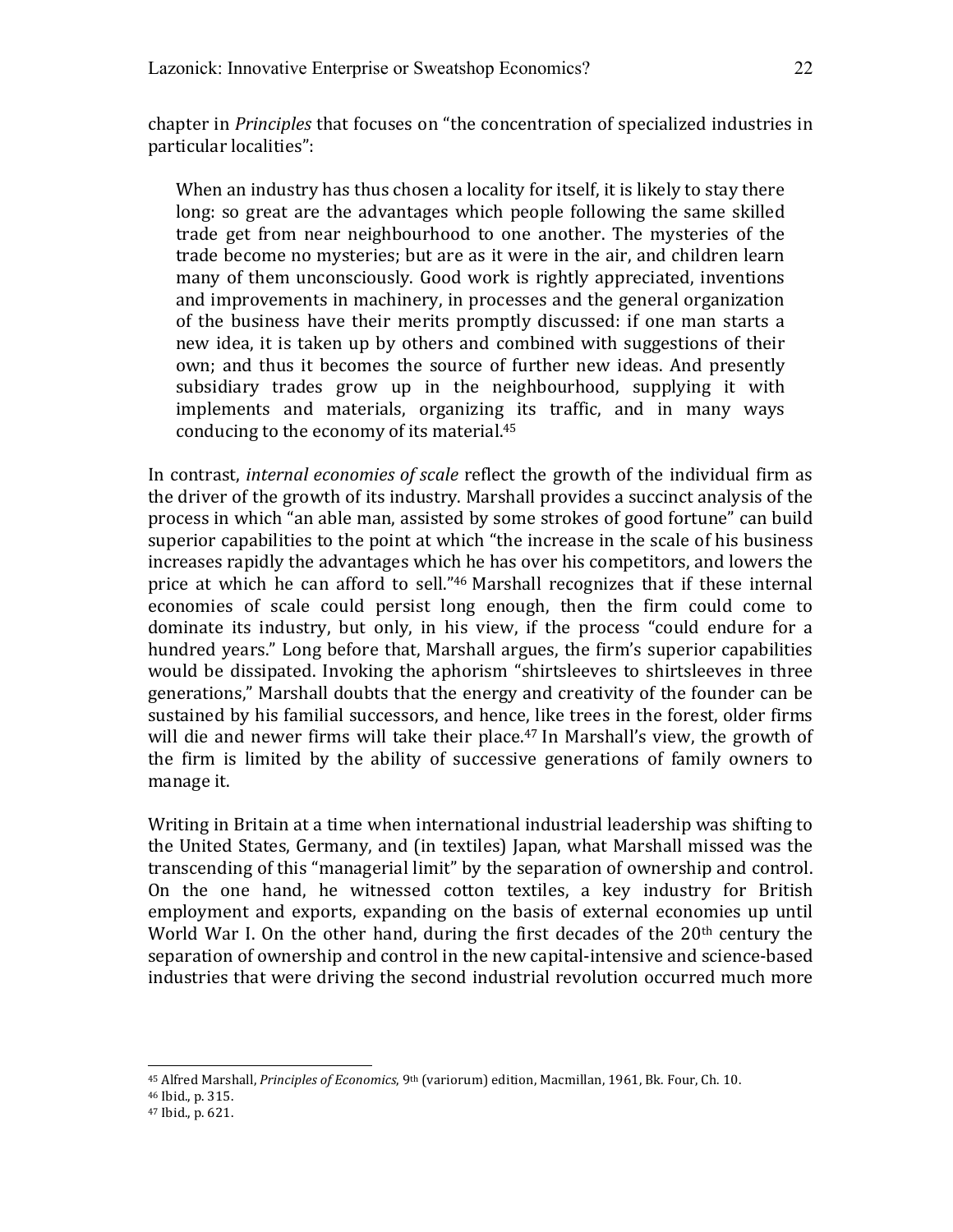chapter in *Principles* that focuses on "the concentration of specialized industries in particular localities":

When an industry has thus chosen a locality for itself, it is likely to stay there long: so great are the advantages which people following the same skilled trade get from near neighbourhood to one another. The mysteries of the trade become no mysteries; but are as it were in the air, and children learn many of them unconsciously. Good work is rightly appreciated, inventions and improvements in machinery, in processes and the general organization of the business have their merits promptly discussed: if one man starts a new idea, it is taken up by others and combined with suggestions of their own; and thus it becomes the source of further new ideas. And presently subsidiary trades grow up in the neighbourhood, supplying it with implements and materials, organizing its traffic, and in many ways conducing to the economy of its material. $45$ 

In contrast, *internal economies of scale* reflect the growth of the individual firm as the driver of the growth of its industry. Marshall provides a succinct analysis of the process in which "an able man, assisted by some strokes of good fortune" can build superior capabilities to the point at which "the increase in the scale of his business increases rapidly the advantages which he has over his competitors, and lowers the price at which he can afford to sell."<sup>46</sup> Marshall recognizes that if these internal economies of scale could persist long enough, then the firm could come to dominate its industry, but only, in his view, if the process "could endure for a hundred years." Long before that, Marshall argues, the firm's superior capabilities would be dissipated. Invoking the aphorism "shirtsleeves to shirtsleeves in three generations," Marshall doubts that the energy and creativity of the founder can be sustained by his familial successors, and hence, like trees in the forest, older firms will die and newer firms will take their place.<sup>47</sup> In Marshall's view, the growth of the firm is limited by the ability of successive generations of family owners to manage it.

Writing in Britain at a time when international industrial leadership was shifting to the United States, Germany, and (in textiles) Japan, what Marshall missed was the transcending of this "managerial limit" by the separation of ownership and control. On the one hand, he witnessed cotton textiles, a key industry for British employment and exports, expanding on the basis of external economies up until World War I. On the other hand, during the first decades of the  $20<sup>th</sup>$  century the separation of ownership and control in the new capital-intensive and science-based industries that were driving the second industrial revolution occurred much more

<sup>&</sup>lt;sup>45</sup> Alfred Marshall, *Principles of Economics*, 9<sup>th</sup> (variorum) edition, Macmillan, 1961, Bk. Four, Ch. 10.

<sup>46</sup> Ibid., p. 315.

<sup>47</sup> Ibid., p. 621.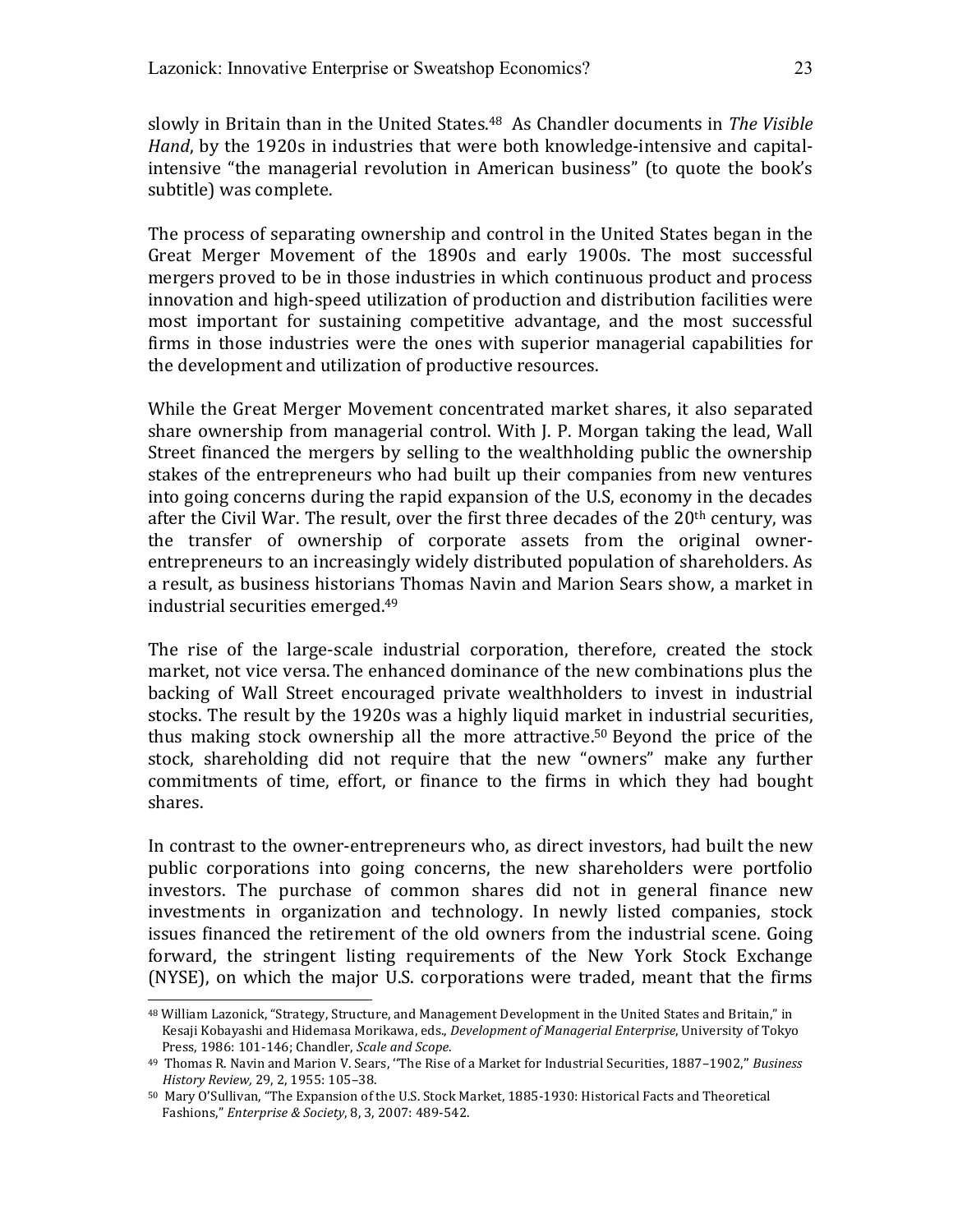slowly in Britain than in the United States.<sup>48</sup> As Chandler documents in *The Visible Hand*, by the 1920s in industries that were both knowledge-intensive and capitalintensive "the managerial revolution in American business" (to quote the book's subtitle) was complete.

The process of separating ownership and control in the United States began in the Great Merger Movement of the 1890s and early 1900s. The most successful mergers proved to be in those industries in which continuous product and process innovation and high-speed utilization of production and distribution facilities were most important for sustaining competitive advantage, and the most successful firms in those industries were the ones with superior managerial capabilities for the development and utilization of productive resources.

While the Great Merger Movement concentrated market shares, it also separated share ownership from managerial control. With J. P. Morgan taking the lead, Wall Street financed the mergers by selling to the wealthholding public the ownership stakes of the entrepreneurs who had built up their companies from new ventures into going concerns during the rapid expansion of the U.S, economy in the decades after the Civil War. The result, over the first three decades of the  $20<sup>th</sup>$  century, was the transfer of ownership of corporate assets from the original ownerentrepreneurs to an increasingly widely distributed population of shareholders. As a result, as business historians Thomas Navin and Marion Sears show, a market in industrial securities emerged.<sup>49</sup>

The rise of the large-scale industrial corporation, therefore, created the stock market, not vice versa. The enhanced dominance of the new combinations plus the backing of Wall Street encouraged private wealthholders to invest in industrial stocks. The result by the 1920s was a highly liquid market in industrial securities, thus making stock ownership all the more attractive.<sup>50</sup> Beyond the price of the stock, shareholding did not require that the new "owners" make any further commitments of time, effort, or finance to the firms in which they had bought shares.

In contrast to the owner-entrepreneurs who, as direct investors, had built the new public corporations into going concerns, the new shareholders were portfolio investors. The purchase of common shares did not in general finance new investments in organization and technology. In newly listed companies, stock issues financed the retirement of the old owners from the industrial scene. Going forward, the stringent listing requirements of the New York Stock Exchange (NYSE), on which the major U.S. corporations were traded, meant that the firms

<sup>&</sup>lt;sup>48</sup> William Lazonick, "Strategy, Structure, and Management Development in the United States and Britain," in Kesaji Kobayashi and Hidemasa Morikawa, eds., *Development of Managerial Enterprise*, University of Tokyo Press, 1986: 101-146; Chandler, *Scale and Scope*.

<sup>&</sup>lt;sup>49</sup> Thomas R. Navin and Marion V. Sears, "The Rise of a Market for Industrial Securities, 1887–1902," *Business History Review,* 29, 2, 1955: 105–38.

<sup>50</sup> Mary O'Sullivan, "The Expansion of the U.S. Stock Market, 1885-1930: Historical Facts and Theoretical Fashions," *Enterprise & Society*, 8, 3, 2007: 489-542.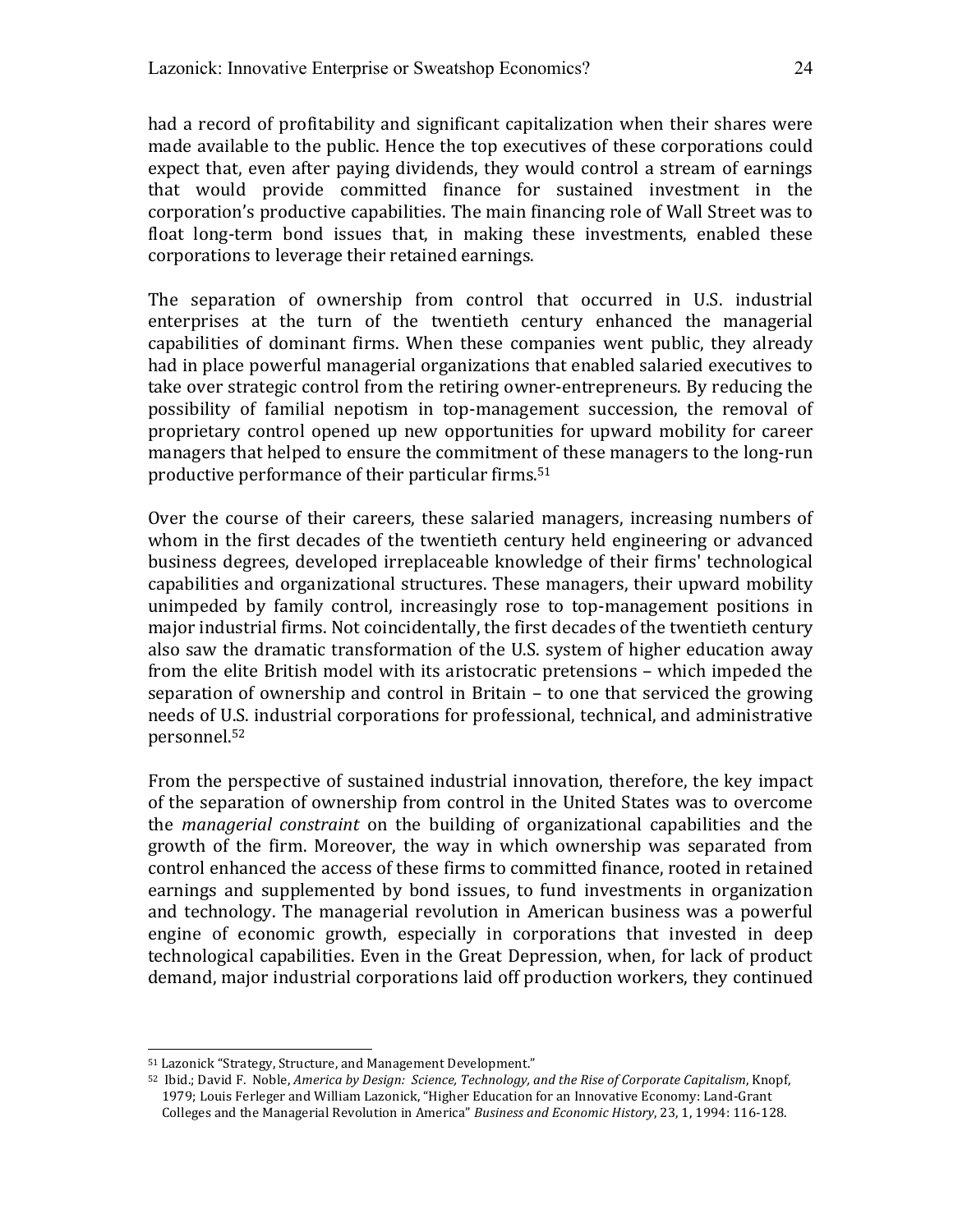had a record of profitability and significant capitalization when their shares were made available to the public. Hence the top executives of these corporations could expect that, even after paying dividends, they would control a stream of earnings that would provide committed finance for sustained investment in the corporation's productive capabilities. The main financing role of Wall Street was to float long-term bond issues that, in making these investments, enabled these corporations to leverage their retained earnings.

The separation of ownership from control that occurred in U.S. industrial enterprises at the turn of the twentieth century enhanced the managerial capabilities of dominant firms. When these companies went public, they already had in place powerful managerial organizations that enabled salaried executives to take over strategic control from the retiring owner-entrepreneurs. By reducing the possibility of familial nepotism in top-management succession, the removal of proprietary control opened up new opportunities for upward mobility for career managers that helped to ensure the commitment of these managers to the long-run productive performance of their particular firms.<sup>51</sup>

Over the course of their careers, these salaried managers, increasing numbers of whom in the first decades of the twentieth century held engineering or advanced business degrees, developed irreplaceable knowledge of their firms' technological capabilities and organizational structures. These managers, their upward mobility unimpeded by family control, increasingly rose to top-management positions in major industrial firms. Not coincidentally, the first decades of the twentieth century also saw the dramatic transformation of the U.S. system of higher education away from the elite British model with its aristocratic pretensions - which impeded the separation of ownership and control in Britain  $-$  to one that serviced the growing needs of U.S. industrial corporations for professional, technical, and administrative personnel.52

From the perspective of sustained industrial innovation, therefore, the key impact of the separation of ownership from control in the United States was to overcome the *managerial constraint* on the building of organizational capabilities and the growth of the firm. Moreover, the way in which ownership was separated from control enhanced the access of these firms to committed finance, rooted in retained earnings and supplemented by bond issues, to fund investments in organization and technology. The managerial revolution in American business was a powerful engine of economic growth, especially in corporations that invested in deep technological capabilities. Even in the Great Depression, when, for lack of product demand, major industrial corporations laid off production workers, they continued

<sup>51</sup> Lazonick "Strategy, Structure, and Management Development."

<sup>52</sup> Ibid.; David F. Noble, *America by Design: Science, Technology, and the Rise of Corporate Capitalism*, Knopf, 1979; Louis Ferleger and William Lazonick, "Higher Education for an Innovative Economy: Land-Grant Colleges and the Managerial Revolution in America" *Business and Economic History*, 23, 1, 1994: 116-128.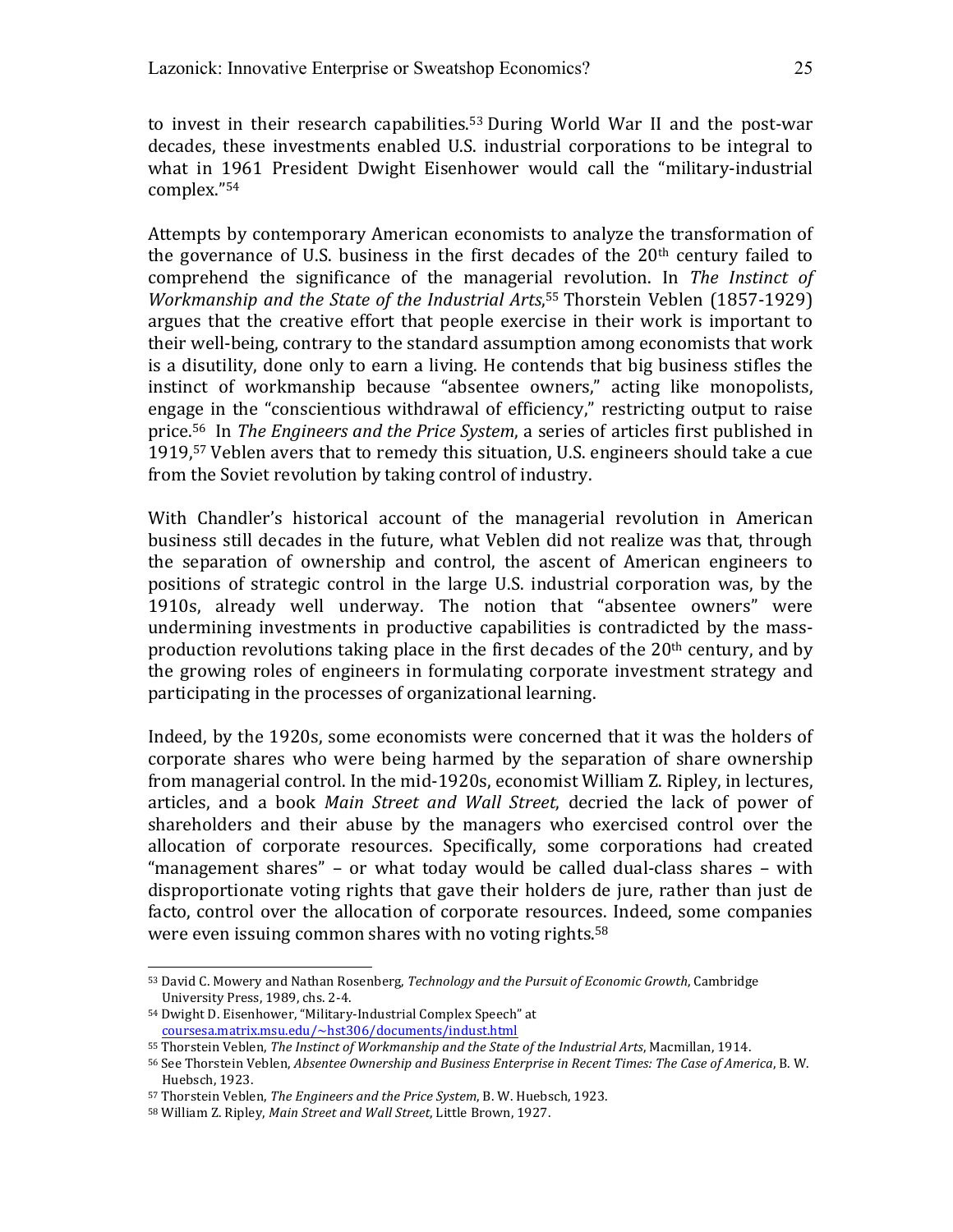to invest in their research capabilities.<sup>53</sup> During World War II and the post-war decades, these investments enabled U.S. industrial corporations to be integral to what in 1961 President Dwight Eisenhower would call the "military-industrial complex."54

Attempts by contemporary American economists to analyze the transformation of the governance of U.S. business in the first decades of the  $20<sup>th</sup>$  century failed to comprehend the significance of the managerial revolution. In *The Instinct of Workmanship and the State of the Industrial Arts*,<sup>55</sup> Thorstein Veblen (1857-1929) argues that the creative effort that people exercise in their work is important to their well-being, contrary to the standard assumption among economists that work is a disutility, done only to earn a living. He contends that big business stifles the instinct of workmanship because "absentee owners," acting like monopolists, engage in the "conscientious withdrawal of efficiency," restricting output to raise price.<sup>56</sup> In *The Engineers and the Price System*, a series of articles first published in 1919,<sup>57</sup> Veblen avers that to remedy this situation, U.S. engineers should take a cue from the Soviet revolution by taking control of industry.

With Chandler's historical account of the managerial revolution in American business still decades in the future, what Veblen did not realize was that, through the separation of ownership and control, the ascent of American engineers to positions of strategic control in the large U.S. industrial corporation was, by the 1910s, already well underway. The notion that "absentee owners" were undermining investments in productive capabilities is contradicted by the massproduction revolutions taking place in the first decades of the  $20<sup>th</sup>$  century, and by the growing roles of engineers in formulating corporate investment strategy and participating in the processes of organizational learning.

Indeed, by the 1920s, some economists were concerned that it was the holders of corporate shares who were being harmed by the separation of share ownership from managerial control. In the mid-1920s, economist William Z. Ripley, in lectures, articles, and a book *Main Street and Wall Street*, decried the lack of power of shareholders and their abuse by the managers who exercised control over the allocation of corporate resources. Specifically, some corporations had created "management shares" – or what today would be called dual-class shares – with disproportionate voting rights that gave their holders de jure, rather than just de facto, control over the allocation of corporate resources. Indeed, some companies were even issuing common shares with no voting rights.<sup>58</sup>

<sup>53</sup> David C. Mowery and Nathan Rosenberg, *Technology and the Pursuit of Economic Growth*, Cambridge University Press, 1989, chs. 2-4.

<sup>54</sup> Dwight D. Eisenhower, "Military-Industrial Complex Speech" at coursesa.matrix.msu.edu/~hst306/documents/indust.html

<sup>55</sup> Thorstein Veblen, *The Instinct of Workmanship and the State of the Industrial Arts*, Macmillan, 1914.

<sup>56</sup> See Thorstein Veblen, *Absentee Ownership and Business Enterprise in Recent Times: The Case of America*, B. W. Huebsch, 1923.

<sup>57</sup> Thorstein Veblen, *The Engineers and the Price System*, B. W. Huebsch, 1923.

<sup>58</sup> William Z. Ripley, *Main Street and Wall Street*, Little Brown, 1927.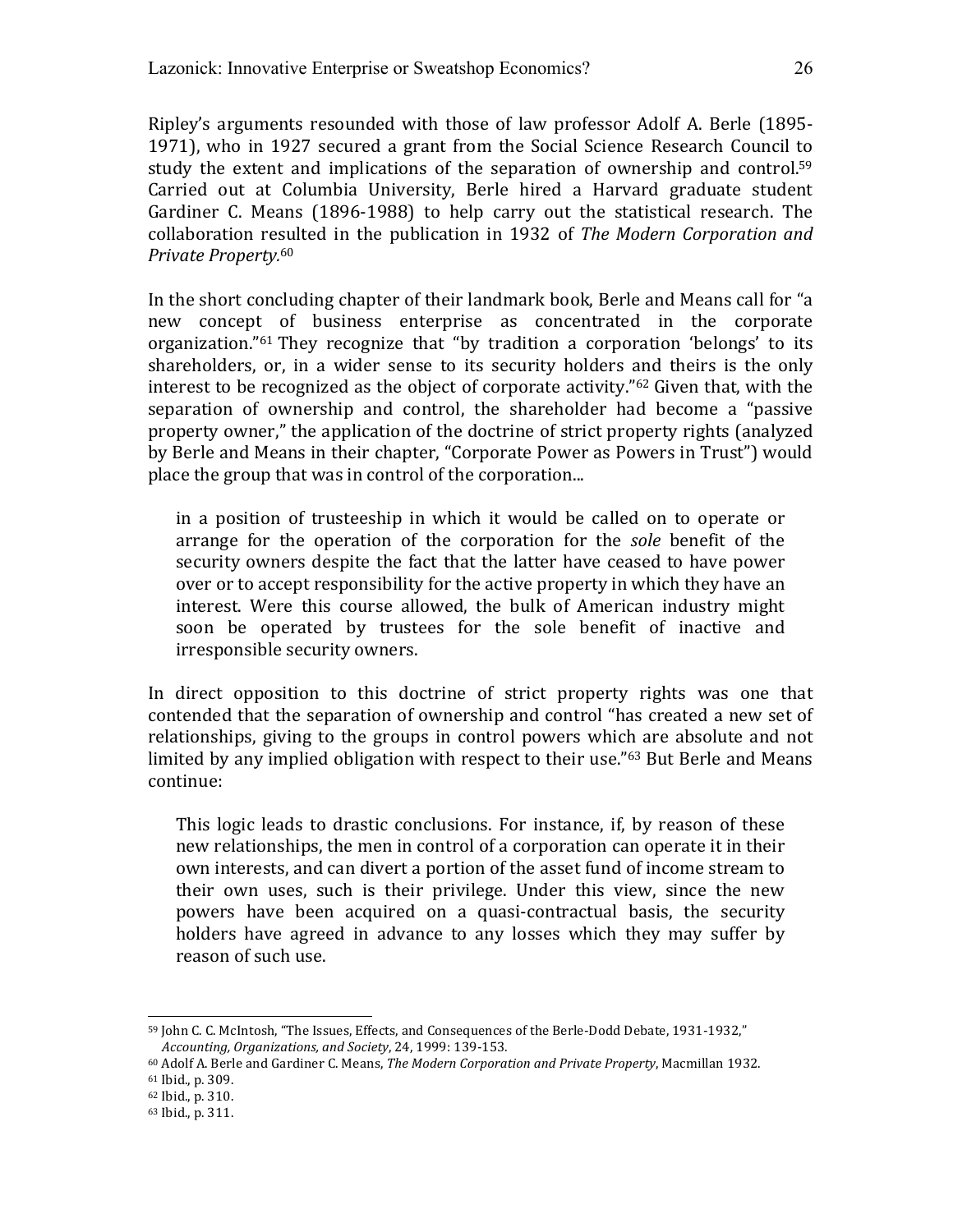Ripley's arguments resounded with those of law professor Adolf A. Berle (1895-1971), who in 1927 secured a grant from the Social Science Research Council to study the extent and implications of the separation of ownership and control.<sup>59</sup> Carried out at Columbia University, Berle hired a Harvard graduate student Gardiner C. Means (1896-1988) to help carry out the statistical research. The collaboration resulted in the publication in 1932 of *The Modern Corporation and Private Property.*60 

In the short concluding chapter of their landmark book, Berle and Means call for "a new concept of business enterprise as concentrated in the corporate organization."<sup>61</sup> They recognize that "by tradition a corporation 'belongs' to its shareholders, or, in a wider sense to its security holders and theirs is the only interest to be recognized as the object of corporate activity." $62$  Given that, with the separation of ownership and control, the shareholder had become a "passive property owner," the application of the doctrine of strict property rights (analyzed by Berle and Means in their chapter, "Corporate Power as Powers in Trust") would place the group that was in control of the corporation...

in a position of trusteeship in which it would be called on to operate or arrange for the operation of the corporation for the *sole* benefit of the security owners despite the fact that the latter have ceased to have power over or to accept responsibility for the active property in which they have an interest. Were this course allowed, the bulk of American industry might soon be operated by trustees for the sole benefit of inactive and irresponsible security owners.

In direct opposition to this doctrine of strict property rights was one that contended that the separation of ownership and control "has created a new set of relationships, giving to the groups in control powers which are absolute and not limited by any implied obligation with respect to their use." $63$  But Berle and Means continue: 

This logic leads to drastic conclusions. For instance, if, by reason of these new relationships, the men in control of a corporation can operate it in their own interests, and can divert a portion of the asset fund of income stream to their own uses, such is their privilege. Under this view, since the new powers have been acquired on a quasi-contractual basis, the security holders have agreed in advance to any losses which they may suffer by reason of such use.

<sup>59</sup> John C. C. McIntosh, "The Issues, Effects, and Consequences of the Berle-Dodd Debate, 1931-1932," *Accounting, Organizations, and Society*, 24, 1999: 139-153.

<sup>60</sup> Adolf A. Berle and Gardiner C. Means, *The Modern Corporation and Private Property*, Macmillan 1932.  $61$  Ibid., p. 309.

<sup>62</sup> Ibid., p. 310.

<sup>63</sup> Ibid., p. 311.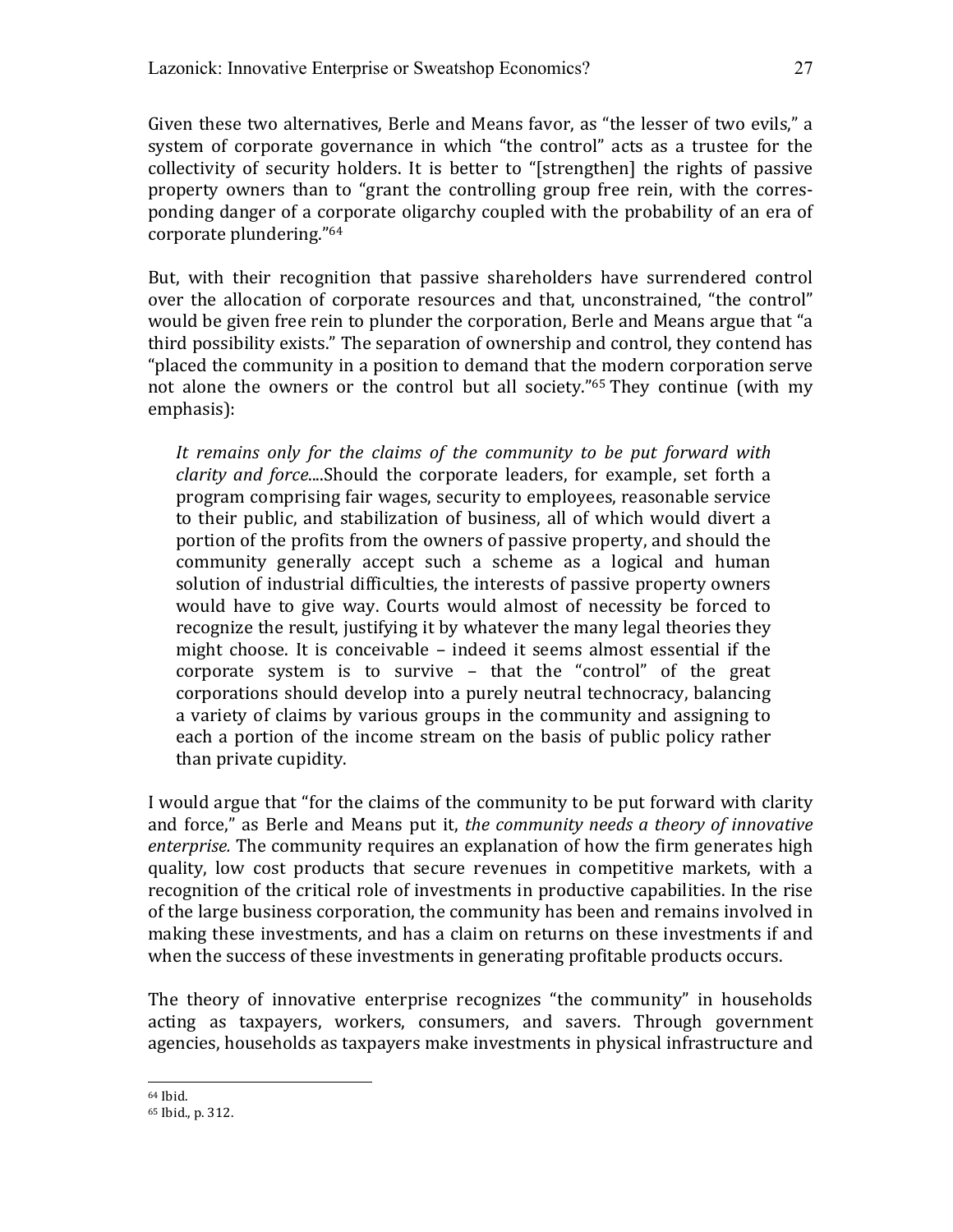Given these two alternatives, Berle and Means favor, as "the lesser of two evils," a system of corporate governance in which "the control" acts as a trustee for the collectivity of security holders. It is better to "[strengthen] the rights of passive property owners than to "grant the controlling group free rein, with the corresponding danger of a corporate oligarchy coupled with the probability of an era of corporate plundering."64

But, with their recognition that passive shareholders have surrendered control over the allocation of corporate resources and that, unconstrained, "the control" would be given free rein to plunder the corporation, Berle and Means argue that "a third possibility exists." The separation of ownership and control, they contend has "placed the community in a position to demand that the modern corporation serve not alone the owners or the control but all society." $65$  They continue (with my emphasis):

It remains only for the claims of the community to be put forward with *clarity* and *force*....Should the corporate leaders, for example, set forth a program comprising fair wages, security to employees, reasonable service to their public, and stabilization of business, all of which would divert a portion of the profits from the owners of passive property, and should the community generally accept such a scheme as a logical and human solution of industrial difficulties, the interests of passive property owners would have to give way. Courts would almost of necessity be forced to recognize the result, justifying it by whatever the many legal theories they might choose. It is conceivable  $-$  indeed it seems almost essential if the corporate system is to survive  $-$  that the "control" of the great corporations should develop into a purely neutral technocracy, balancing a variety of claims by various groups in the community and assigning to each a portion of the income stream on the basis of public policy rather than private cupidity.

I would argue that "for the claims of the community to be put forward with clarity and force," as Berle and Means put it, *the community needs a theory of innovative enterprise.* The community requires an explanation of how the firm generates high quality, low cost products that secure revenues in competitive markets, with a recognition of the critical role of investments in productive capabilities. In the rise of the large business corporation, the community has been and remains involved in making these investments, and has a claim on returns on these investments if and when the success of these investments in generating profitable products occurs.

The theory of innovative enterprise recognizes "the community" in households acting as taxpayers, workers, consumers, and savers. Through government agencies, households as taxpayers make investments in physical infrastructure and

<sup>64</sup> Ibid.

<sup>65</sup> Ibid., p. 312.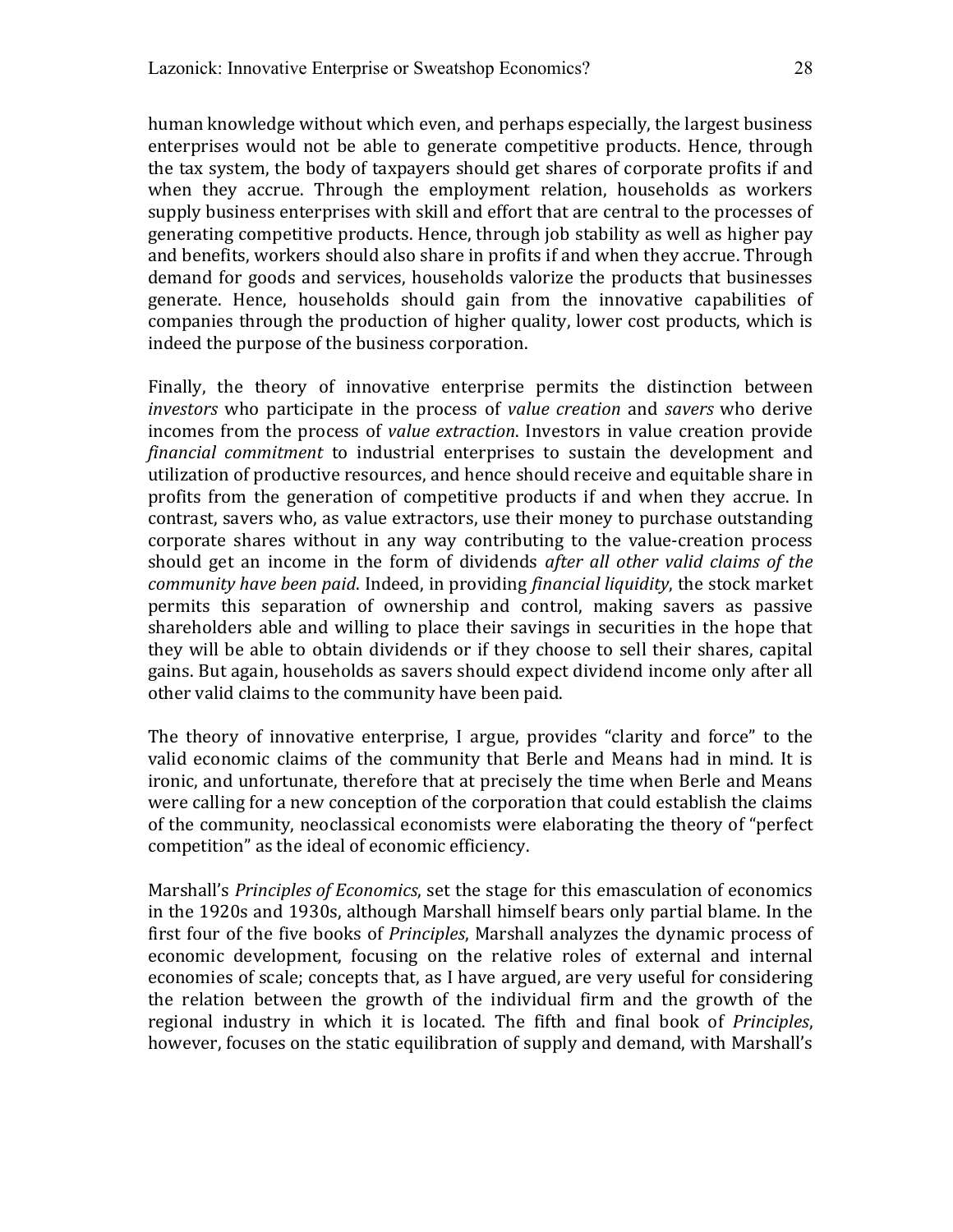human knowledge without which even, and perhaps especially, the largest business enterprises would not be able to generate competitive products. Hence, through the tax system, the body of taxpayers should get shares of corporate profits if and when they accrue. Through the employment relation, households as workers supply business enterprises with skill and effort that are central to the processes of generating competitive products. Hence, through job stability as well as higher pay and benefits, workers should also share in profits if and when they accrue. Through demand for goods and services, households valorize the products that businesses generate. Hence, households should gain from the innovative capabilities of companies through the production of higher quality, lower cost products, which is indeed the purpose of the business corporation.

Finally, the theory of innovative enterprise permits the distinction between *investors* who participate in the process of *value creation* and *savers* who derive incomes from the process of *value extraction*. Investors in value creation provide *financial commitment* to industrial enterprises to sustain the development and utilization of productive resources, and hence should receive and equitable share in profits from the generation of competitive products if and when they accrue. In contrast, savers who, as value extractors, use their money to purchase outstanding corporate shares without in any way contributing to the value-creation process should get an income in the form of dividends *after all other valid claims of the community have been paid.* Indeed, in providing *financial liquidity*, the stock market permits this separation of ownership and control, making savers as passive shareholders able and willing to place their savings in securities in the hope that they will be able to obtain dividends or if they choose to sell their shares, capital gains. But again, households as savers should expect dividend income only after all other valid claims to the community have been paid.

The theory of innovative enterprise, I argue, provides "clarity and force" to the valid economic claims of the community that Berle and Means had in mind. It is ironic, and unfortunate, therefore that at precisely the time when Berle and Means were calling for a new conception of the corporation that could establish the claims of the community, neoclassical economists were elaborating the theory of "perfect" competition" as the ideal of economic efficiency.

Marshall's *Principles of Economics*, set the stage for this emasculation of economics in the 1920s and 1930s, although Marshall himself bears only partial blame. In the first four of the five books of *Principles*. Marshall analyzes the dynamic process of economic development, focusing on the relative roles of external and internal economies of scale; concepts that, as I have argued, are very useful for considering the relation between the growth of the individual firm and the growth of the regional industry in which it is located. The fifth and final book of *Principles*, however, focuses on the static equilibration of supply and demand, with Marshall's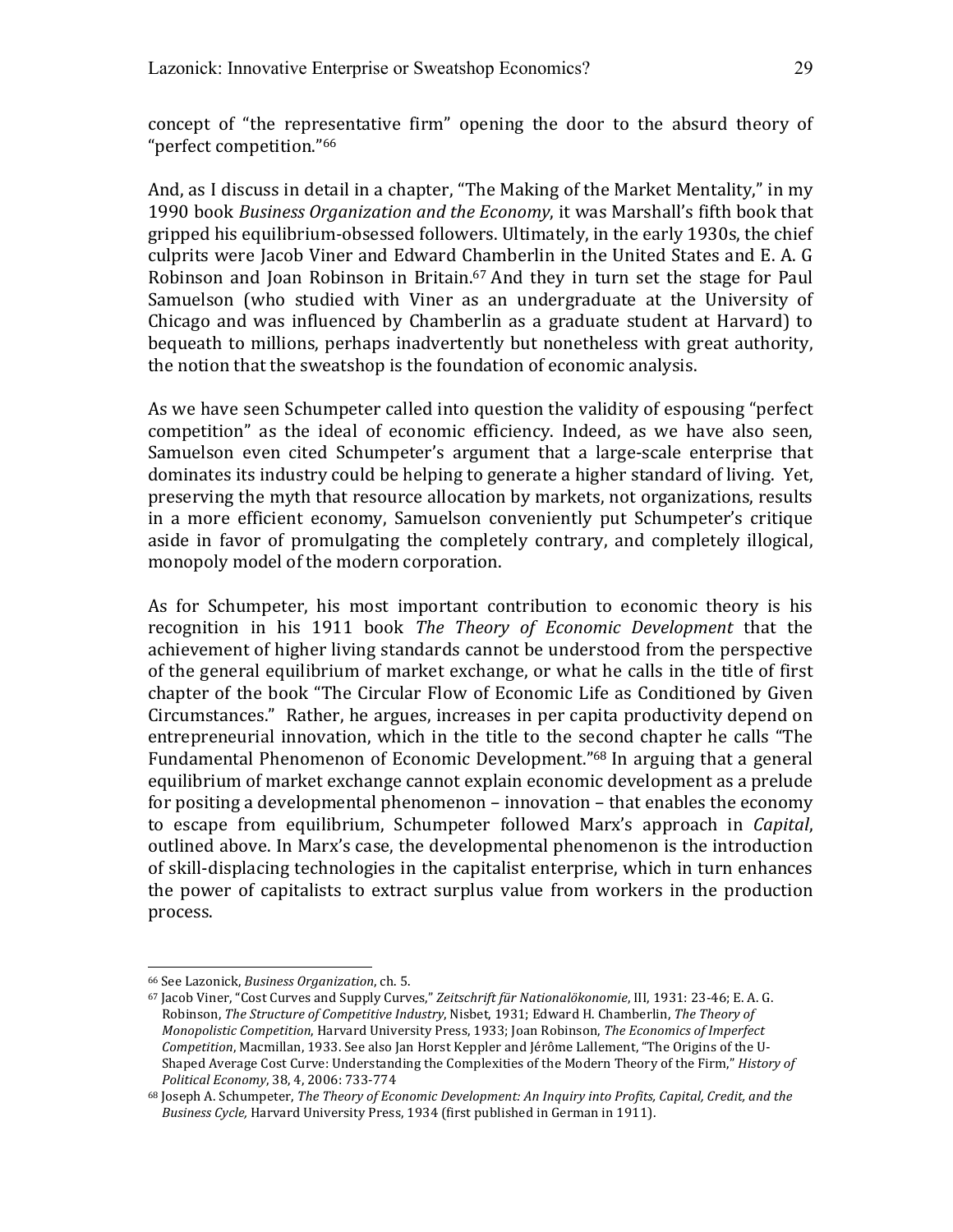concept of "the representative firm" opening the door to the absurd theory of "perfect competition."<sup>66</sup>

And, as I discuss in detail in a chapter, "The Making of the Market Mentality," in my 1990 book *Business Organization and the Economy*, it was Marshall's fifth book that gripped his equilibrium-obsessed followers. Ultimately, in the early 1930s, the chief culprits were Jacob Viner and Edward Chamberlin in the United States and E. A. G Robinson and Joan Robinson in Britain.<sup>67</sup> And they in turn set the stage for Paul Samuelson (who studied with Viner as an undergraduate at the University of Chicago and was influenced by Chamberlin as a graduate student at Harvard) to bequeath to millions, perhaps inadvertently but nonetheless with great authority, the notion that the sweatshop is the foundation of economic analysis.

As we have seen Schumpeter called into question the validity of espousing "perfect" competition" as the ideal of economic efficiency. Indeed, as we have also seen, Samuelson even cited Schumpeter's argument that a large-scale enterprise that dominates its industry could be helping to generate a higher standard of living. Yet, preserving the myth that resource allocation by markets, not organizations, results in a more efficient economy, Samuelson conveniently put Schumpeter's critique aside in favor of promulgating the completely contrary, and completely illogical, monopoly model of the modern corporation.

As for Schumpeter, his most important contribution to economic theory is his recognition in his 1911 book *The Theory of Economic Development* that the achievement of higher living standards cannot be understood from the perspective of the general equilibrium of market exchange, or what he calls in the title of first chapter of the book "The Circular Flow of Economic Life as Conditioned by Given Circumstances." Rather, he argues, increases in per capita productivity depend on entrepreneurial innovation, which in the title to the second chapter he calls "The Fundamental Phenomenon of Economic Development."<sup>68</sup> In arguing that a general equilibrium of market exchange cannot explain economic development as a prelude for positing a developmental phenomenon – innovation – that enables the economy to escape from equilibrium, Schumpeter followed Marx's approach in *Capital*, outlined above. In Marx's case, the developmental phenomenon is the introduction of skill-displacing technologies in the capitalist enterprise, which in turn enhances the power of capitalists to extract surplus value from workers in the production process. 

<sup>66</sup> See Lazonick, *Business Organization*, ch. 5.

<sup>67</sup> Jacob Viner, "Cost Curves and Supply Curves," Zeitschrift für Nationalökonomie, III, 1931: 23-46; E. A. G. Robinson, *The Structure of Competitive Industry*, Nisbet, 1931; Edward H. Chamberlin, *The Theory of Monopolistic Competition*, Harvard University Press, 1933; Joan Robinson, The Economics of Imperfect *Competition*, Macmillan, 1933. See also Jan Horst Keppler and Jérôme Lallement, "The Origins of the U-Shaped Average Cost Curve: Understanding the Complexities of the Modern Theory of the Firm," *History of Political Economy*, 38, 4, 2006: 733-774

<sup>68</sup> Joseph A. Schumpeter, *The Theory of Economic Development: An Inquiry into Profits, Capital, Credit, and the Business Cycle,* Harvard University Press, 1934 (first published in German in 1911).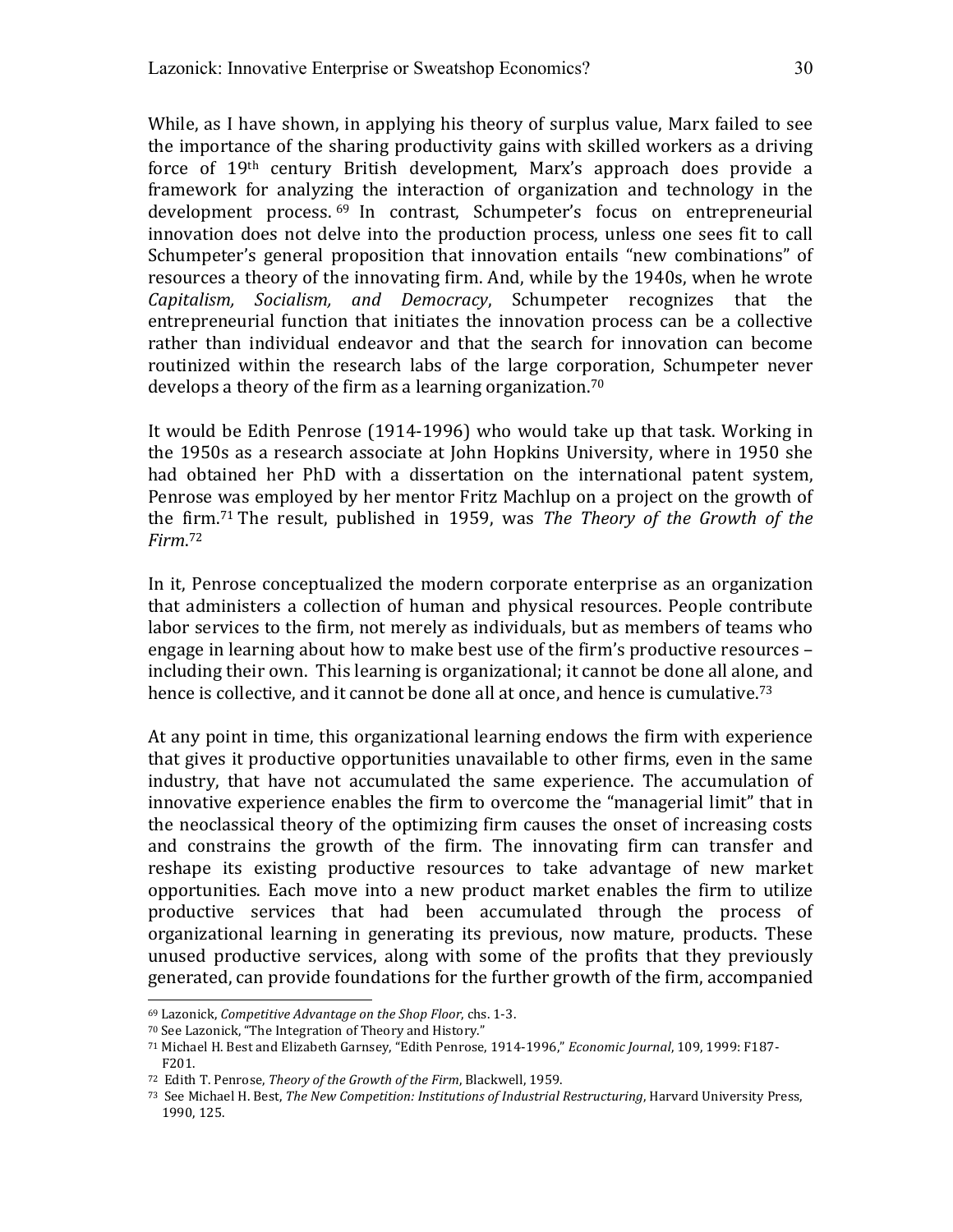While, as I have shown, in applying his theory of surplus value, Marx failed to see the importance of the sharing productivity gains with skilled workers as a driving force of 19<sup>th</sup> century British development, Marx's approach does provide a framework for analyzing the interaction of organization and technology in the development process. <sup>69</sup> In contrast, Schumpeter's focus on entrepreneurial innovation does not delve into the production process, unless one sees fit to call Schumpeter's general proposition that innovation entails "new combinations" of resources a theory of the innovating firm. And, while by the 1940s, when he wrote *Capitalism, Socialism, and Democracy*, Schumpeter recognizes that the entrepreneurial function that initiates the innovation process can be a collective rather than individual endeavor and that the search for innovation can become routinized within the research labs of the large corporation, Schumpeter never develops a theory of the firm as a learning organization.<sup>70</sup>

It would be Edith Penrose (1914-1996) who would take up that task. Working in the 1950s as a research associate at John Hopkins University, where in 1950 she had obtained her PhD with a dissertation on the international patent system, Penrose was employed by her mentor Fritz Machlup on a project on the growth of the firm.<sup>71</sup> The result, published in 1959, was *The Theory of the Growth of the Firm*. 72

In it, Penrose conceptualized the modern corporate enterprise as an organization that administers a collection of human and physical resources. People contribute labor services to the firm, not merely as individuals, but as members of teams who engage in learning about how to make best use of the firm's productive resources – including their own. This learning is organizational; it cannot be done all alone, and hence is collective, and it cannot be done all at once, and hence is cumulative.<sup>73</sup>

At any point in time, this organizational learning endows the firm with experience that gives it productive opportunities unavailable to other firms, even in the same industry, that have not accumulated the same experience. The accumulation of innovative experience enables the firm to overcome the "managerial limit" that in the neoclassical theory of the optimizing firm causes the onset of increasing costs and constrains the growth of the firm. The innovating firm can transfer and reshape its existing productive resources to take advantage of new market opportunities. Each move into a new product market enables the firm to utilize productive services that had been accumulated through the process of organizational learning in generating its previous, now mature, products. These unused productive services, along with some of the profits that they previously generated, can provide foundations for the further growth of the firm, accompanied

<sup>69</sup> Lazonick, *Competitive Advantage on the Shop Floor*, chs. 1-3.

<sup>70</sup> See Lazonick, "The Integration of Theory and History."

<sup>71</sup> Michael H. Best and Elizabeth Garnsey, "Edith Penrose, 1914-1996," *Economic Journal*, 109, 1999: F187-F201.

<sup>&</sup>lt;sup>72</sup> Edith T. Penrose, *Theory of the Growth of the Firm*, Blackwell, 1959.

<sup>73</sup> See Michael H. Best, *The New Competition: Institutions of Industrial Restructuring*, Harvard University Press, 1990, 125.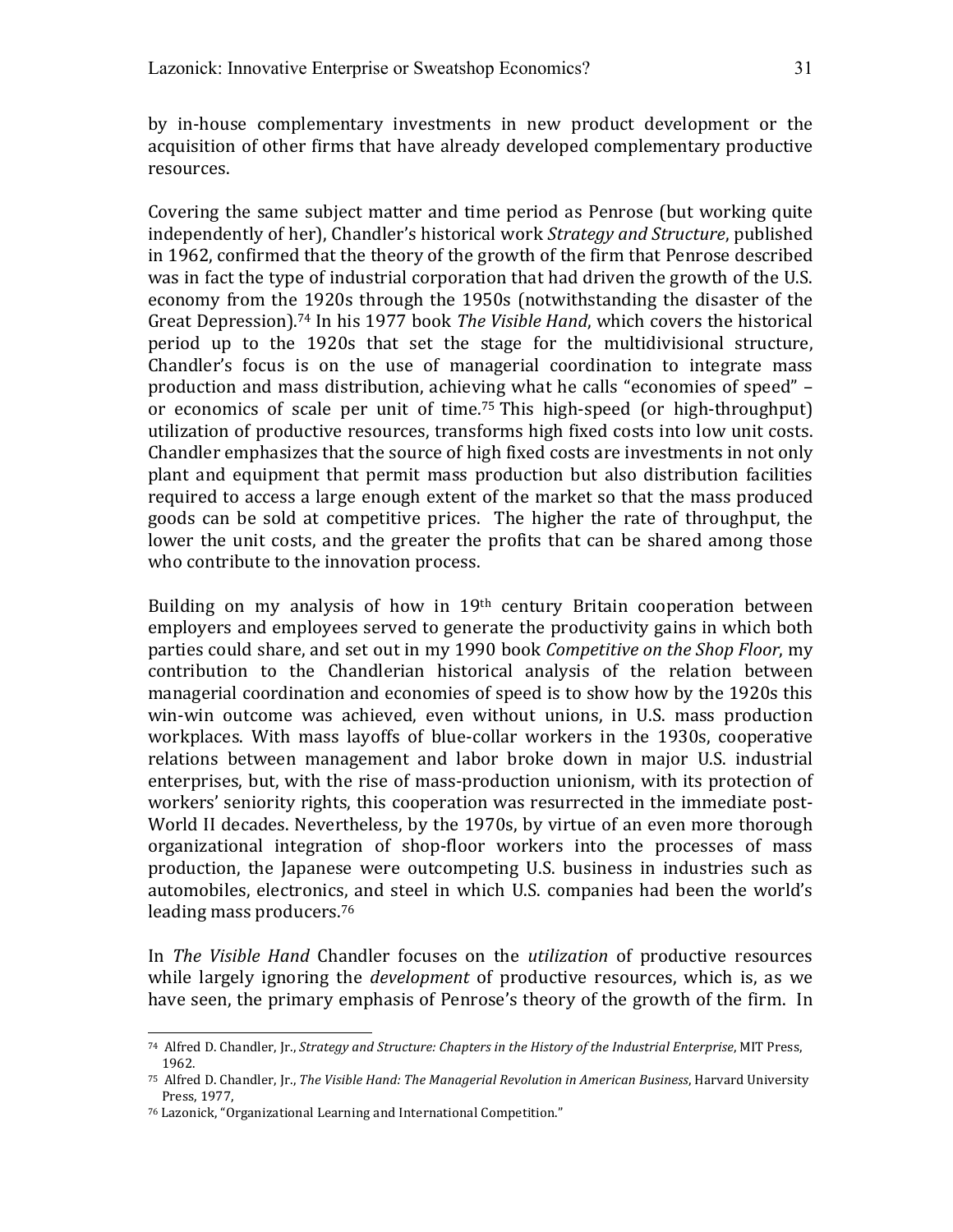by in-house complementary investments in new product development or the acquisition of other firms that have already developed complementary productive resources. 

Covering the same subject matter and time period as Penrose (but working quite independently of her), Chandler's historical work *Strategy and Structure*, published in 1962, confirmed that the theory of the growth of the firm that Penrose described was in fact the type of industrial corporation that had driven the growth of the U.S. economy from the 1920s through the 1950s (notwithstanding the disaster of the Great Depression).<sup>74</sup> In his 1977 book *The Visible Hand*, which covers the historical period up to the 1920s that set the stage for the multidivisional structure, Chandler's focus is on the use of managerial coordination to integrate mass production and mass distribution, achieving what he calls "economies of speed" – or economics of scale per unit of time.<sup>75</sup> This high-speed (or high-throughput) utilization of productive resources, transforms high fixed costs into low unit costs. Chandler emphasizes that the source of high fixed costs are investments in not only plant and equipment that permit mass production but also distribution facilities required to access a large enough extent of the market so that the mass produced goods can be sold at competitive prices. The higher the rate of throughput, the lower the unit costs, and the greater the profits that can be shared among those who contribute to the innovation process.

Building on my analysis of how in  $19<sup>th</sup>$  century Britain cooperation between employers and employees served to generate the productivity gains in which both parties could share, and set out in my 1990 book *Competitive* on the Shop Floor, my contribution to the Chandlerian historical analysis of the relation between managerial coordination and economies of speed is to show how by the 1920s this win-win outcome was achieved, even without unions, in U.S. mass production workplaces. With mass layoffs of blue-collar workers in the 1930s, cooperative relations between management and labor broke down in major U.S. industrial enterprises, but, with the rise of mass-production unionism, with its protection of workers' seniority rights, this cooperation was resurrected in the immediate post-World II decades. Nevertheless, by the 1970s, by virtue of an even more thorough organizational integration of shop-floor workers into the processes of mass production, the Japanese were outcompeting U.S. business in industries such as automobiles, electronics, and steel in which U.S. companies had been the world's leading mass producers.<sup>76</sup>

In *The Visible Hand* Chandler focuses on the *utilization* of productive resources while largely ignoring the *development* of productive resources, which is, as we have seen, the primary emphasis of Penrose's theory of the growth of the firm. In

<sup>74</sup> Alfred D. Chandler, Jr., *Strategy and Structure: Chapters in the History of the Industrial Enterprise*, MIT Press, 1962.

<sup>75</sup> Alfred D. Chandler, Jr., *The Visible Hand: The Managerial Revolution in American Business*, Harvard University Press, 1977,

<sup>76</sup> Lazonick, "Organizational Learning and International Competition."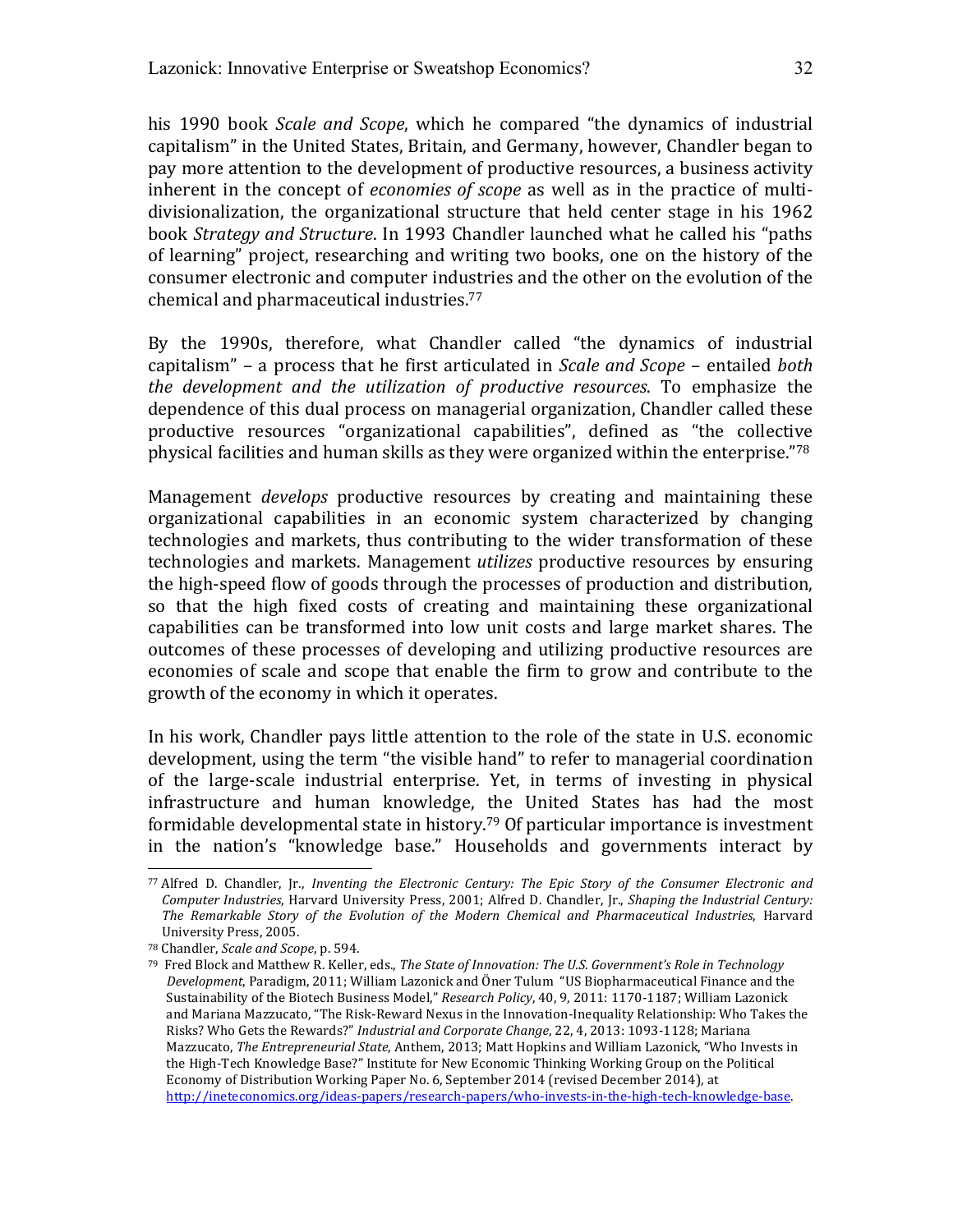his 1990 book *Scale and Scope*, which he compared "the dynamics of industrial capitalism" in the United States, Britain, and Germany, however, Chandler began to pay more attention to the development of productive resources, a business activity inherent in the concept of *economies* of *scope* as well as in the practice of multidivisionalization, the organizational structure that held center stage in his 1962 book *Strategy and Structure*. In 1993 Chandler launched what he called his "paths" of learning" project, researching and writing two books, one on the history of the consumer electronic and computer industries and the other on the evolution of the chemical and pharmaceutical industries.<sup>77</sup>

By the 1990s, therefore, what Chandler called "the dynamics of industrial capitalism" – a process that he first articulated in *Scale and Scope* – entailed *both the development and the utilization of productive resources*. To emphasize the dependence of this dual process on managerial organization, Chandler called these productive resources "organizational capabilities", defined as "the collective physical facilities and human skills as they were organized within the enterprise."78

Management *develops* productive resources by creating and maintaining these organizational capabilities in an economic system characterized by changing technologies and markets, thus contributing to the wider transformation of these technologies and markets. Management *utilizes* productive resources by ensuring the high-speed flow of goods through the processes of production and distribution, so that the high fixed costs of creating and maintaining these organizational capabilities can be transformed into low unit costs and large market shares. The outcomes of these processes of developing and utilizing productive resources are economies of scale and scope that enable the firm to grow and contribute to the growth of the economy in which it operates.

In his work, Chandler pays little attention to the role of the state in U.S. economic development, using the term "the visible hand" to refer to managerial coordination of the large-scale industrial enterprise. Yet, in terms of investing in physical infrastructure and human knowledge, the United States has had the most formidable developmental state in history.<sup>79</sup> Of particular importance is investment in the nation's "knowledge base." Households and governments interact by

<sup>77</sup> Alfred D. Chandler, Jr., *Inventing the Electronic Century: The Epic Story of the Consumer Electronic and Computer Industries*, Harvard University Press, 2001; Alfred D. Chandler, Jr., *Shaping the Industrial Century:* The Remarkable Story of the Evolution of the Modern Chemical and Pharmaceutical Industries, Harvard University Press, 2005.

<sup>78</sup> Chandler, *Scale and Scope*, p. 594.

<sup>79</sup> Fred Block and Matthew R. Keller, eds., *The State of Innovation: The U.S. Government's Role in Technology Development*, Paradigm, 2011; William Lazonick and Öner Tulum "US Biopharmaceutical Finance and the Sustainability of the Biotech Business Model," *Research Policy*, 40, 9, 2011: 1170-1187; William Lazonick and Mariana Mazzucato, "The Risk-Reward Nexus in the Innovation-Inequality Relationship: Who Takes the Risks? Who Gets the Rewards?" *Industrial and Corporate Change*, 22, 4, 2013: 1093-1128; Mariana Mazzucato, *The Entrepreneurial State*, Anthem, 2013; Matt Hopkins and William Lazonick, "Who Invests in the High-Tech Knowledge Base?" Institute for New Economic Thinking Working Group on the Political Economy of Distribution Working Paper No. 6, September 2014 (revised December 2014), at http://ineteconomics.org/ideas-papers/research-papers/who-invests-in-the-high-tech-knowledge-base.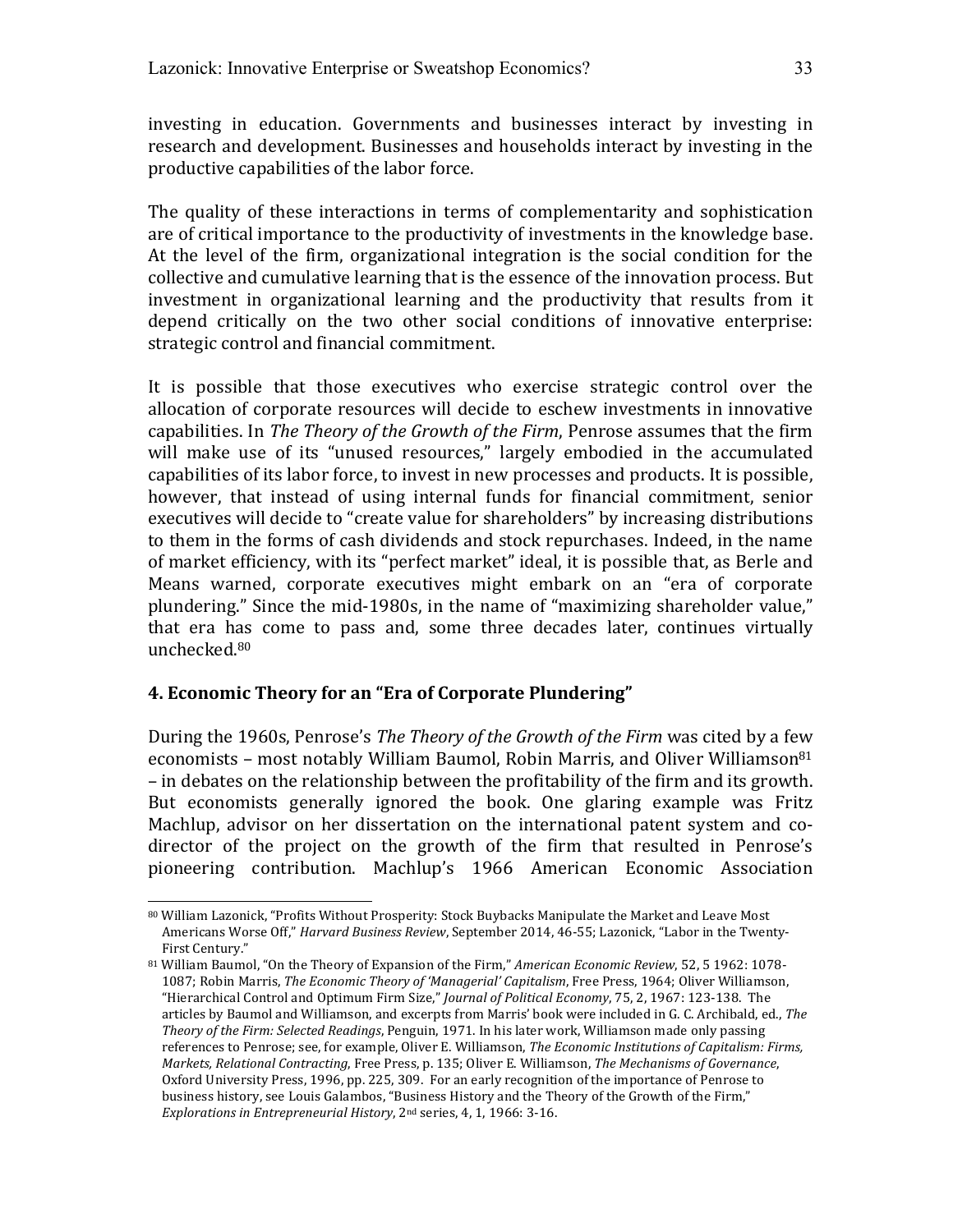investing in education. Governments and businesses interact by investing in research and development. Businesses and households interact by investing in the productive capabilities of the labor force.

The quality of these interactions in terms of complementarity and sophistication are of critical importance to the productivity of investments in the knowledge base. At the level of the firm, organizational integration is the social condition for the collective and cumulative learning that is the essence of the innovation process. But investment in organizational learning and the productivity that results from it depend critically on the two other social conditions of innovative enterprise: strategic control and financial commitment.

It is possible that those executives who exercise strategic control over the allocation of corporate resources will decide to eschew investments in innovative capabilities. In *The Theory of the Growth of the Firm*, Penrose assumes that the firm will make use of its "unused resources," largely embodied in the accumulated capabilities of its labor force, to invest in new processes and products. It is possible, however, that instead of using internal funds for financial commitment, senior executives will decide to "create value for shareholders" by increasing distributions to them in the forms of cash dividends and stock repurchases. Indeed, in the name of market efficiency, with its "perfect market" ideal, it is possible that, as Berle and Means warned, corporate executives might embark on an "era of corporate plundering." Since the mid-1980s, in the name of "maximizing shareholder value," that era has come to pass and, some three decades later, continues virtually unchecked.80

### **4. Economic Theory for an "Era of Corporate Plundering"**

 

During the 1960s, Penrose's *The Theory of the Growth of the Firm* was cited by a few economists – most notably William Baumol, Robin Marris, and Oliver Williamson<sup>81</sup> – in debates on the relationship between the profitability of the firm and its growth. But economists generally ignored the book. One glaring example was Fritz Machlup, advisor on her dissertation on the international patent system and codirector of the project on the growth of the firm that resulted in Penrose's pioneering contribution. Machlup's 1966 American Economic Association

<sup>80</sup> William Lazonick, "Profits Without Prosperity: Stock Buybacks Manipulate the Market and Leave Most Americans Worse Off," *Harvard Business Review*, September 2014, 46-55; Lazonick, "Labor in the Twenty-First Century."

<sup>81</sup> William Baumol, "On the Theory of Expansion of the Firm," *American Economic Review*, 52, 5 1962: 1078-1087; Robin Marris, *The Economic Theory of 'Managerial' Capitalism*, Free Press, 1964; Oliver Williamson, "Hierarchical Control and Optimum Firm Size," *Journal of Political Economy*, 75, 2, 1967: 123-138. The articles by Baumol and Williamson, and excerpts from Marris' book were included in G. C. Archibald, ed., *The Theory of the Firm: Selected Readings*, Penguin, 1971. In his later work, Williamson made only passing references to Penrose; see, for example, Oliver E. Williamson, *The Economic Institutions of Capitalism: Firms, Markets, Relational Contracting*, Free Press, p. 135; Oliver E. Williamson, *The Mechanisms of Governance*, Oxford University Press, 1996, pp. 225, 309. For an early recognition of the importance of Penrose to business history, see Louis Galambos, "Business History and the Theory of the Growth of the Firm," *Explorations in Entrepreneurial History*, 2<sup>nd</sup> series, 4, 1, 1966: 3-16.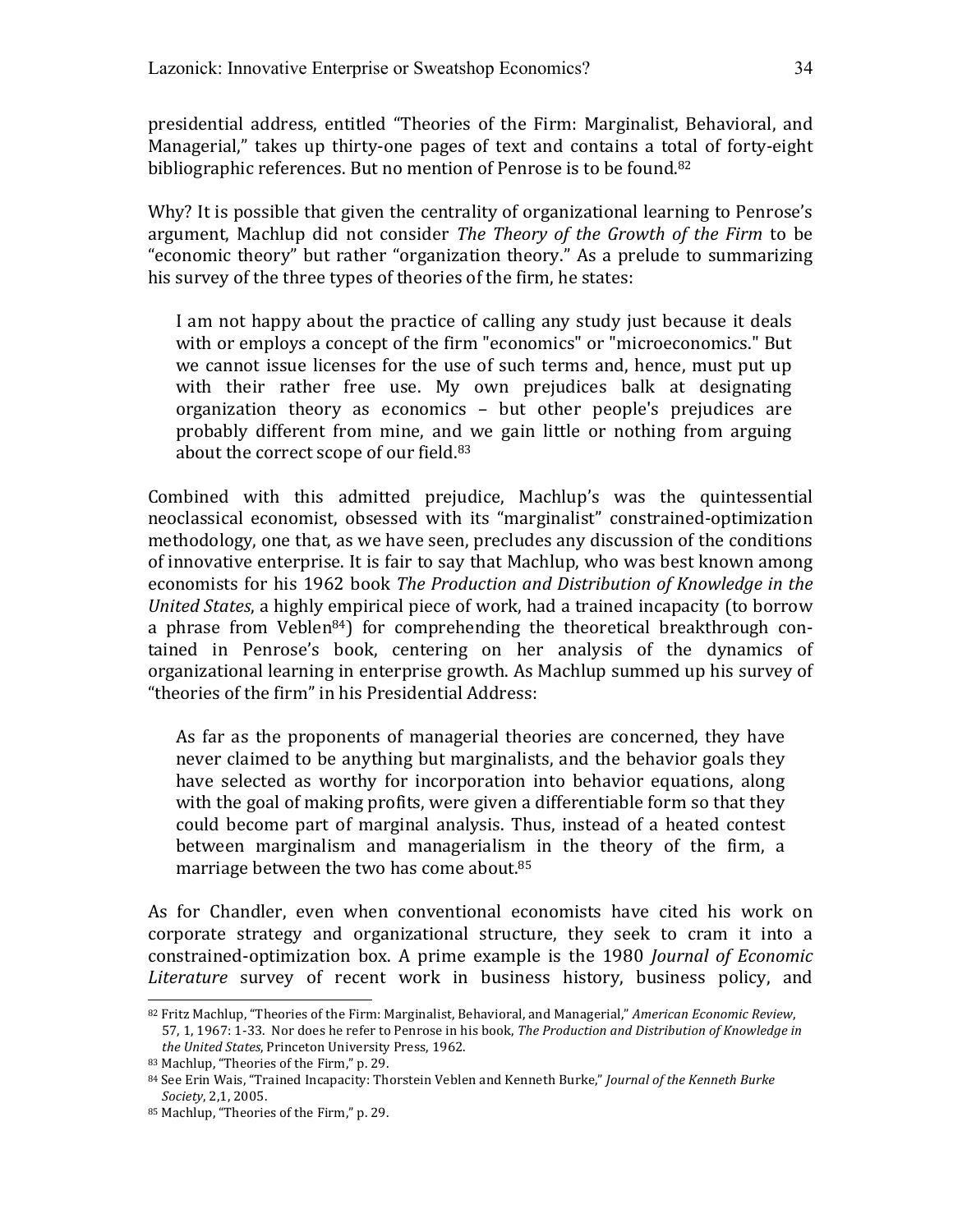presidential address, entitled "Theories of the Firm: Marginalist, Behavioral, and Managerial," takes up thirty-one pages of text and contains a total of forty-eight bibliographic references. But no mention of Penrose is to be found.<sup>82</sup>

Why? It is possible that given the centrality of organizational learning to Penrose's argument, Machlup did not consider *The Theory of the Growth of the Firm* to be "economic theory" but rather "organization theory." As a prelude to summarizing his survey of the three types of theories of the firm, he states:

I am not happy about the practice of calling any study just because it deals with or employs a concept of the firm "economics" or "microeconomics." But we cannot issue licenses for the use of such terms and, hence, must put up with their rather free use. My own prejudices balk at designating organization theory as economics – but other people's prejudices are probably different from mine, and we gain little or nothing from arguing about the correct scope of our field.<sup>83</sup>

Combined with this admitted prejudice, Machlup's was the quintessential neoclassical economist, obsessed with its "marginalist" constrained-optimization methodology, one that, as we have seen, precludes any discussion of the conditions of innovative enterprise. It is fair to say that Machlup, who was best known among economists for his 1962 book *The Production and Distribution of Knowledge in the United States*, a highly empirical piece of work, had a trained incapacity (to borrow a phrase from Veblen<sup>84</sup>) for comprehending the theoretical breakthrough contained in Penrose's book, centering on her analysis of the dynamics of organizational learning in enterprise growth. As Machlup summed up his survey of "theories of the firm" in his Presidential Address:

As far as the proponents of managerial theories are concerned, they have never claimed to be anything but marginalists, and the behavior goals they have selected as worthy for incorporation into behavior equations, along with the goal of making profits, were given a differentiable form so that they could become part of marginal analysis. Thus, instead of a heated contest between marginalism and managerialism in the theory of the firm, a marriage between the two has come about. $85$ 

As for Chandler, even when conventional economists have cited his work on corporate strategy and organizational structure, they seek to cram it into a constrained-optimization box. A prime example is the 1980 *Journal of Economic* Literature survey of recent work in business history, business policy, and

<sup>82</sup> Fritz Machlup, "Theories of the Firm: Marginalist, Behavioral, and Managerial," *American Economic Review*, 57, 1, 1967: 1-33. Nor does he refer to Penrose in his book, *The Production and Distribution of Knowledge in* the United States, Princeton University Press, 1962.

<sup>83</sup> Machlup, "Theories of the Firm," p. 29.

<sup>84</sup> See Erin Wais, "Trained Incapacity: Thorstein Veblen and Kenneth Burke," *Journal of the Kenneth Burke Society*, 2,1, 2005.

<sup>85</sup> Machlup, "Theories of the Firm," p. 29.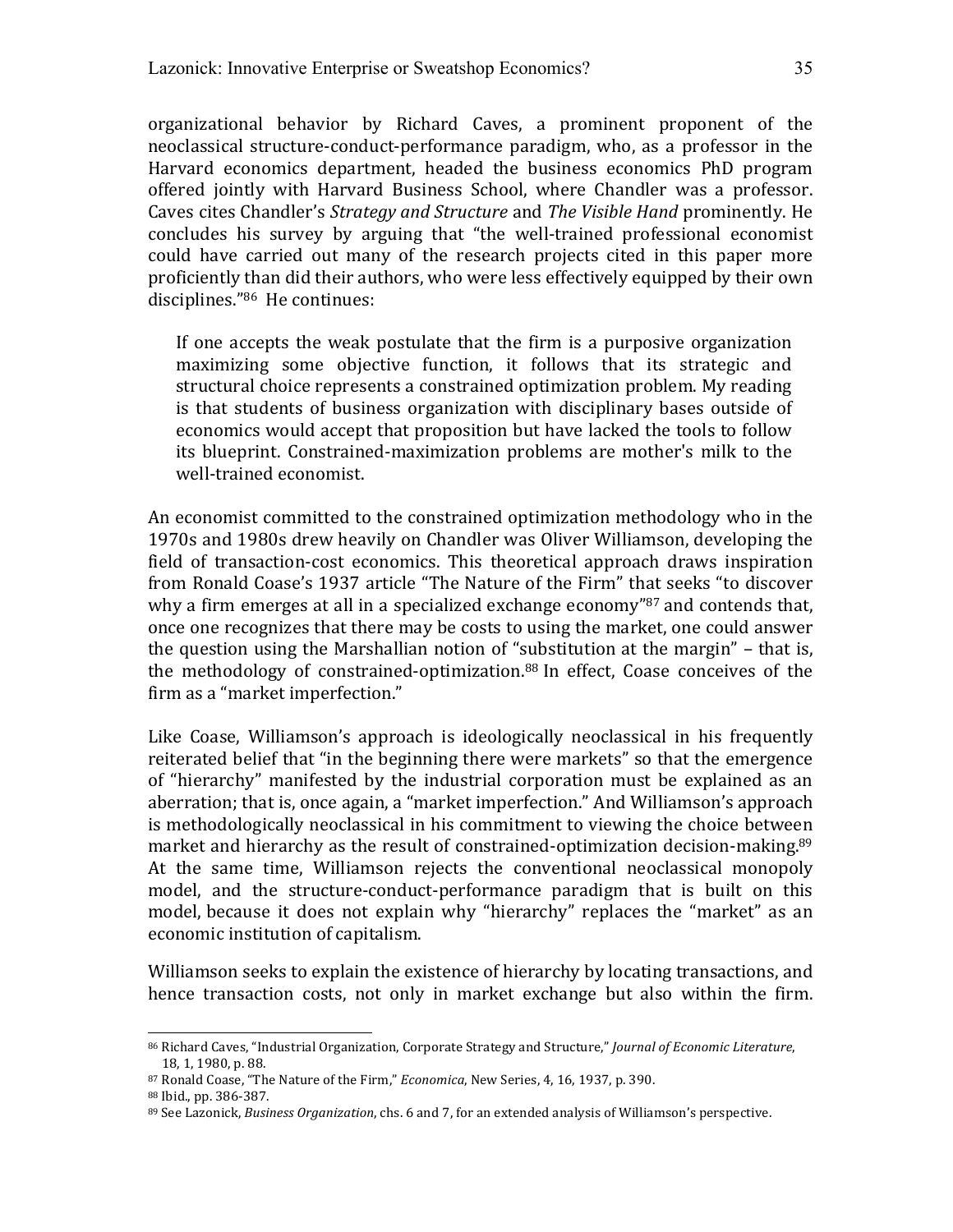organizational behavior by Richard Caves, a prominent proponent of the neoclassical structure-conduct-performance paradigm, who, as a professor in the Harvard economics department, headed the business economics PhD program offered jointly with Harvard Business School, where Chandler was a professor. Caves cites Chandler's *Strategy and Structure* and *The Visible Hand* prominently. He concludes his survey by arguing that "the well-trained professional economist could have carried out many of the research projects cited in this paper more proficiently than did their authors, who were less effectively equipped by their own disciplines."86 He continues:

If one accepts the weak postulate that the firm is a purposive organization maximizing some objective function, it follows that its strategic and structural choice represents a constrained optimization problem. My reading is that students of business organization with disciplinary bases outside of economics would accept that proposition but have lacked the tools to follow its blueprint. Constrained-maximization problems are mother's milk to the well-trained economist.

An economist committed to the constrained optimization methodology who in the 1970s and 1980s drew heavily on Chandler was Oliver Williamson, developing the field of transaction-cost economics. This theoretical approach draws inspiration from Ronald Coase's 1937 article "The Nature of the Firm" that seeks "to discover why a firm emerges at all in a specialized exchange economy"<sup>87</sup> and contends that, once one recognizes that there may be costs to using the market, one could answer the question using the Marshallian notion of "substitution at the margin" – that is, the methodology of constrained-optimization. $88$  In effect, Coase conceives of the firm as a "market imperfection."

Like Coase, Williamson's approach is ideologically neoclassical in his frequently reiterated belief that "in the beginning there were markets" so that the emergence of "hierarchy" manifested by the industrial corporation must be explained as an aberration; that is, once again, a "market imperfection." And Williamson's approach is methodologically neoclassical in his commitment to viewing the choice between market and hierarchy as the result of constrained-optimization decision-making.<sup>89</sup> At the same time, Williamson rejects the conventional neoclassical monopoly model, and the structure-conduct-performance paradigm that is built on this model, because it does not explain why "hierarchy" replaces the "market" as an economic institution of capitalism.

Williamson seeks to explain the existence of hierarchy by locating transactions, and hence transaction costs, not only in market exchange but also within the firm.

<sup>86</sup> Richard Caves, "Industrial Organization, Corporate Strategy and Structure," *Journal of Economic Literature*, 18, 1, 1980, p. 88.

<sup>87</sup> Ronald Coase, "The Nature of the Firm," *Economica*, New Series, 4, 16, 1937, p. 390.

<sup>88</sup> Ibid., pp. 386-387.

<sup>89</sup> See Lazonick, *Business Organization*, chs. 6 and 7, for an extended analysis of Williamson's perspective.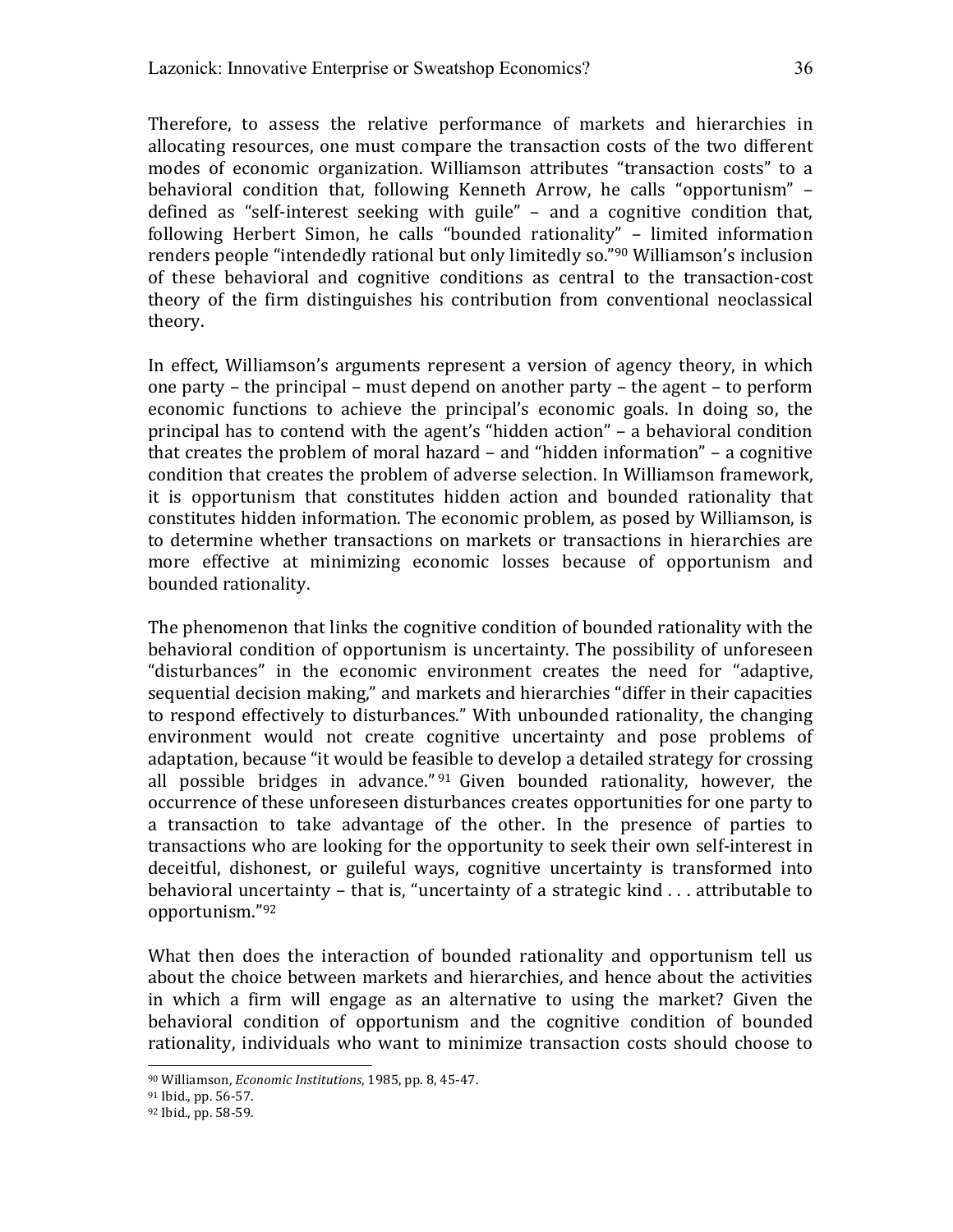Therefore, to assess the relative performance of markets and hierarchies in allocating resources, one must compare the transaction costs of the two different modes of economic organization. Williamson attributes "transaction costs" to a behavioral condition that, following Kenneth Arrow, he calls "opportunism" – defined as "self-interest seeking with guile" - and a cognitive condition that, following Herbert Simon, he calls "bounded rationality" - limited information renders people "intendedly rational but only limitedly so."90 Williamson's inclusion of these behavioral and cognitive conditions as central to the transaction-cost theory of the firm distinguishes his contribution from conventional neoclassical theory. 

In effect, Williamson's arguments represent a version of agency theory, in which one party – the principal – must depend on another party – the agent – to perform economic functions to achieve the principal's economic goals. In doing so, the principal has to contend with the agent's "hidden action"  $-$  a behavioral condition that creates the problem of moral hazard  $-$  and "hidden information"  $-$  a cognitive condition that creates the problem of adverse selection. In Williamson framework, it is opportunism that constitutes hidden action and bounded rationality that constitutes hidden information. The economic problem, as posed by Williamson, is to determine whether transactions on markets or transactions in hierarchies are more effective at minimizing economic losses because of opportunism and bounded rationality.

The phenomenon that links the cognitive condition of bounded rationality with the behavioral condition of opportunism is uncertainty. The possibility of unforeseen "disturbances" in the economic environment creates the need for "adaptive, sequential decision making," and markets and hierarchies "differ in their capacities to respond effectively to disturbances." With unbounded rationality, the changing environment would not create cognitive uncertainty and pose problems of adaptation, because "it would be feasible to develop a detailed strategy for crossing all possible bridges in advance."  $91$  Given bounded rationality, however, the occurrence of these unforeseen disturbances creates opportunities for one party to a transaction to take advantage of the other. In the presence of parties to transactions who are looking for the opportunity to seek their own self-interest in deceitful, dishonest, or guileful ways, cognitive uncertainty is transformed into behavioral uncertainty  $-$  that is, "uncertainty of a strategic kind ... attributable to opportunism."92

What then does the interaction of bounded rationality and opportunism tell us about the choice between markets and hierarchies, and hence about the activities in which a firm will engage as an alternative to using the market? Given the behavioral condition of opportunism and the cognitive condition of bounded rationality, individuals who want to minimize transaction costs should choose to

<sup>&</sup>lt;sup>90</sup> Williamson, *Economic Institutions*, 1985, pp. 8, 45-47.

<sup>91</sup> Ibid., pp. 56-57.

<sup>92</sup> Ibid., pp. 58-59.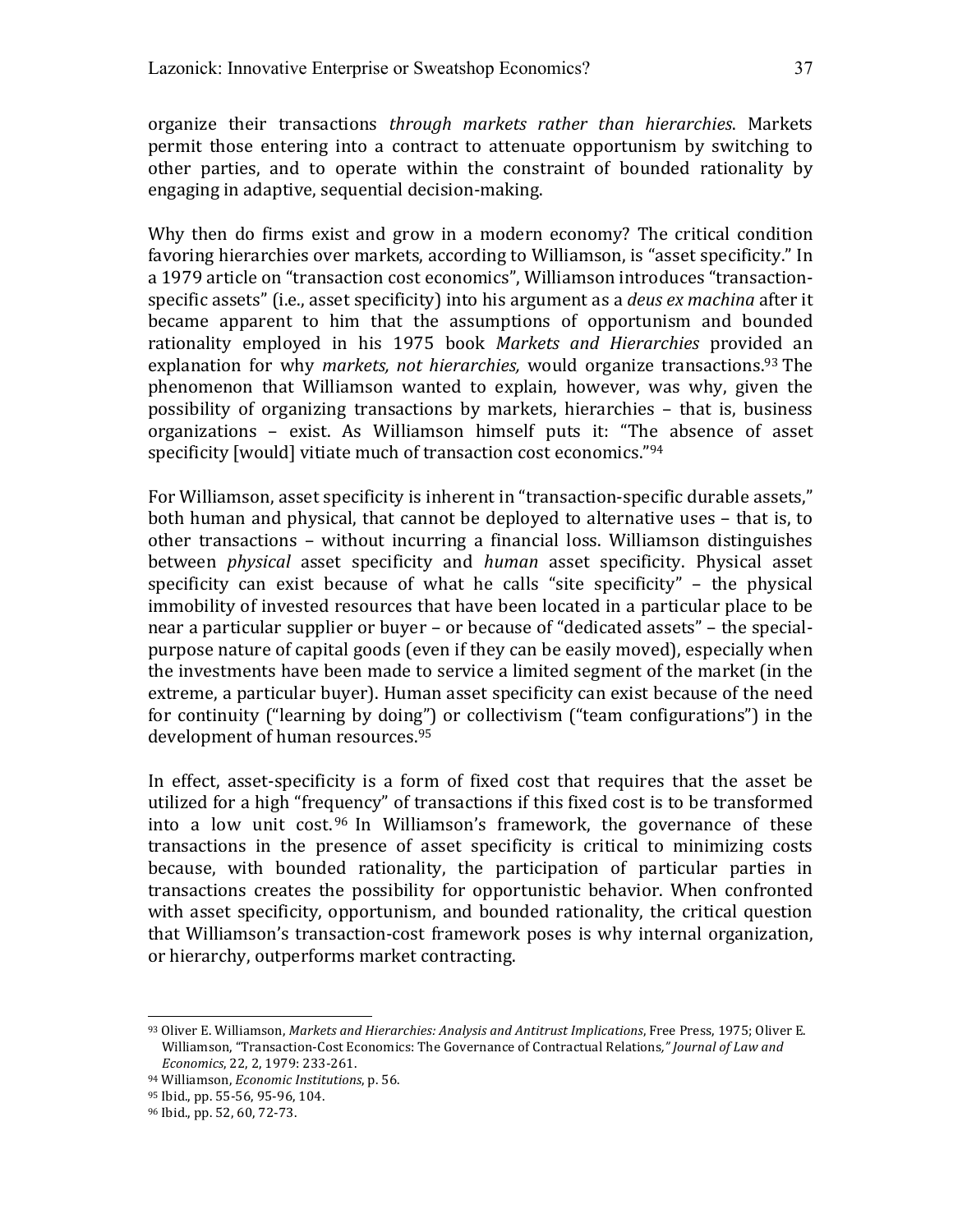organize their transactions *through markets rather than hierarchies*. Markets permit those entering into a contract to attenuate opportunism by switching to other parties, and to operate within the constraint of bounded rationality by engaging in adaptive, sequential decision-making.

Why then do firms exist and grow in a modern economy? The critical condition favoring hierarchies over markets, according to Williamson, is "asset specificity." In a 1979 article on "transaction cost economics", Williamson introduces "transactionspecific assets" (i.e., asset specificity) into his argument as a *deus ex machina* after it became apparent to him that the assumptions of opportunism and bounded rationality employed in his 1975 book *Markets and Hierarchies* provided an explanation for why *markets, not hierarchies,* would organize transactions.<sup>93</sup> The phenomenon that Williamson wanted to explain, however, was why, given the possibility of organizing transactions by markets, hierarchies – that is, business organizations – exist. As Williamson himself puts it: "The absence of asset specificity [would] vitiate much of transaction cost economics."94

For Williamson, asset specificity is inherent in "transaction-specific durable assets," both human and physical, that cannot be deployed to alternative uses – that is, to other transactions – without incurring a financial loss. Williamson distinguishes between *physical* asset specificity and *human* asset specificity. Physical asset specificity can exist because of what he calls "site specificity" – the physical immobility of invested resources that have been located in a particular place to be near a particular supplier or buyer  $-$  or because of "dedicated assets"  $-$  the specialpurpose nature of capital goods (even if they can be easily moved), especially when the investments have been made to service a limited segment of the market (in the extreme, a particular buyer). Human asset specificity can exist because of the need for continuity ("learning by doing") or collectivism ("team configurations") in the development of human resources.<sup>95</sup>

In effect, asset-specificity is a form of fixed cost that requires that the asset be utilized for a high "frequency" of transactions if this fixed cost is to be transformed into a low unit cost.  $96$  In Williamson's framework, the governance of these transactions in the presence of asset specificity is critical to minimizing costs because, with bounded rationality, the participation of particular parties in transactions creates the possibility for opportunistic behavior. When confronted with asset specificity, opportunism, and bounded rationality, the critical question that Williamson's transaction-cost framework poses is why internal organization, or hierarchy, outperforms market contracting.

<sup>93</sup> Oliver E. Williamson, *Markets and Hierarchies: Analysis and Antitrust Implications*, Free Press, 1975; Oliver E. Williamson, "Transaction-Cost Economics: The Governance of Contractual Relations," Journal of Law and *Economics*, 22, 2, 1979: 233-261.

<sup>94</sup> Williamson, *Economic Institutions*, p. 56.

<sup>95</sup> Ibid., pp. 55-56, 95-96, 104.

<sup>96</sup> Ibid., pp. 52, 60, 72-73.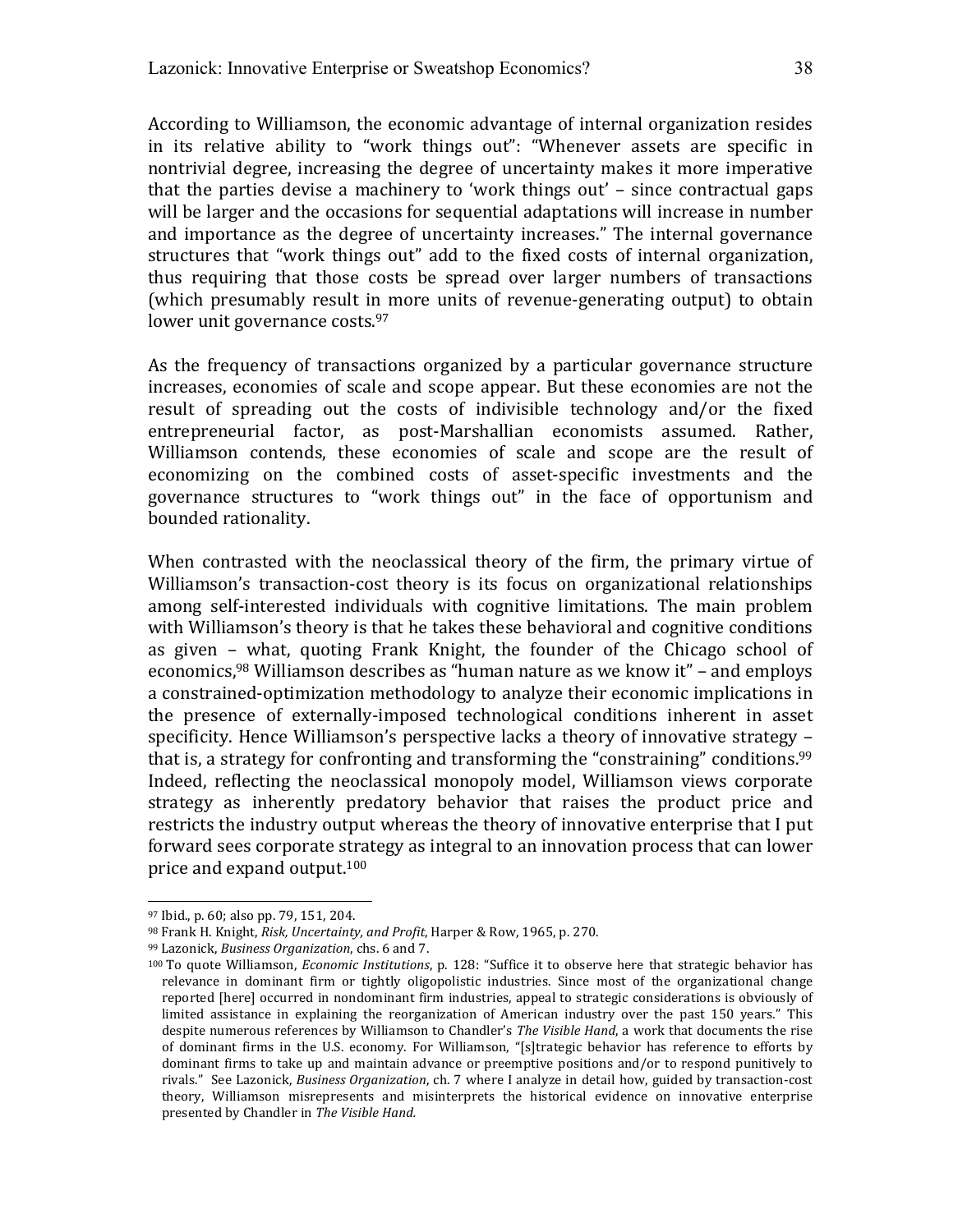According to Williamson, the economic advantage of internal organization resides in its relative ability to "work things out": "Whenever assets are specific in nontrivial degree, increasing the degree of uncertainty makes it more imperative that the parties devise a machinery to 'work things out' – since contractual gaps will be larger and the occasions for sequential adaptations will increase in number and importance as the degree of uncertainty increases." The internal governance structures that "work things out" add to the fixed costs of internal organization, thus requiring that those costs be spread over larger numbers of transactions (which presumably result in more units of revenue-generating output) to obtain lower unit governance costs.<sup>97</sup>

As the frequency of transactions organized by a particular governance structure increases, economies of scale and scope appear. But these economies are not the result of spreading out the costs of indivisible technology and/or the fixed entrepreneurial factor, as post-Marshallian economists assumed. Rather, Williamson contends, these economies of scale and scope are the result of economizing on the combined costs of asset-specific investments and the governance structures to "work things out" in the face of opportunism and bounded rationality.

When contrasted with the neoclassical theory of the firm, the primary virtue of Williamson's transaction-cost theory is its focus on organizational relationships among self-interested individuals with cognitive limitations. The main problem with Williamson's theory is that he takes these behavioral and cognitive conditions as given – what, quoting Frank Knight, the founder of the Chicago school of economics,<sup>98</sup> Williamson describes as "human nature as we know it" – and employs a constrained-optimization methodology to analyze their economic implications in the presence of externally-imposed technological conditions inherent in asset specificity. Hence Williamson's perspective lacks a theory of innovative strategy – that is, a strategy for confronting and transforming the "constraining" conditions.<sup>99</sup> Indeed, reflecting the neoclassical monopoly model, Williamson views corporate strategy as inherently predatory behavior that raises the product price and restricts the industry output whereas the theory of innovative enterprise that I put forward sees corporate strategy as integral to an innovation process that can lower price and expand output.<sup>100</sup>

 97 Ibid., p. 60; also pp. 79, 151, 204.

<sup>98</sup> Frank H. Knight, *Risk, Uncertainty, and Profit*, Harper & Row, 1965, p. 270.

<sup>99</sup> Lazonick, *Business Organization*, chs. 6 and 7.

<sup>100</sup> To quote Williamson, *Economic Institutions*, p. 128: "Suffice it to observe here that strategic behavior has relevance in dominant firm or tightly oligopolistic industries. Since most of the organizational change reported [here] occurred in nondominant firm industries, appeal to strategic considerations is obviously of limited assistance in explaining the reorganization of American industry over the past 150 years." This despite numerous references by Williamson to Chandler's *The Visible Hand*, a work that documents the rise of dominant firms in the U.S. economy. For Williamson, "[s]trategic behavior has reference to efforts by dominant firms to take up and maintain advance or preemptive positions and/or to respond punitively to rivals." See Lazonick, *Business Organization*, ch. 7 where I analyze in detail how, guided by transaction-cost theory, Williamson misrepresents and misinterprets the historical evidence on innovative enterprise presented by Chandler in *The Visible Hand.*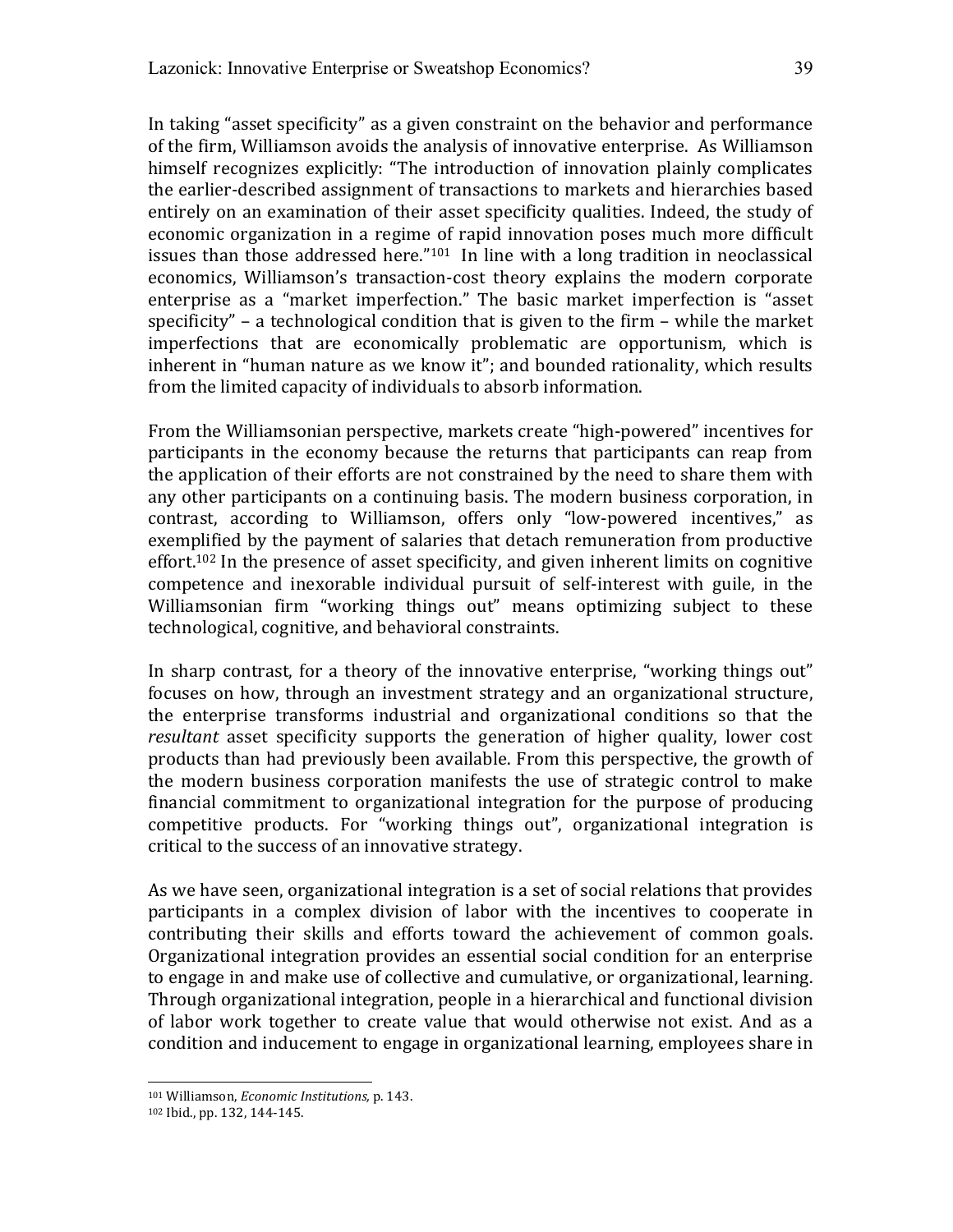In taking "asset specificity" as a given constraint on the behavior and performance of the firm, Williamson avoids the analysis of innovative enterprise. As Williamson himself recognizes explicitly: "The introduction of innovation plainly complicates the earlier-described assignment of transactions to markets and hierarchies based entirely on an examination of their asset specificity qualities. Indeed, the study of economic organization in a regime of rapid innovation poses much more difficult issues than those addressed here." $101$  In line with a long tradition in neoclassical economics, Williamson's transaction-cost theory explains the modern corporate enterprise as a "market imperfection." The basic market imperfection is "asset specificity" – a technological condition that is given to the firm – while the market imperfections that are economically problematic are opportunism, which is inherent in "human nature as we know it"; and bounded rationality, which results from the limited capacity of individuals to absorb information.

From the Williamsonian perspective, markets create "high-powered" incentives for participants in the economy because the returns that participants can reap from the application of their efforts are not constrained by the need to share them with any other participants on a continuing basis. The modern business corporation, in contrast, according to Williamson, offers only "low-powered incentives," as exemplified by the payment of salaries that detach remuneration from productive effort.<sup>102</sup> In the presence of asset specificity, and given inherent limits on cognitive competence and inexorable individual pursuit of self-interest with guile, in the Williamsonian firm "working things out" means optimizing subject to these technological, cognitive, and behavioral constraints.

In sharp contrast, for a theory of the innovative enterprise, "working things out" focuses on how, through an investment strategy and an organizational structure, the enterprise transforms industrial and organizational conditions so that the *resultant* asset specificity supports the generation of higher quality, lower cost products than had previously been available. From this perspective, the growth of the modern business corporation manifests the use of strategic control to make financial commitment to organizational integration for the purpose of producing competitive products. For "working things out", organizational integration is critical to the success of an innovative strategy.

As we have seen, organizational integration is a set of social relations that provides participants in a complex division of labor with the incentives to cooperate in contributing their skills and efforts toward the achievement of common goals. Organizational integration provides an essential social condition for an enterprise to engage in and make use of collective and cumulative, or organizational, learning. Through organizational integration, people in a hierarchical and functional division of labor work together to create value that would otherwise not exist. And as a condition and inducement to engage in organizational learning, employees share in

<sup>101</sup> Williamson, *Economic Institutions*, p. 143.

<sup>102</sup> Ibid., pp. 132, 144-145.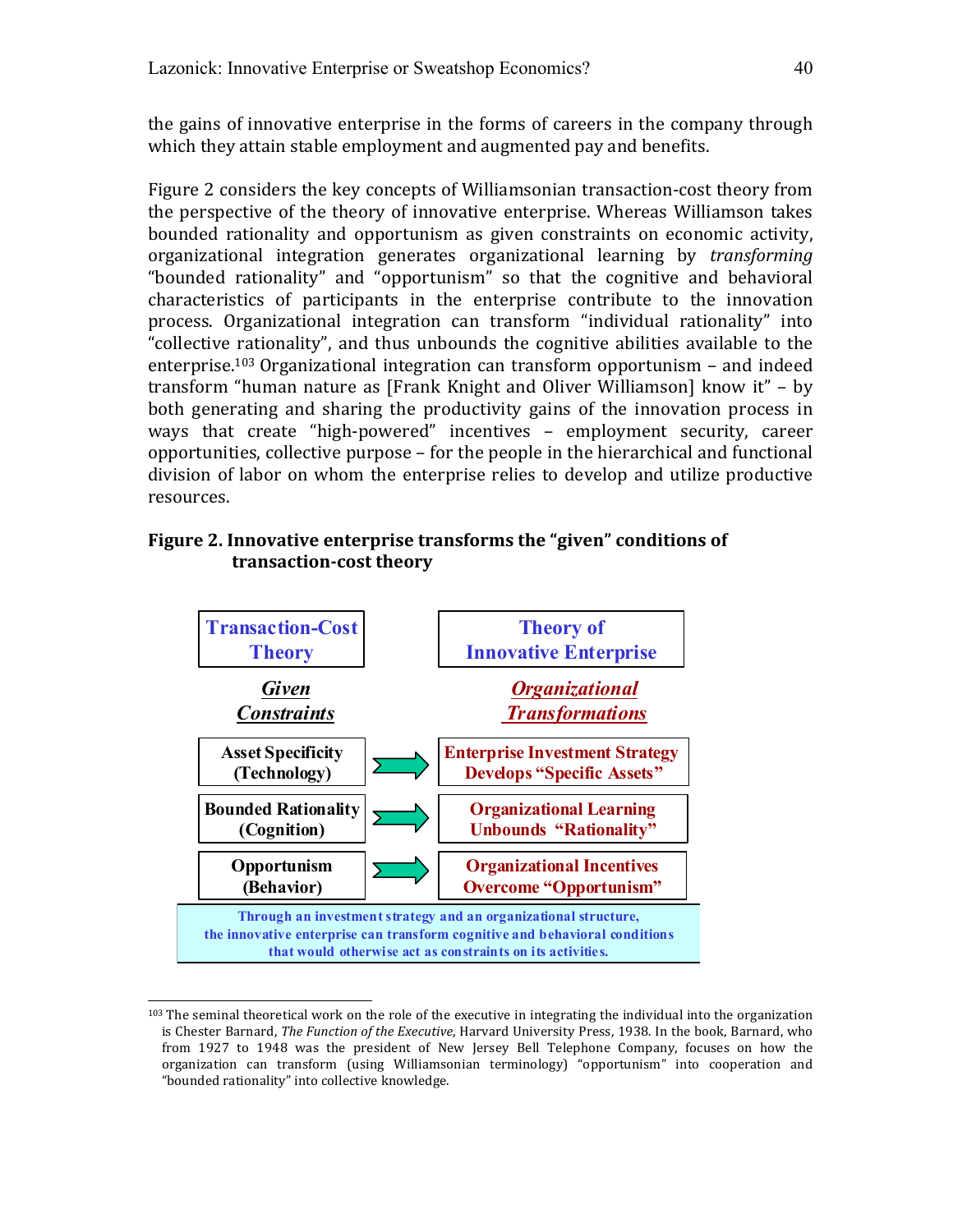the gains of innovative enterprise in the forms of careers in the company through which they attain stable employment and augmented pay and benefits.

Figure 2 considers the key concepts of Williamsonian transaction-cost theory from the perspective of the theory of innovative enterprise. Whereas Williamson takes bounded rationality and opportunism as given constraints on economic activity, organizational integration generates organizational learning by *transforming* "bounded rationality" and "opportunism" so that the cognitive and behavioral characteristics of participants in the enterprise contribute to the innovation process. Organizational integration can transform "individual rationality" into "collective rationality", and thus unbounds the cognitive abilities available to the enterprise.<sup>103</sup> Organizational integration can transform opportunism  $-$  and indeed transform "human nature as [Frank Knight and Oliver Williamson] know it" – by both generating and sharing the productivity gains of the innovation process in ways that create "high-powered" incentives – employment security, career opportunities, collective purpose – for the people in the hierarchical and functional division of labor on whom the enterprise relies to develop and utilize productive resources. 

# Figure 2. Innovative enterprise transforms the "given" conditions of **transaction-cost theory**



 $103$  The seminal theoretical work on the role of the executive in integrating the individual into the organization is Chester Barnard, *The Function of the Executive*, Harvard University Press, 1938. In the book, Barnard, who from 1927 to 1948 was the president of New Jersey Bell Telephone Company, focuses on how the organization can transform (using Williamsonian terminology) "opportunism" into cooperation and "bounded rationality" into collective knowledge.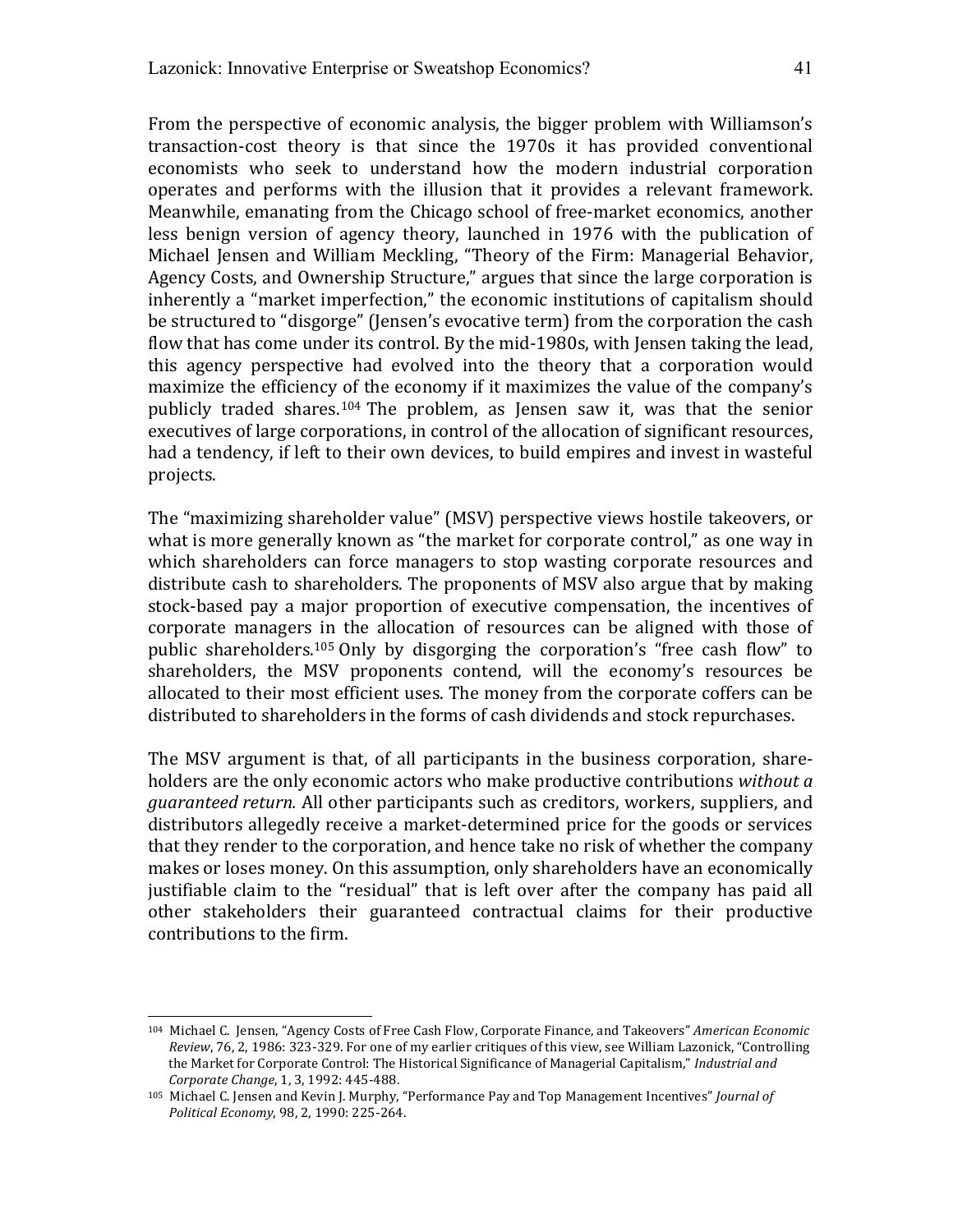From the perspective of economic analysis, the bigger problem with Williamson's transaction-cost theory is that since the 1970s it has provided conventional economists who seek to understand how the modern industrial corporation operates and performs with the illusion that it provides a relevant framework. Meanwhile, emanating from the Chicago school of free-market economics, another less benign version of agency theory, launched in 1976 with the publication of Michael Jensen and William Meckling, "Theory of the Firm: Managerial Behavior, Agency Costs, and Ownership Structure," argues that since the large corporation is inherently a "market imperfection," the economic institutions of capitalism should be structured to "disgorge" (Jensen's evocative term) from the corporation the cash flow that has come under its control. By the mid-1980s, with Jensen taking the lead, this agency perspective had evolved into the theory that a corporation would maximize the efficiency of the economy if it maximizes the value of the company's publicly traded shares.<sup>104</sup> The problem, as Jensen saw it, was that the senior executives of large corporations, in control of the allocation of significant resources, had a tendency, if left to their own devices, to build empires and invest in wasteful projects. 

The "maximizing shareholder value" (MSV) perspective views hostile takeovers, or what is more generally known as "the market for corporate control," as one way in which shareholders can force managers to stop wasting corporate resources and distribute cash to shareholders. The proponents of MSV also argue that by making stock-based pay a major proportion of executive compensation, the incentives of corporate managers in the allocation of resources can be aligned with those of public shareholders.<sup>105</sup> Only by disgorging the corporation's "free cash flow" to shareholders, the MSV proponents contend, will the economy's resources be allocated to their most efficient uses. The money from the corporate coffers can be distributed to shareholders in the forms of cash dividends and stock repurchases.

The MSV argument is that, of all participants in the business corporation, shareholders are the only economic actors who make productive contributions *without a guaranteed return.* All other participants such as creditors, workers, suppliers, and distributors allegedly receive a market-determined price for the goods or services that they render to the corporation, and hence take no risk of whether the company makes or loses money. On this assumption, only shareholders have an economically justifiable claim to the "residual" that is left over after the company has paid all other stakeholders their guaranteed contractual claims for their productive contributions to the firm.

<sup>104</sup> Michael C. Jensen, "Agency Costs of Free Cash Flow, Corporate Finance, and Takeovers" American Economic *Review*, 76, 2, 1986: 323-329. For one of my earlier critiques of this view, see William Lazonick, "Controlling the Market for Corporate Control: The Historical Significance of Managerial Capitalism," *Industrial and Corporate Change*, 1, 3, 1992: 445-488.

<sup>&</sup>lt;sup>105</sup> Michael C. Jensen and Kevin J. Murphy, "Performance Pay and Top Management Incentives" *Journal of Political Economy*, 98, 2, 1990: 225-264.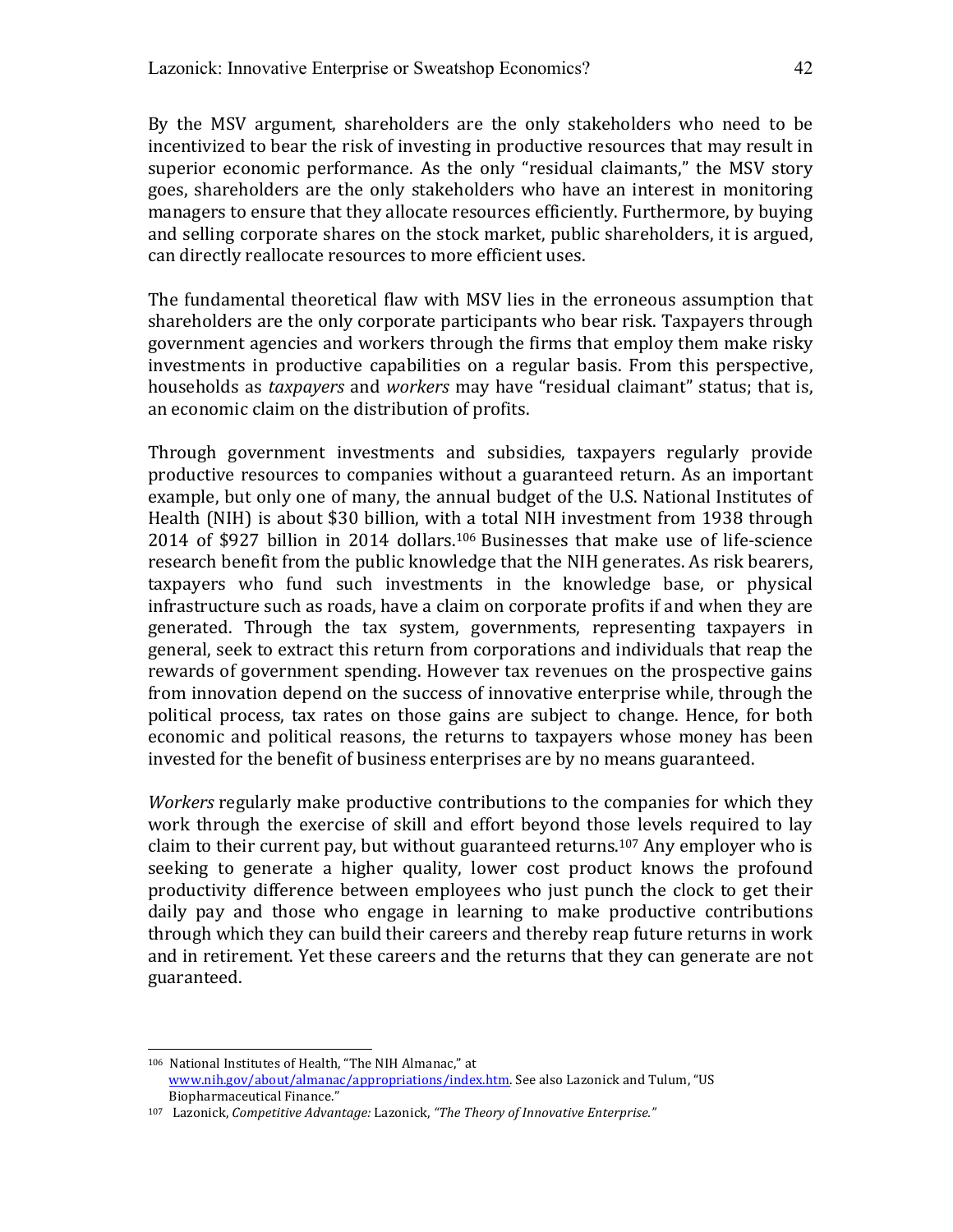By the MSV argument, shareholders are the only stakeholders who need to be incentivized to bear the risk of investing in productive resources that may result in superior economic performance. As the only "residual claimants," the MSV story goes, shareholders are the only stakeholders who have an interest in monitoring managers to ensure that they allocate resources efficiently. Furthermore, by buying and selling corporate shares on the stock market, public shareholders, it is argued, can directly reallocate resources to more efficient uses.

The fundamental theoretical flaw with MSV lies in the erroneous assumption that shareholders are the only corporate participants who bear risk. Taxpayers through government agencies and workers through the firms that employ them make risky investments in productive capabilities on a regular basis. From this perspective, households as *taxpayers* and *workers* may have "residual claimant" status; that is, an economic claim on the distribution of profits.

Through government investments and subsidies, taxpayers regularly provide productive resources to companies without a guaranteed return. As an important example, but only one of many, the annual budget of the U.S. National Institutes of Health (NIH) is about \$30 billion, with a total NIH investment from 1938 through 2014 of \$927 billion in 2014 dollars.<sup>106</sup> Businesses that make use of life-science research benefit from the public knowledge that the NIH generates. As risk bearers, taxpayers who fund such investments in the knowledge base, or physical infrastructure such as roads, have a claim on corporate profits if and when they are generated. Through the tax system, governments, representing taxpayers in general, seek to extract this return from corporations and individuals that reap the rewards of government spending. However tax revenues on the prospective gains from innovation depend on the success of innovative enterprise while, through the political process, tax rates on those gains are subject to change. Hence, for both economic and political reasons, the returns to taxpayers whose money has been invested for the benefit of business enterprises are by no means guaranteed.

*Workers* regularly make productive contributions to the companies for which they work through the exercise of skill and effort beyond those levels required to lay claim to their current pay, but without guaranteed returns.<sup>107</sup> Any employer who is seeking to generate a higher quality, lower cost product knows the profound productivity difference between employees who just punch the clock to get their daily pay and those who engage in learning to make productive contributions through which they can build their careers and thereby reap future returns in work and in retirement. Yet these careers and the returns that they can generate are not guaranteed.

<sup>106</sup> National Institutes of Health, "The NIH Almanac," at www.nih.gov/about/almanac/appropriations/index.htm. See also Lazonick and Tulum, "US Biopharmaceutical Finance."

<sup>107</sup> Lazonick, *Competitive Advantage: Lazonick, "The Theory of Innovative Enterprise."*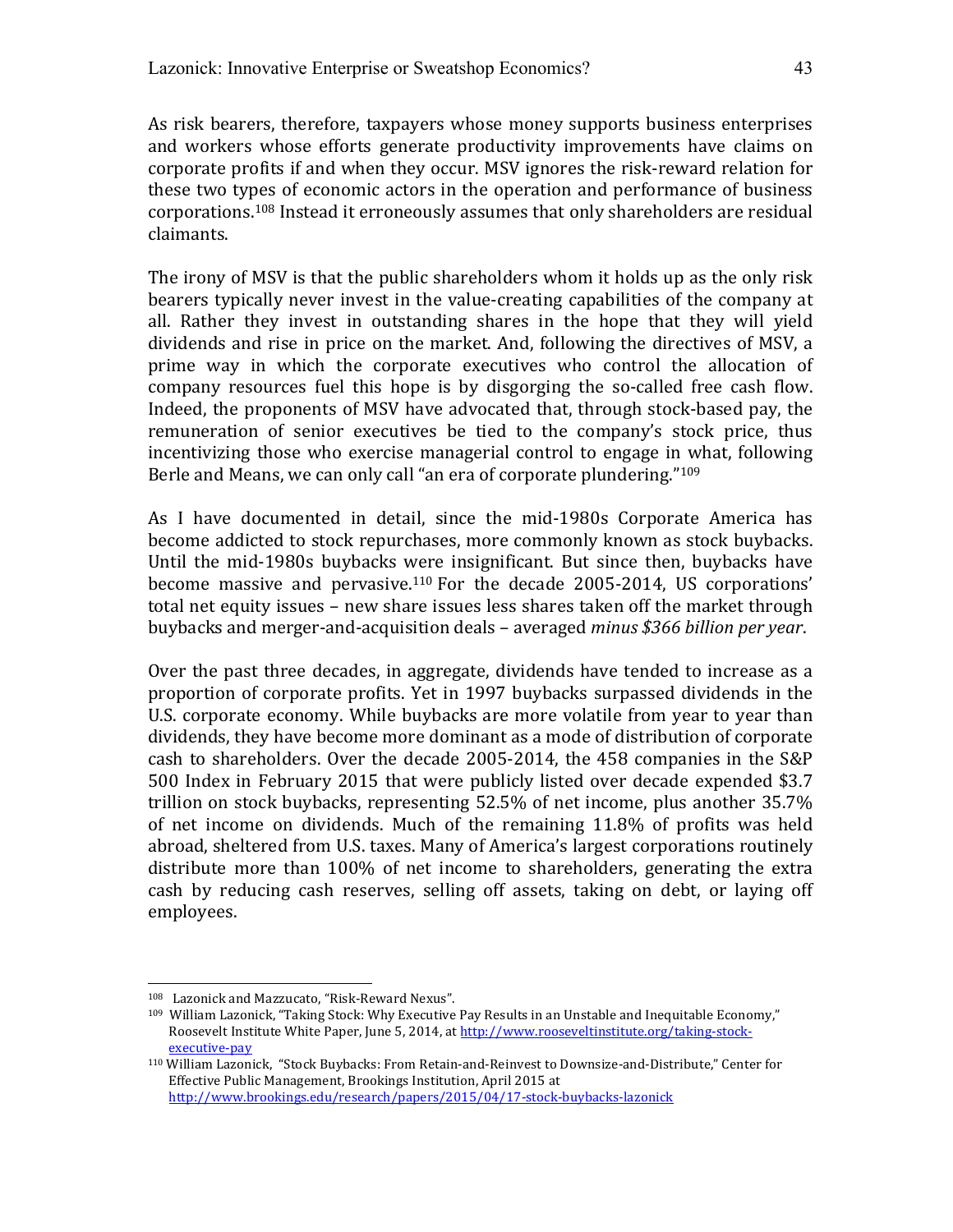As risk bearers, therefore, taxpayers whose money supports business enterprises and workers whose efforts generate productivity improvements have claims on corporate profits if and when they occur. MSV ignores the risk-reward relation for these two types of economic actors in the operation and performance of business corporations.<sup>108</sup> Instead it erroneously assumes that only shareholders are residual claimants. 

The irony of MSV is that the public shareholders whom it holds up as the only risk bearers typically never invest in the value-creating capabilities of the company at all. Rather they invest in outstanding shares in the hope that they will yield dividends and rise in price on the market. And, following the directives of MSV, a prime way in which the corporate executives who control the allocation of company resources fuel this hope is by disgorging the so-called free cash flow. Indeed, the proponents of MSV have advocated that, through stock-based pay, the remuneration of senior executives be tied to the company's stock price, thus incentivizing those who exercise managerial control to engage in what, following Berle and Means, we can only call "an era of corporate plundering."<sup>109</sup>

As I have documented in detail, since the mid-1980s Corporate America has become addicted to stock repurchases, more commonly known as stock buybacks. Until the mid-1980s buybacks were insignificant. But since then, buybacks have become massive and pervasive.<sup>110</sup> For the decade 2005-2014, US corporations' total net equity issues - new share issues less shares taken off the market through buybacks and merger-and-acquisition deals – averaged *minus \$366 billion per year*.

Over the past three decades, in aggregate, dividends have tended to increase as a proportion of corporate profits. Yet in 1997 buybacks surpassed dividends in the U.S. corporate economy. While buybacks are more volatile from year to year than dividends, they have become more dominant as a mode of distribution of corporate cash to shareholders. Over the decade  $2005-2014$ , the  $458$  companies in the  $S\&P$ 500 Index in February 2015 that were publicly listed over decade expended \$3.7 trillion on stock buybacks, representing  $52.5\%$  of net income, plus another  $35.7\%$ of net income on dividends. Much of the remaining  $11.8\%$  of profits was held abroad, sheltered from U.S. taxes. Many of America's largest corporations routinely distribute more than 100% of net income to shareholders, generating the extra cash by reducing cash reserves, selling off assets, taking on debt, or laying off employees.

<sup>108</sup> Lazonick and Mazzucato, "Risk-Reward Nexus".

<sup>109</sup> William Lazonick, "Taking Stock: Why Executive Pay Results in an Unstable and Inequitable Economy," Roosevelt Institute White Paper, June 5, 2014, at http://www.rooseveltinstitute.org/taking-stockexecutive-pay

<sup>110</sup> William Lazonick, "Stock Buybacks: From Retain-and-Reinvest to Downsize-and-Distribute," Center for Effective Public Management, Brookings Institution, April 2015 at http://www.brookings.edu/research/papers/2015/04/17-stock-buybacks-lazonick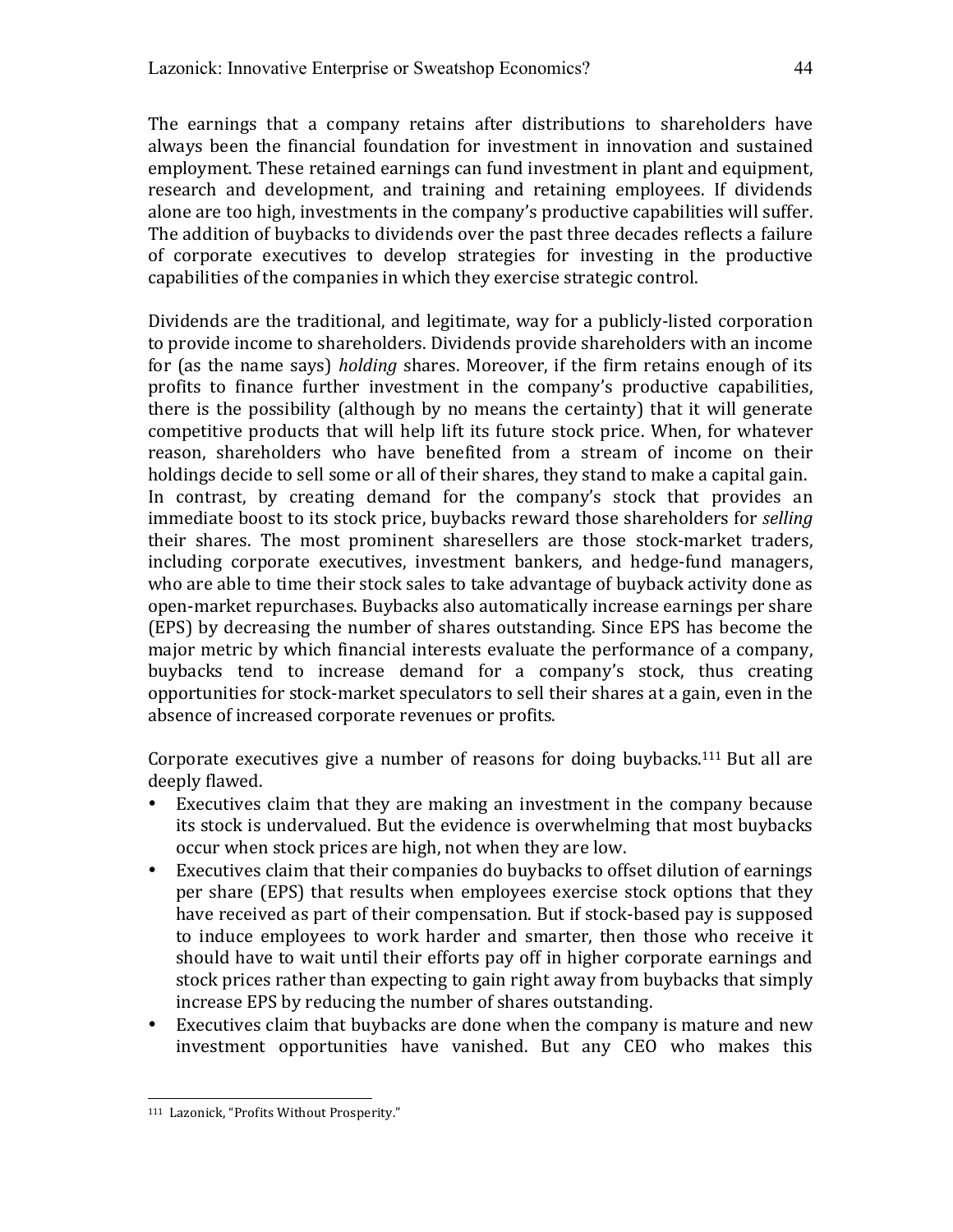The earnings that a company retains after distributions to shareholders have always been the financial foundation for investment in innovation and sustained employment. These retained earnings can fund investment in plant and equipment, research and development, and training and retaining employees. If dividends alone are too high, investments in the company's productive capabilities will suffer. The addition of buybacks to dividends over the past three decades reflects a failure of corporate executives to develop strategies for investing in the productive capabilities of the companies in which they exercise strategic control.

Dividends are the traditional, and legitimate, way for a publicly-listed corporation to provide income to shareholders. Dividends provide shareholders with an income for (as the name says) *holding* shares. Moreover, if the firm retains enough of its profits to finance further investment in the company's productive capabilities, there is the possibility (although by no means the certainty) that it will generate competitive products that will help lift its future stock price. When, for whatever reason, shareholders who have benefited from a stream of income on their holdings decide to sell some or all of their shares, they stand to make a capital gain. In contrast, by creating demand for the company's stock that provides an immediate boost to its stock price, buybacks reward those shareholders for *selling* their shares. The most prominent sharesellers are those stock-market traders, including corporate executives, investment bankers, and hedge-fund managers, who are able to time their stock sales to take advantage of buyback activity done as open-market repurchases. Buybacks also automatically increase earnings per share (EPS) by decreasing the number of shares outstanding. Since EPS has become the major metric by which financial interests evaluate the performance of a company, buybacks tend to increase demand for a company's stock, thus creating opportunities for stock-market speculators to sell their shares at a gain, even in the absence of increased corporate revenues or profits.

Corporate executives give a number of reasons for doing buybacks.<sup>111</sup> But all are deeply flawed.

- Executives claim that they are making an investment in the company because its stock is undervalued. But the evidence is overwhelming that most buybacks occur when stock prices are high, not when they are low.
- Executives claim that their companies do buybacks to offset dilution of earnings per share (EPS) that results when employees exercise stock options that they have received as part of their compensation. But if stock-based pay is supposed to induce employees to work harder and smarter, then those who receive it should have to wait until their efforts pay off in higher corporate earnings and stock prices rather than expecting to gain right away from buybacks that simply increase EPS by reducing the number of shares outstanding.
- Executives claim that buybacks are done when the company is mature and new investment opportunities have vanished. But any CEO who makes this

<sup>111</sup> Lazonick, "Profits Without Prosperity."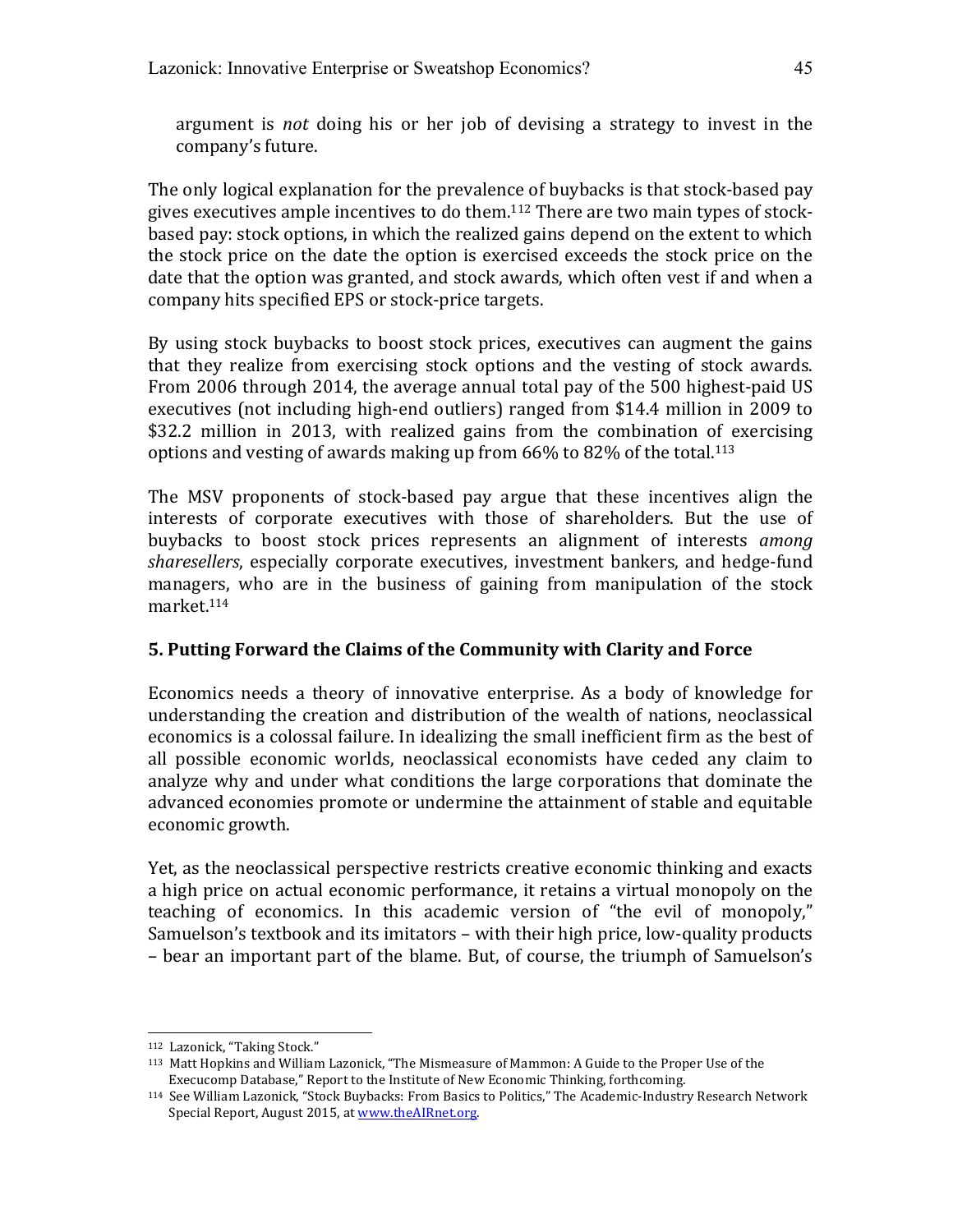argument is *not* doing his or her job of devising a strategy to invest in the company's future.

The only logical explanation for the prevalence of buybacks is that stock-based pay gives executives ample incentives to do them.<sup>112</sup> There are two main types of stockbased pay: stock options, in which the realized gains depend on the extent to which the stock price on the date the option is exercised exceeds the stock price on the date that the option was granted, and stock awards, which often vest if and when a company hits specified EPS or stock-price targets.

By using stock buybacks to boost stock prices, executives can augment the gains that they realize from exercising stock options and the vesting of stock awards. From 2006 through 2014, the average annual total pay of the 500 highest-paid US executives (not including high-end outliers) ranged from \$14.4 million in 2009 to \$32.2 million in 2013, with realized gains from the combination of exercising options and vesting of awards making up from  $66\%$  to  $82\%$  of the total.<sup>113</sup>

The MSV proponents of stock-based pay argue that these incentives align the interests of corporate executives with those of shareholders. But the use of buybacks to boost stock prices represents an alignment of interests *among sharesellers*, especially corporate executives, investment bankers, and hedge-fund managers, who are in the business of gaining from manipulation of the stock market.114

# **5. Putting Forward the Claims of the Community with Clarity and Force**

Economics needs a theory of innovative enterprise. As a body of knowledge for understanding the creation and distribution of the wealth of nations, neoclassical economics is a colossal failure. In idealizing the small inefficient firm as the best of all possible economic worlds, neoclassical economists have ceded any claim to analyze why and under what conditions the large corporations that dominate the advanced economies promote or undermine the attainment of stable and equitable economic growth.

Yet, as the neoclassical perspective restricts creative economic thinking and exacts a high price on actual economic performance, it retains a virtual monopoly on the teaching of economics. In this academic version of "the evil of monopoly," Samuelson's textbook and its imitators – with their high price, low-quality products – bear an important part of the blame. But, of course, the triumph of Samuelson's

<sup>112</sup> Lazonick, "Taking Stock."

<sup>&</sup>lt;sup>113</sup> Matt Hopkins and William Lazonick, "The Mismeasure of Mammon: A Guide to the Proper Use of the Execucomp Database," Report to the Institute of New Economic Thinking, forthcoming.

<sup>114</sup> See William Lazonick, "Stock Buybacks: From Basics to Politics," The Academic-Industry Research Network Special Report, August 2015, at www.theAIRnet.org.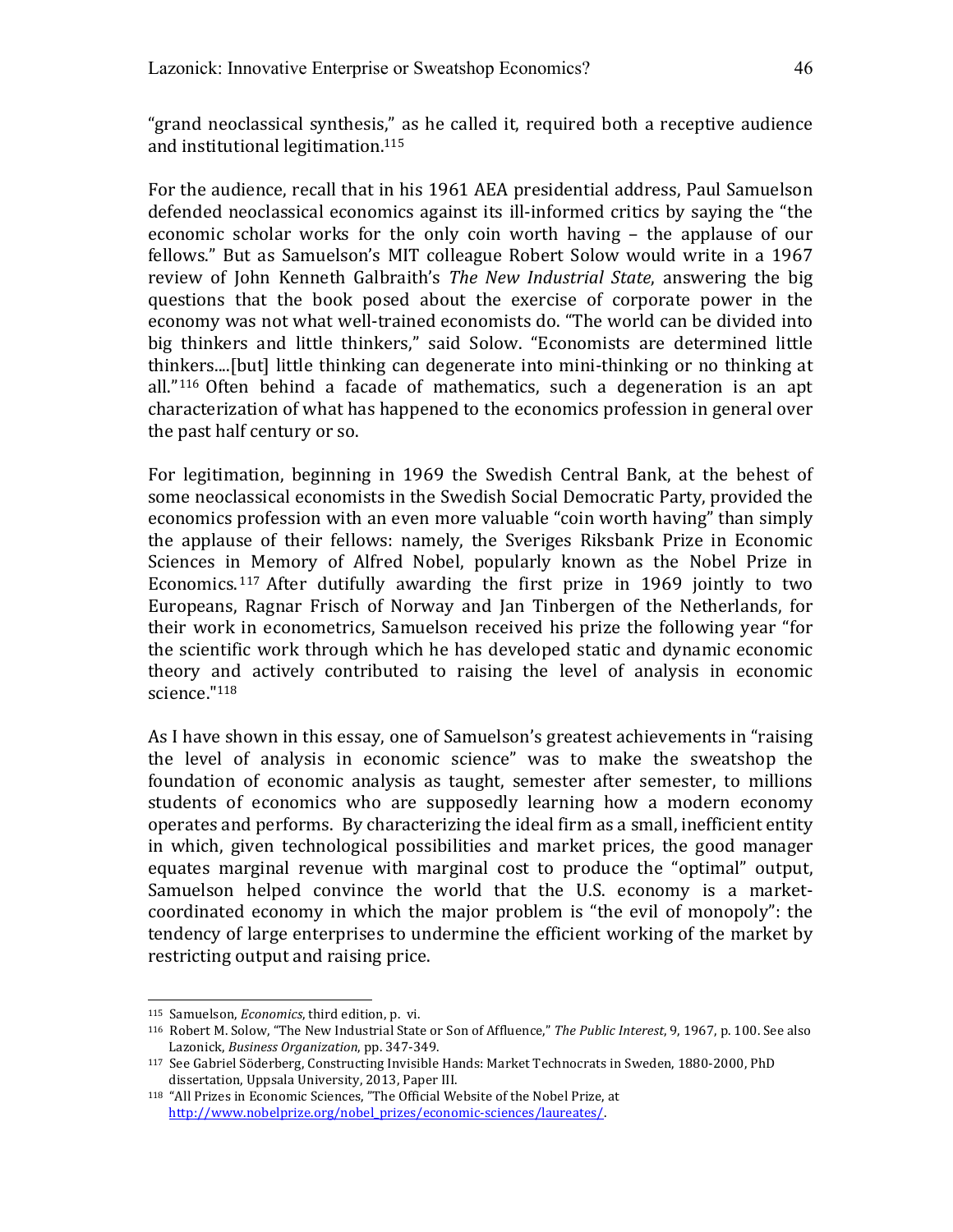"grand neoclassical synthesis," as he called it, required both a receptive audience and institutional legitimation.<sup>115</sup>

For the audience, recall that in his 1961 AEA presidential address, Paul Samuelson defended neoclassical economics against its ill-informed critics by saying the "the economic scholar works for the only coin worth having – the applause of our fellows." But as Samuelson's MIT colleague Robert Solow would write in a 1967 review of John Kenneth Galbraith's *The New Industrial State*, answering the big questions that the book posed about the exercise of corporate power in the economy was not what well-trained economists do. "The world can be divided into big thinkers and little thinkers," said Solow. "Economists are determined little thinkers....[but] little thinking can degenerate into mini-thinking or no thinking at all."<sup>116</sup> Often behind a facade of mathematics, such a degeneration is an apt characterization of what has happened to the economics profession in general over the past half century or so.

For legitimation, beginning in 1969 the Swedish Central Bank, at the behest of some neoclassical economists in the Swedish Social Democratic Party, provided the economics profession with an even more valuable "coin worth having" than simply the applause of their fellows: namely, the Sveriges Riksbank Prize in Economic Sciences in Memory of Alfred Nobel, popularly known as the Nobel Prize in Economics.<sup>117</sup> After dutifully awarding the first prize in 1969 jointly to two Europeans, Ragnar Frisch of Norway and Jan Tinbergen of the Netherlands, for their work in econometrics, Samuelson received his prize the following year "for the scientific work through which he has developed static and dynamic economic theory and actively contributed to raising the level of analysis in economic science."118

As I have shown in this essay, one of Samuelson's greatest achievements in "raising" the level of analysis in economic science" was to make the sweatshop the foundation of economic analysis as taught, semester after semester, to millions students of economics who are supposedly learning how a modern economy operates and performs. By characterizing the ideal firm as a small, inefficient entity in which, given technological possibilities and market prices, the good manager equates marginal revenue with marginal cost to produce the "optimal" output, Samuelson helped convince the world that the U.S. economy is a marketcoordinated economy in which the major problem is "the evil of monopoly": the tendency of large enterprises to undermine the efficient working of the market by restricting output and raising price.

<sup>115</sup> Samuelson, *Economics*, third edition, p. vi.

<sup>116</sup> Robert M. Solow, "The New Industrial State or Son of Affluence," *The Public Interest*, 9, 1967, p. 100. See also Lazonick, *Business Organization*, pp. 347-349.

<sup>&</sup>lt;sup>117</sup> See Gabriel Söderberg, Constructing Invisible Hands: Market Technocrats in Sweden, 1880-2000, PhD dissertation, Uppsala University, 2013, Paper III.

<sup>&</sup>lt;sup>118</sup> "All Prizes in Economic Sciences, "The Official Website of the Nobel Prize, at http://www.nobelprize.org/nobel\_prizes/economic-sciences/laureates/.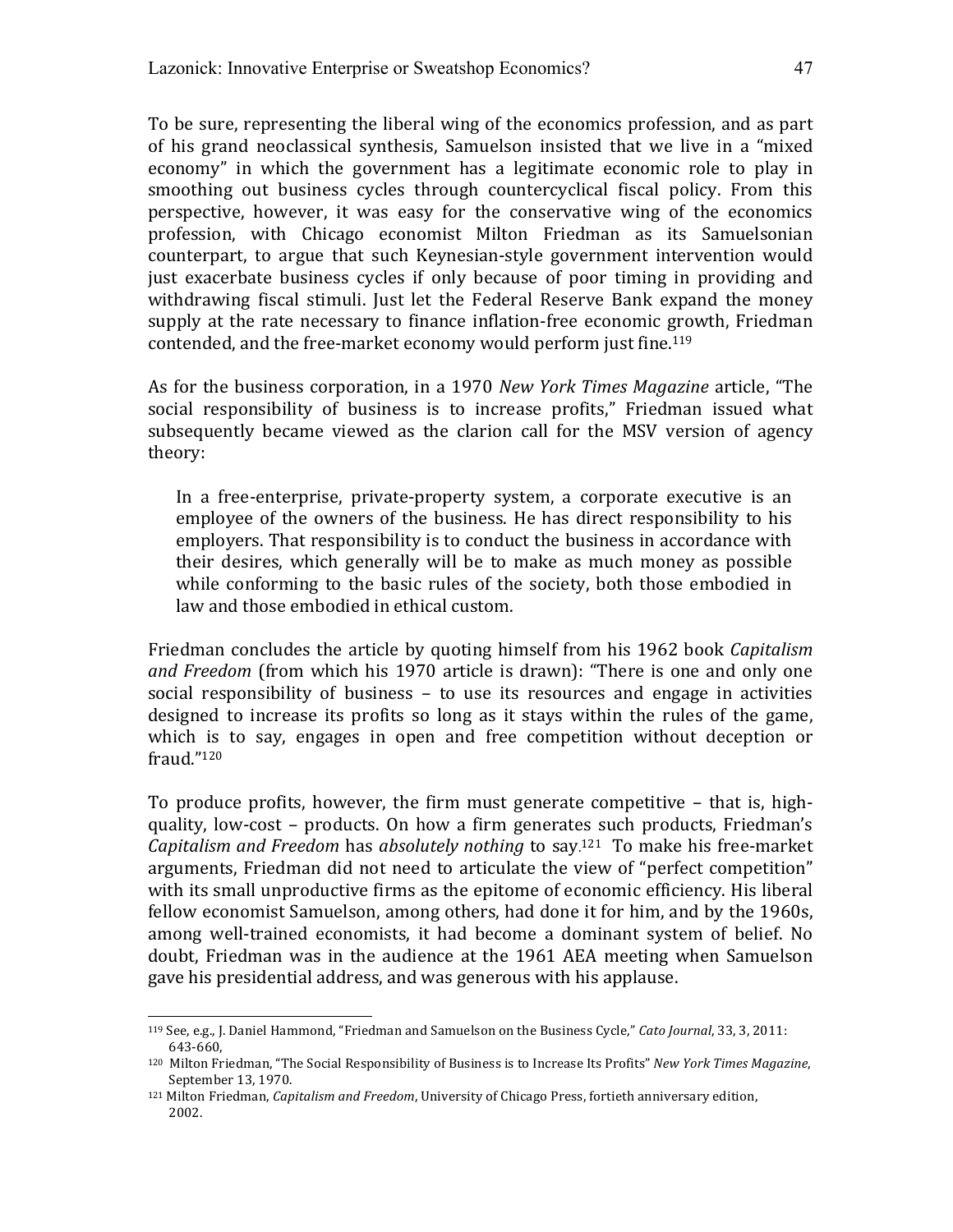To be sure, representing the liberal wing of the economics profession, and as part of his grand neoclassical synthesis, Samuelson insisted that we live in a "mixed economy" in which the government has a legitimate economic role to play in smoothing out business cycles through countercyclical fiscal policy. From this perspective, however, it was easy for the conservative wing of the economics profession, with Chicago economist Milton Friedman as its Samuelsonian counterpart, to argue that such Keynesian-style government intervention would just exacerbate business cycles if only because of poor timing in providing and withdrawing fiscal stimuli. Just let the Federal Reserve Bank expand the money supply at the rate necessary to finance inflation-free economic growth, Friedman contended, and the free-market economy would perform just fine.<sup>119</sup>

As for the business corporation, in a 1970 *New York Times Magazine* article, "The social responsibility of business is to increase profits," Friedman issued what subsequently became viewed as the clarion call for the MSV version of agency theory: 

In a free-enterprise, private-property system, a corporate executive is an employee of the owners of the business. He has direct responsibility to his employers. That responsibility is to conduct the business in accordance with their desires, which generally will be to make as much money as possible while conforming to the basic rules of the society, both those embodied in law and those embodied in ethical custom.

Friedman concludes the article by quoting himself from his 1962 book *Capitalism and Freedom* (from which his 1970 article is drawn): "There is one and only one social responsibility of business - to use its resources and engage in activities designed to increase its profits so long as it stays within the rules of the game, which is to say, engages in open and free competition without deception or fraud."120

To produce profits, however, the firm must generate competitive  $-$  that is, highquality, low-cost – products. On how a firm generates such products, Friedman's Capitalism and Freedom has absolutely nothing to say.<sup>121</sup> To make his free-market arguments, Friedman did not need to articulate the view of "perfect competition" with its small unproductive firms as the epitome of economic efficiency. His liberal fellow economist Samuelson, among others, had done it for him, and by the 1960s, among well-trained economists, it had become a dominant system of belief. No doubt, Friedman was in the audience at the 1961 AEA meeting when Samuelson gave his presidential address, and was generous with his applause.

<sup>119</sup> See, e.g., J. Daniel Hammond, "Friedman and Samuelson on the Business Cycle," *Cato Journal*, 33, 3, 2011: 643-660,

<sup>120</sup> Milton Friedman, "The Social Responsibility of Business is to Increase Its Profits" New York Times Magazine, September 13, 1970.

<sup>121</sup> Milton Friedman, *Capitalism and Freedom*, University of Chicago Press, fortieth anniversary edition, 2002.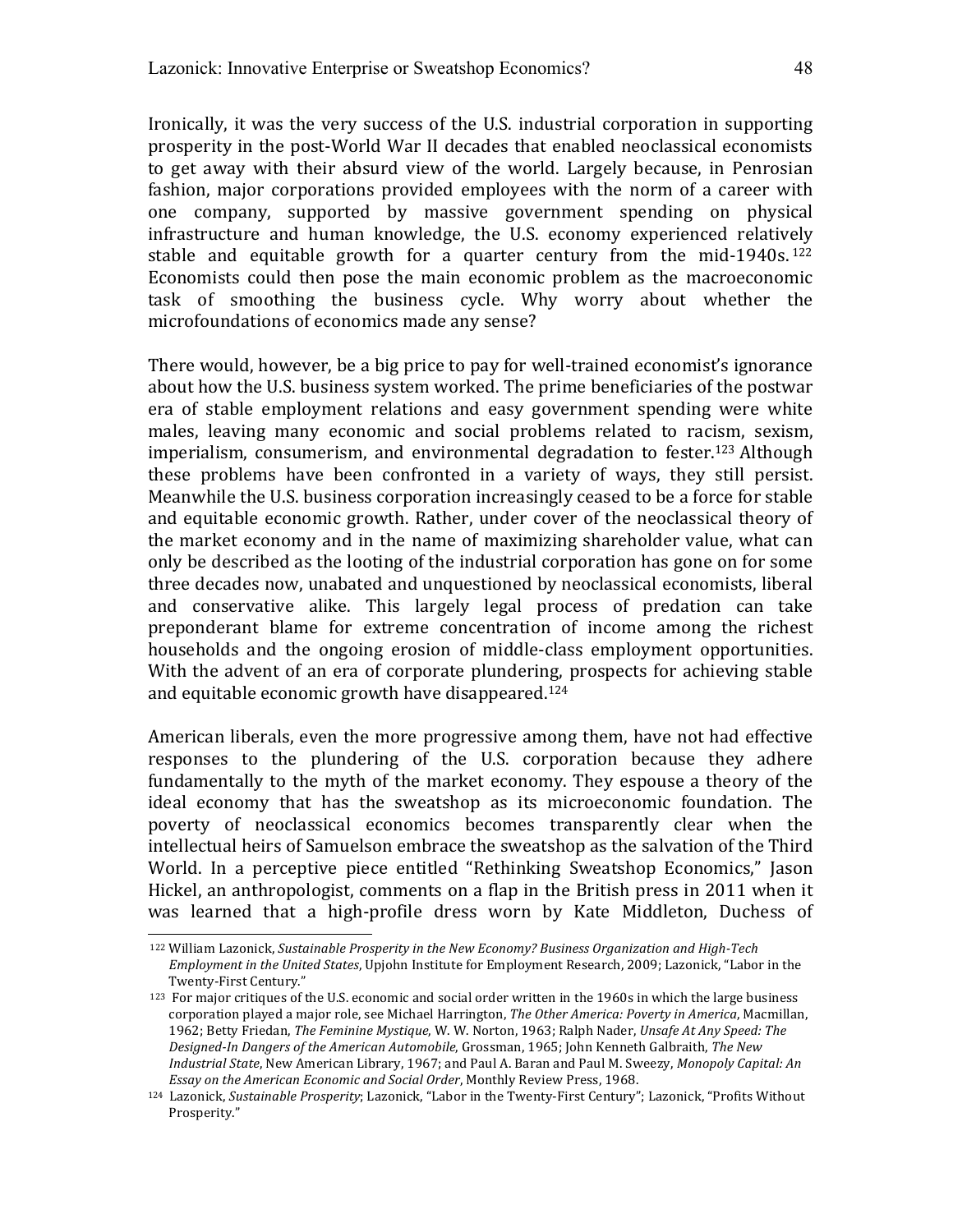Ironically, it was the very success of the U.S. industrial corporation in supporting prosperity in the post-World War II decades that enabled neoclassical economists to get away with their absurd view of the world. Largely because, in Penrosian fashion, major corporations provided employees with the norm of a career with one company, supported by massive government spending on physical infrastructure and human knowledge, the U.S. economy experienced relatively stable and equitable growth for a quarter century from the mid-1940s.  $122$ Economists could then pose the main economic problem as the macroeconomic task of smoothing the business cycle. Why worry about whether the microfoundations of economics made any sense?

There would, however, be a big price to pay for well-trained economist's ignorance about how the U.S. business system worked. The prime beneficiaries of the postwar era of stable employment relations and easy government spending were white males, leaving many economic and social problems related to racism, sexism, imperialism, consumerism, and environmental degradation to fester.<sup>123</sup> Although these problems have been confronted in a variety of ways, they still persist. Meanwhile the U.S. business corporation increasingly ceased to be a force for stable and equitable economic growth. Rather, under cover of the neoclassical theory of the market economy and in the name of maximizing shareholder value, what can only be described as the looting of the industrial corporation has gone on for some three decades now, unabated and unquestioned by neoclassical economists, liberal and conservative alike. This largely legal process of predation can take preponderant blame for extreme concentration of income among the richest households and the ongoing erosion of middle-class employment opportunities. With the advent of an era of corporate plundering, prospects for achieving stable and equitable economic growth have disappeared.<sup>124</sup>

American liberals, even the more progressive among them, have not had effective responses to the plundering of the U.S. corporation because they adhere fundamentally to the myth of the market economy. They espouse a theory of the ideal economy that has the sweatshop as its microeconomic foundation. The poverty of neoclassical economics becomes transparently clear when the intellectual heirs of Samuelson embrace the sweatshop as the salvation of the Third World. In a perceptive piece entitled "Rethinking Sweatshop Economics," Jason Hickel, an anthropologist, comments on a flap in the British press in 2011 when it was learned that a high-profile dress worn by Kate Middleton, Duchess of

<sup>&</sup>lt;sup>122</sup> William Lazonick, *Sustainable Prosperity in the New Economy? Business Organization and High-Tech Employment in the United States*, Upjohn Institute for Employment Research, 2009; Lazonick, "Labor in the Twenty-First Century."

<sup>&</sup>lt;sup>123</sup> For major critiques of the U.S. economic and social order written in the 1960s in which the large business corporation played a major role, see Michael Harrington, *The Other America: Poverty in America*, Macmillan, 1962; Betty Friedan, *The Feminine Mystique*, W. W. Norton, 1963; Ralph Nader, *Unsafe At Any Speed: The Designed-In Dangers of the American Automobile*, Grossman, 1965; John Kenneth Galbraith, *The New Industrial State,* New American Library, 1967; and Paul A. Baran and Paul M. Sweezy, Monopoly Capital: An *Essay on the American Economic and Social Order*, Monthly Review Press, 1968.

<sup>124</sup> Lazonick, *Sustainable Prosperity*; Lazonick, "Labor in the Twenty-First Century"; Lazonick, "Profits Without Prosperity."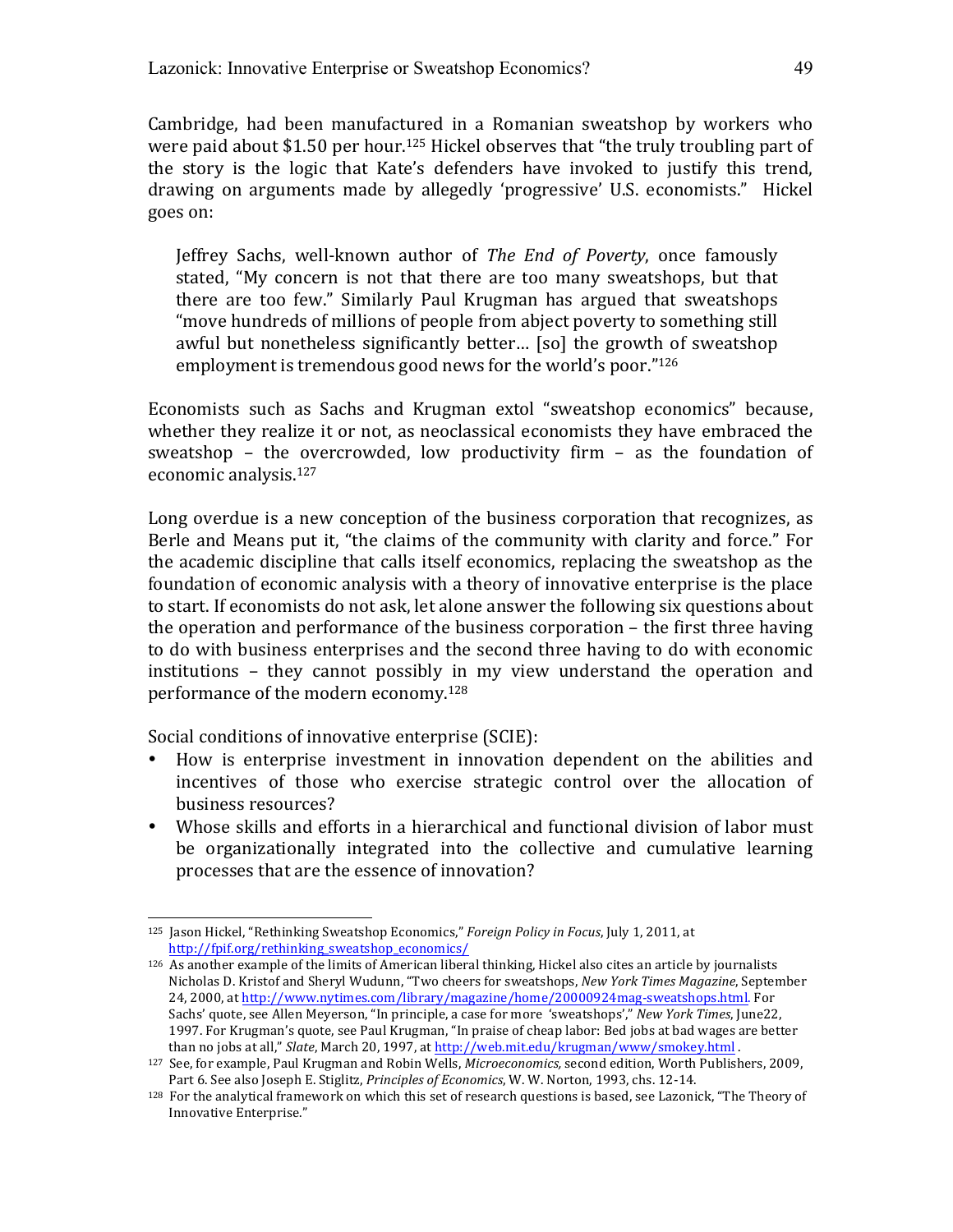Cambridge, had been manufactured in a Romanian sweatshop by workers who were paid about \$1.50 per hour.<sup>125</sup> Hickel observes that "the truly troubling part of the story is the logic that Kate's defenders have invoked to justify this trend, drawing on arguments made by allegedly 'progressive' U.S. economists." Hickel goes on:

Jeffrey Sachs, well-known author of *The End of Poverty*, once famously stated, "My concern is not that there are too many sweatshops, but that there are too few." Similarly Paul Krugman has argued that sweatshops "move hundreds of millions of people from abject poverty to something still awful but nonetheless significantly better... [so] the growth of sweatshop employment is tremendous good news for the world's poor." $126$ 

Economists such as Sachs and Krugman extol "sweatshop economics" because, whether they realize it or not, as neoclassical economists they have embraced the sweatshop - the overcrowded, low productivity firm - as the foundation of economic analysis.<sup>127</sup>

Long overdue is a new conception of the business corporation that recognizes, as Berle and Means put it, "the claims of the community with clarity and force." For the academic discipline that calls itself economics, replacing the sweatshop as the foundation of economic analysis with a theory of innovative enterprise is the place to start. If economists do not ask, let alone answer the following six questions about the operation and performance of the business corporation  $-$  the first three having to do with business enterprises and the second three having to do with economic  $in$  stitutions – they cannot possibly in my view understand the operation and performance of the modern economy.<sup>128</sup>

Social conditions of innovative enterprise (SCIE):

- How is enterprise investment in innovation dependent on the abilities and incentives of those who exercise strategic control over the allocation of business resources?
- Whose skills and efforts in a hierarchical and functional division of labor must be organizationally integrated into the collective and cumulative learning processes that are the essence of innovation?

<sup>125</sup> Jason Hickel, "Rethinking Sweatshop Economics," *Foreign Policy in Focus*, July 1, 2011, at http://fpif.org/rethinking\_sweatshop\_economics/

<sup>126</sup> As another example of the limits of American liberal thinking, Hickel also cites an article by journalists Nicholas D. Kristof and Sheryl Wudunn, "Two cheers for sweatshops, *New York Times Magazine*, September 24, 2000, at http://www.nytimes.com/library/magazine/home/20000924mag-sweatshops.html. For Sachs' quote, see Allen Meyerson, "In principle, a case for more 'sweatshops'," *New York Times*, June22, 1997. For Krugman's quote, see Paul Krugman, "In praise of cheap labor: Bed jobs at bad wages are better than no jobs at all," *Slate*, March 20, 1997, at http://web.mit.edu/krugman/www/smokey.html .

<sup>127</sup> See, for example, Paul Krugman and Robin Wells, *Microeconomics*, second edition, Worth Publishers, 2009, Part 6. See also Joseph E. Stiglitz, *Principles of Economics*, W. W. Norton, 1993, chs. 12-14.

<sup>128</sup> For the analytical framework on which this set of research questions is based, see Lazonick, "The Theory of Innovative Enterprise."